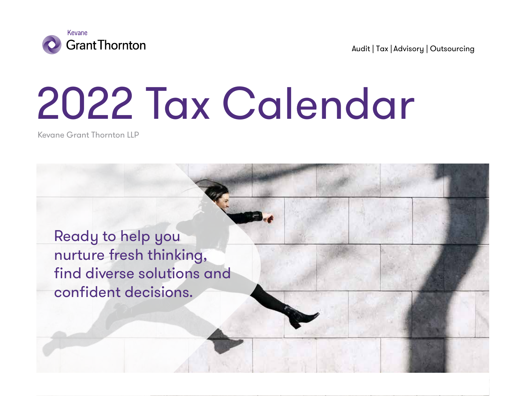

Audit | Tax | Advisory | Outsourcing

# 2022 Tax Calendar

Kevane Grant Thornton LLP

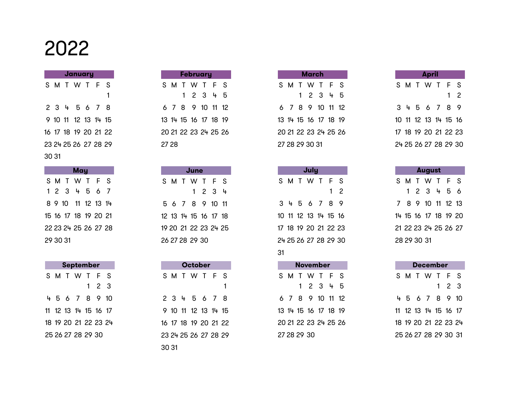# 2022

|       |  | January              |   |
|-------|--|----------------------|---|
|       |  | SMTWTFS              |   |
|       |  |                      | 1 |
|       |  | 2 3 4 5 6 7 8        |   |
|       |  | 9 10 11 12 13 14 15  |   |
|       |  | 16 17 18 19 20 21 22 |   |
|       |  | 23 24 25 26 27 28 29 |   |
| 30 31 |  |                      |   |

| <b>September</b> |  |                   |  |                      |  |  |  |  |
|------------------|--|-------------------|--|----------------------|--|--|--|--|
|                  |  |                   |  | S M T W T F S        |  |  |  |  |
|                  |  |                   |  | 1 2 3                |  |  |  |  |
|                  |  |                   |  | 4 5 6 7 8 9 10       |  |  |  |  |
|                  |  |                   |  | 11 12 13 14 15 16 17 |  |  |  |  |
|                  |  |                   |  | 18 19 20 21 22 23 24 |  |  |  |  |
|                  |  | 25 26 27 28 29 30 |  |                      |  |  |  |  |

| February |  |  |                      |  |  |  |  |  |
|----------|--|--|----------------------|--|--|--|--|--|
|          |  |  | S M T W T F S        |  |  |  |  |  |
|          |  |  | 1 2 3 4 5            |  |  |  |  |  |
|          |  |  | 6 7 8 9 10 11 12     |  |  |  |  |  |
|          |  |  | 13 14 15 16 17 18 19 |  |  |  |  |  |
|          |  |  | 20 21 22 23 24 25 26 |  |  |  |  |  |
| 27 28    |  |  |                      |  |  |  |  |  |

| May |             |  |
|-----|-------------|--|
|     | W T F S     |  |
|     | 4 5 6 7     |  |
|     | 11 12 13 14 |  |
|     | 18 19 20 21 |  |
|     | 25 26 27 28 |  |
|     |             |  |

|                | September      |       |  |
|----------------|----------------|-------|--|
|                | TWTFS          |       |  |
|                |                | 1 2 3 |  |
|                | 6 7 8 9 10     |       |  |
|                | 13 14 15 16 17 |       |  |
| 20 21 22 23 24 |                |       |  |
| 27 28 29 30    |                |       |  |
|                |                |       |  |

|  | March          |                      |  |
|--|----------------|----------------------|--|
|  |                | S M T W T F S        |  |
|  |                | 1 2 3 4 5            |  |
|  |                | 6 7 8 9 10 11 12     |  |
|  |                | 13 14 15 16 17 18 19 |  |
|  |                | 20 21 22 23 24 25 26 |  |
|  | 27 28 29 30 31 |                      |  |

| July |  |  |  |                      |  |            |  |
|------|--|--|--|----------------------|--|------------|--|
| S.   |  |  |  | M T W T F            |  | S          |  |
|      |  |  |  |                      |  | $1\quad 2$ |  |
|      |  |  |  | 3 4 5 6 7 8          |  | - Q        |  |
|      |  |  |  | 10 11 12 13 14 15 16 |  |            |  |
|      |  |  |  | 17 18 19 20 21 22 23 |  |            |  |
|      |  |  |  | 24 25 26 27 28 29 30 |  |            |  |
| 31   |  |  |  |                      |  |            |  |

|  |             | <b>November</b>      |  |  |
|--|-------------|----------------------|--|--|
|  |             | S M T W T F S        |  |  |
|  |             | 1 2 3 4 5            |  |  |
|  |             | 6 7 8 9 10 11 12     |  |  |
|  |             | 13 14 15 16 17 18 19 |  |  |
|  |             | 20 21 22 23 24 25 26 |  |  |
|  | 27 28 29 30 |                      |  |  |

|  |  | <b>April</b> |                      |    |
|--|--|--------------|----------------------|----|
|  |  |              | S M T W T F S        |    |
|  |  |              |                      | 12 |
|  |  |              | 3 4 5 6 7 8 9        |    |
|  |  |              | 10 11 12 13 14 15 16 |    |
|  |  |              | 17 18 19 20 21 22 23 |    |
|  |  |              | 24 25 26 27 28 29 30 |    |

|    |                      | <b>August</b> |             |  |
|----|----------------------|---------------|-------------|--|
| S. |                      |               | M T W T F S |  |
|    |                      |               | 1 2 3 4 5 6 |  |
|    | 7 8 9 10 11 12 13    |               |             |  |
|    | 14 15 16 17 18 19 20 |               |             |  |
|    | 21 22 23 24 25 26 27 |               |             |  |
|    | 28 29 30 31          |               |             |  |

| December |  |  |  |                      |  |  |
|----------|--|--|--|----------------------|--|--|
|          |  |  |  | S M T W T F S        |  |  |
|          |  |  |  | 1 2 3                |  |  |
|          |  |  |  | 45678910             |  |  |
|          |  |  |  | 11 12 13 14 15 16 17 |  |  |
|          |  |  |  | 18 19 20 21 22 23 24 |  |  |
|          |  |  |  | 25 26 27 28 29 30 31 |  |  |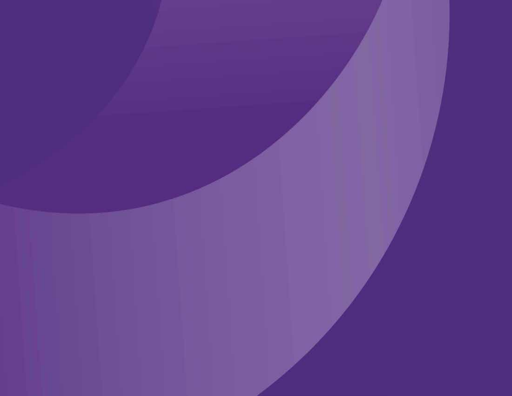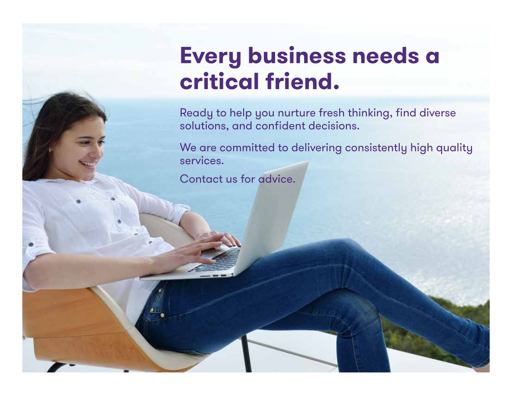# **Every business needs a critical friend.**

Ready to help you nurture fresh thinking, find diverse solutions, and confident decisions.

We are committed to delivering consistently high quality services.

Contact us for advice.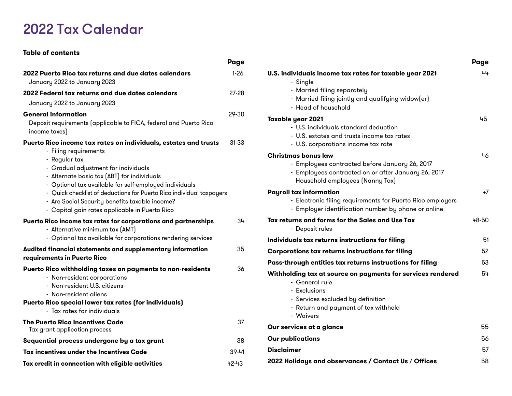### 2022 Tax Calendar

#### **Table of contents**

|                                                                                                                                                                                                                                                                                                                                                                                                                                        | Page      |
|----------------------------------------------------------------------------------------------------------------------------------------------------------------------------------------------------------------------------------------------------------------------------------------------------------------------------------------------------------------------------------------------------------------------------------------|-----------|
| 2022 Puerto Rico tax returns and due dates calendars<br>January 2022 to January 2023                                                                                                                                                                                                                                                                                                                                                   | 1-26      |
| 2022 Federal tax returns and due dates calendars                                                                                                                                                                                                                                                                                                                                                                                       | 27-28     |
| January 2022 to January 2023                                                                                                                                                                                                                                                                                                                                                                                                           |           |
| <b>General information</b><br>Deposit requirements (applicable to FICA, federal and Puerto Rico<br>income taxes)                                                                                                                                                                                                                                                                                                                       | 29-30     |
| Puerto Rico income tax rates on individuals, estates and trusts<br>- Filing requirements<br>- Regular tax<br>- Gradual adjustment for individuals<br>- Alternate basic tax (ABT) for individuals<br>- Optional tax available for self-employed individuals<br>- Quick checklist of deductions for Puerto Rico individual taxpayers<br>- Are Social Security benefits taxable income?<br>- Capital gain rates applicable in Puerto Rico | $31 - 33$ |
| Puerto Rico income tax rates for corporations and partnerships<br>- Alternative minimum tax (AMT)<br>- Optional tax available for corporations rendering services                                                                                                                                                                                                                                                                      | 34        |
| Audited financial statements and supplementary information<br>requirements in Puerto Rico                                                                                                                                                                                                                                                                                                                                              | 35        |
| Puerto Rico withholding taxes on payments to non-residents<br>- Non-resident corporations<br>- Non-resident U.S. citizens<br>- Non-resident aliens<br>Puerto Rico special lower tax rates (for individuals)<br>- Tax rates for individuals                                                                                                                                                                                             | 36        |
| <b>The Puerto Rico Incentives Code</b><br>Tax grant application process                                                                                                                                                                                                                                                                                                                                                                | 37        |
| Sequential process undergone by a tax grant                                                                                                                                                                                                                                                                                                                                                                                            | 38        |
| Tax incentives under the Incentives Code                                                                                                                                                                                                                                                                                                                                                                                               | $39 - 41$ |
| Tax credit in connection with eligible activities                                                                                                                                                                                                                                                                                                                                                                                      | 42-43     |

|                                                                                                                                                                                         | Page  |
|-----------------------------------------------------------------------------------------------------------------------------------------------------------------------------------------|-------|
| U.S. individuals income tax rates for taxable year 2021<br>- Single<br>- Married filing separately<br>- Married filing jointly and qualifying widow(er)                                 | 44    |
| - Head of household                                                                                                                                                                     |       |
| Taxable year 2021<br>- U.S. individuals standard deduction<br>- U.S. estates and trusts income tax rates<br>- U.S. corporations income tax rate                                         | 45    |
| Christmas bonus law<br>- Employees contracted before January 26, 2017<br>- Employees contracted on or after January 26, 2017<br>Household employees (Nanny Tax)                         | 46    |
| <b>Payroll tax information</b><br>- Electronic filing requirements for Puerto Rico employers<br>- Employer identification number by phone or online                                     | 47    |
| Tax returns and forms for the Sales and Use Tax<br>- Deposit rules                                                                                                                      | 48-50 |
| Individuals tax returns instructions for filing                                                                                                                                         | 51    |
| <b>Corporations tax returns instructions for filing</b>                                                                                                                                 | 52    |
| Pass-through entities tax returns instructions for filing                                                                                                                               | 53    |
| Withholding tax at source on payments for services rendered<br>- General rule<br>- Exclusions<br>- Services excluded by definition<br>- Return and payment of tax withheld<br>- Waivers | 54    |
| Our services at a glance                                                                                                                                                                | 55    |
| <b>Our publications</b>                                                                                                                                                                 | 56    |
| <b>Disclaimer</b>                                                                                                                                                                       | 57    |
| 2022 Holidays and observances / Contact Us / Offices                                                                                                                                    | 58    |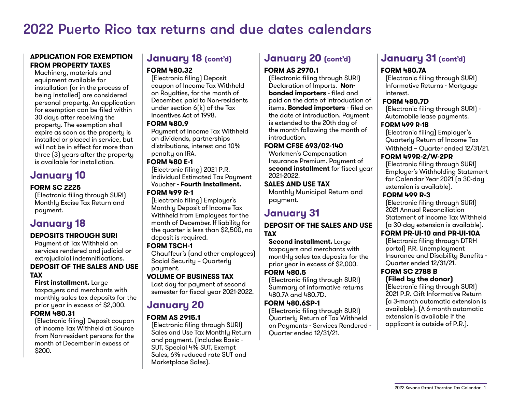### 2022 Puerto Rico tax returns and due dates calendars

#### **APPLICATION FOR EXEMPTION FROM PROPERTY TAXES**

Machinery, materials and equipment available for installation (or in the process of being installed) are considered personal property. An application for exemption can be filed within 30 days after receiving the property. The exemption shall expire as soon as the property is installed or placed in service, but will not be in effect for more than three (3) years after the property is available for installation.

### **January 10**

#### **FORM SC 2225**

(Electronic filing through SURI) Monthly Excise Tax Return and payment.

### **January 18**

#### **DEPOSITS THROUGH SURI**

Payment of Tax Withheld on services rendered and judicial or extrajudicial indemnifications.

#### **DEPOSIT OF THE SALES AND USE TAX**

**First installment.** Large taxpayers and merchants with monthly sales tax deposits for the prior year in excess of \$2,000.

#### **FORM 480.31**

(Electronic filing) Deposit coupon of Income Tax Withheld at Source from Non-resident persons for the month of December in excess of \$200.

#### **January 18 (cont'd) FORM 480.32**

(Electronic filing) Deposit coupon of Income Tax Withheld on Royalties, for the month of December, paid to Non-residents under section 6(k) of the Tax Incentives Act of 1998.

#### **FORM 480.9**

Payment of Income Tax Withheld on dividends, partnerships distributions, interest and 10% penalty on IRA.

#### **FORM 480 E-1**

(Electronic filing) 2021 P.R. Individual Estimated Tax Payment Voucher - **Fourth Installment.**

#### **FORM 499 R-1**

(Electronic filing) Employer's Monthly Deposit of Income Tax Withheld from Employees for the month of December. If liability for the quarter is less than \$2,500, no deposit is required.

#### **FORM TSCH-1**

Chauffeur's (and other employees) Social Security – Quarterly payment.

#### **VOLUME OF BUSINESS TAX**

Last day for payment of second semester for fiscal year 2021-2022.

### **January 20**

#### **FORM AS 2915.1**

(Electronic filing through SURI) Sales and Use Tax Monthly Return and payment. (Includes Basic - SUT, Special 4% SUT, Exempt Sales, 6% reduced rate SUT and Marketplace Sales).

### **January 20 (cont'd)**

#### **FORM AS 2970.1**

(Electronic filing through SURI) Declaration of Imports. **Nonbonded importers** - filed and paid on the date of introduction of items. **Bonded importers** - filed on the date of introduction. Payment is extended to the 20th day of the month following the month of introduction.

#### **FORM CFSE 693/02-140**

Workmen's Compensation Insurance Premium. Payment of **second installment** for fiscal year 2021-2022.

#### **SALES AND USE TAX**

Monthly Municipal Return and payment.

### **January 31**

#### **DEPOSIT OF THE SALES AND USE TAX**

**Second installment.** Large taxpayers and merchants with monthly sales tax deposits for the prior year in excess of \$2,000.

#### **FORM 480.5**

(Electronic filing through SURI) Summary of informative returns 480.7A and 480.7D.

#### **FORM 480.6SP-1**

(Electronic filing through SURI) Quarterly Return of Tax Withheld on Payments - Services Rendered - Quarter ended 12/31/21.

### **January 31 (cont'd)**

#### **FORM 480.7A**

(Electronic filing through SURI) Informative Returns - Mortgage interest.

#### **FORM 480.7D**

(Electronic filing through SURI) - Automobile lease payments.

#### **FORM 499 R-1B**

(Electronic filing) Employer's Quarterly Return of Income Tax

#### Withheld – Quarter ended 12/31/21. **FORM 499R-2/W-2PR**

(Electronic filing through SURI) Employer's Withholding Statement for Calendar Year 2021 (a 30-day extension is available).

#### **FORM 499 R-3**

(Electronic filing through SURI) 2021 Annual Reconciliation Statement of Income Tax Withheld (a 30-day extension is available).

#### **FORM PR-UI-10 and PR-UI-10A**

(Electronic filing through DTRH portal) P.R. Unemployment Insurance and Disability Benefits - Quarter ended 12/31/21.

#### **FORM SC 2788 B (Filed by the donor)**

(Electronic filing through SURI) 2021 P.R. Gift Informative Return (a 3-month automatic extension is available). (A 6-month automatic extension is available if the applicant is outside of P.R.).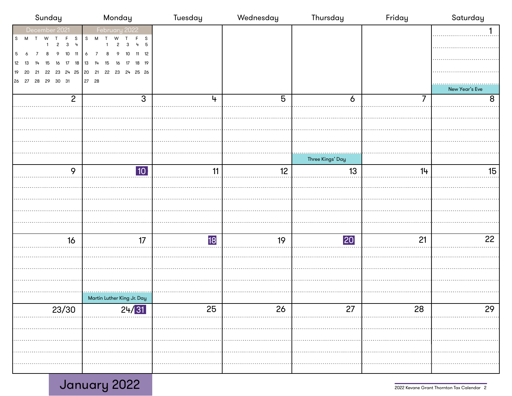| Sunday                                                   | Monday                                                  | Tuesday | Wednesday | Thursday         | Friday | Saturday       |
|----------------------------------------------------------|---------------------------------------------------------|---------|-----------|------------------|--------|----------------|
| December 2021                                            | February 2022                                           |         |           |                  |        |                |
| S<br>M<br>S<br>W<br>$\overline{c}$<br>3<br>$\frac{1}{2}$ | S<br>M<br>S<br>W<br>F.<br>5<br>$\overline{c}$<br>3<br>4 |         |           |                  |        |                |
| 10<br>5<br>11                                            | 6<br>10<br>$11 \t 12$<br>7<br>8<br>9                    |         |           |                  |        |                |
| 17<br>15<br>12<br>16<br>14                               | $18 \mid 13$<br>18 19<br>- 14<br>15<br>17<br>16         |         |           |                  |        |                |
| 19 20                                                    | 21 22 23 24 25 20 21 22 23 24 25 26                     |         |           |                  |        |                |
| 26 27 28 29 30 31                                        | 27 28                                                   |         |           |                  |        |                |
|                                                          |                                                         |         |           |                  |        | New Year's Eve |
| $\overline{c}$                                           | $\overline{3}$                                          | 4       | 5         | 6                | 7      | 8              |
|                                                          |                                                         |         |           |                  |        |                |
|                                                          |                                                         |         |           |                  |        |                |
|                                                          |                                                         |         |           |                  |        |                |
|                                                          |                                                         |         |           |                  |        |                |
|                                                          |                                                         |         |           | Three Kings' Day |        |                |
| 9                                                        | 10 <sub>1</sub>                                         | 11      | 12        | 13               | 14     | 15             |
|                                                          |                                                         |         |           |                  |        |                |
|                                                          |                                                         |         |           |                  |        |                |
|                                                          |                                                         |         |           |                  |        |                |
|                                                          |                                                         |         |           |                  |        |                |
|                                                          |                                                         |         |           |                  |        |                |
|                                                          |                                                         |         |           |                  |        |                |
| 16                                                       | 17                                                      | 18      | 19        | 20               | 21     | 22             |
|                                                          |                                                         |         |           |                  |        |                |
|                                                          |                                                         |         |           |                  |        |                |
|                                                          |                                                         |         |           |                  |        |                |
|                                                          |                                                         |         |           |                  |        |                |
|                                                          | Martin Luther King Jr. Day                              |         |           |                  |        |                |
| 23/30                                                    | 24/31                                                   | 25      | 26        | 27               | 28     | 29             |
|                                                          |                                                         |         |           |                  |        |                |
|                                                          |                                                         |         |           |                  |        |                |
|                                                          |                                                         |         |           |                  |        |                |
|                                                          |                                                         |         |           |                  |        |                |
|                                                          |                                                         |         |           |                  |        |                |
|                                                          |                                                         |         |           |                  |        |                |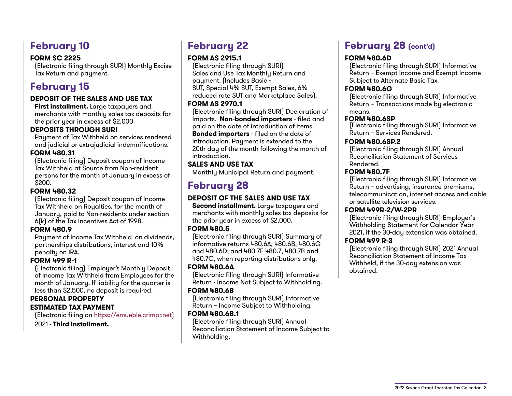### **February 10**

#### **FORM SC 2225**

(Electronic filing through SURI) Monthly Excise Tax Return and payment.

### **February 15**

#### **DEPOSIT OF THE SALES AND USE TAX**

**First installment.** Large taxpayers and merchants with monthly sales tax deposits for the prior year in excess of \$2,000.

#### **DEPOSITS THROUGH SURI**

Payment of Tax Withheld on services rendered and judicial or extrajudicial indemnifications.

#### **FORM 480.31**

(Electronic filing) Deposit coupon of Income Tax Withheld at Source from Non-resident persons for the month of January in excess of \$200.

#### **FORM 480.32**

(Electronic filing) Deposit coupon of Income Tax Withheld on Royalties, for the month of January, paid to Non-residents under section 6(k) of the Tax Incentives Act of 1998.

#### **FORM 480.9**

Payment of Income Tax Withheld on dividends, partnerships distributions, interest and 10% penalty on IRA.

#### **FORM 499 R-1**

(Electronic filing) Employer's Monthly Deposit of Income Tax Withheld from Employees for the month of January. If liability for the quarter is less than \$2,500, no deposit is required.

### **PERSONAL PROPERTY**

**ESTIMATED TAX PAYMENT** (Electronic filing on https://emueble.crimpr.net)

2021 - **Third Installment.**

### **February 22**

#### **FORM AS 2915.1**

(Electronic filing through SURI) Sales and Use Tax Monthly Return and payment. (Includes Basic - SUT, Special 4% SUT, Exempt Sales, 6% reduced rate SUT and Marketplace Sales).

#### **FORM AS 2970.1**

(Electronic filing through SURI) Declaration of Imports. **Non-bonded importers** - filed and paid on the date of introduction of items. **Bonded importers** - filed on the date of introduction. Payment is extended to the 20th day of the month following the month of introduction.

#### **SALES AND USE TAX**

Monthly Municipal Return and payment.

### **February 28**

#### **DEPOSIT OF THE SALES AND USE TAX**

**Second installment.** Large taxpayers and merchants with monthly sales tax deposits for the prior year in excess of \$2,000.

#### **FORM 480.5**

(Electronic filing through SURI) Summary of informative returns 480.6A, 480.6B, 480.6G and 480.6D; and 480.7F 480.7, 480.7B and 480.7C, when reporting distributions only.

#### **FORM 480.6A**

(Electronic filing through SURI) Informative Return - Income Not Subject to Withholding.

#### **FORM 480.6B**

(Electronic filing through SURI) Informative Return – Income Subject to Withholding.

#### **FORM 480.6B.1**

(Electronic filing through SURI) Annual Reconciliation Statement of Income Subject to Withholding.

### **February 28 (cont'd)**

#### **FORM 480.6D**

(Electronic filing through SURI) Informative Return – Exempt Income and Exempt Income Subject to Alternate Basic Tax.

#### **FORM 480.6G**

(Electronic filing through SURI) Informative Return – Transactions made by electronic means.

#### **FORM 480.6SP**

(Electronic filing through SURI) Informative Return – Services Rendered.

#### **FORM 480.6SP.2**

(Electronic filing through SURI) Annual Reconciliation Statement of Services Rendered.

#### **FORM 480.7F**

(Electronic filing through SURI) Informative Return – advertising, insurance premiums, telecommunication, internet access and cable or satellite television services.

#### **FORM 499R-2/W-2PR**

(Electronic filing through SURI) Employer's Withholding Statement for Calendar Year 2021, if the 30-day extension was obtained.

#### **FORM 499 R-3**

(Electronic filing through SURI) 2021 Annual Reconciliation Statement of Income Tax Withheld, if the 30-day extension was obtained.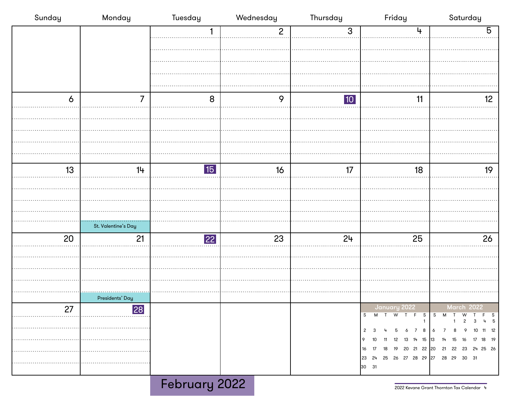| Sunday | Monday              | Tuesday | Wednesday      | Thursday        | Friday                              | Saturday                                  |
|--------|---------------------|---------|----------------|-----------------|-------------------------------------|-------------------------------------------|
|        |                     |         | $\overline{2}$ | 3               | $\frac{1}{2}$                       | $\overline{5}$                            |
|        |                     |         |                |                 |                                     |                                           |
|        |                     |         |                |                 |                                     |                                           |
|        |                     |         |                |                 |                                     |                                           |
|        |                     |         |                |                 |                                     |                                           |
|        | $\overline{7}$      | 8       | 9              |                 |                                     |                                           |
| 6      |                     |         |                | 10 <sup>1</sup> | 11                                  | 12 <sup>°</sup>                           |
|        |                     |         |                |                 |                                     |                                           |
|        |                     |         |                |                 |                                     |                                           |
|        |                     |         |                |                 |                                     |                                           |
|        |                     |         |                |                 |                                     |                                           |
| 13     | 14                  | 15      | 16             | 17              | 18                                  | 19 <sup>°</sup>                           |
|        |                     |         |                |                 |                                     |                                           |
|        |                     |         |                |                 |                                     |                                           |
|        |                     |         |                |                 |                                     |                                           |
|        |                     |         |                |                 |                                     |                                           |
|        | St. Valentine's Day |         |                |                 |                                     |                                           |
| 20     | 21                  | 22      | 23             | 24              | 25                                  | 26                                        |
|        |                     |         |                |                 |                                     |                                           |
|        |                     |         |                |                 |                                     |                                           |
|        |                     |         |                |                 |                                     |                                           |
|        | Presidents' Day     |         |                |                 |                                     |                                           |
| 27     | 28                  |         |                |                 | January 2022                        | <b>March 2022</b>                         |
| .      |                     |         |                |                 | S M T W T F S S M T<br>$\mathbf{1}$ | F S<br>W<br>$\overline{c}$<br>1<br>З      |
|        |                     |         |                |                 | 2 3 4 5 6 7 8 6 7 8                 | 10 11 12<br>- 9                           |
|        |                     |         |                |                 | 9                                   | 10 11 12 13 14 15 13 14 15 16 17 18 19    |
|        |                     |         |                |                 | 23 24 25 26 27 28 29 27 28 29 30 31 | 16 17 18 19 20 21 22 20 21 22 23 24 25 26 |
|        |                     |         |                |                 | 30 31                               |                                           |
|        |                     |         |                |                 |                                     |                                           |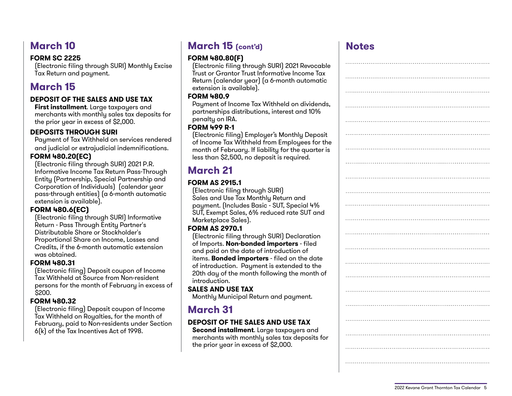### **March 10**

#### **FORM SC 2225**

(Electronic filing through SURI) Monthly Excise Tax Return and payment.

### **March 15**

#### **DEPOSIT OF THE SALES AND USE TAX**

**First installment**. Large taxpayers and merchants with monthly sales tax deposits for the prior year in excess of \$2,000.

#### **DEPOSITS THROUGH SURI**

Payment of Tax Withheld on services rendered and judicial or extrajudicial indemnifications.

#### **FORM 480.20(EC)**

(Electronic filing through SURI) 2021 P.R. Informative Income Tax Return Pass-Through Entity (Partnership, Special Partnership and Corporation of Individuals) (calendar year pass-through entities) (a 6-month automatic extension is available).

#### **FORM 480.6(EC)**

(Electronic filing through SURI) Informative Return - Pass Through Entity Partner's Distributable Share or Stockholder's Proportional Share on Income, Losses and Credits, if the 6-month automatic extension was obtained.

#### **FORM 480.31**

(Electronic filing) Deposit coupon of Income Tax Withheld at Source from Non-resident persons for the month of February in excess of \$200.

#### **FORM 480.32**

(Electronic filing) Deposit coupon of Income Tax Withheld on Royalties, for the month of February, paid to Non-residents under Section 6(k) of the Tax Incentives Act of 1998.

### **March 15 (cont'd)**

#### **FORM 480.80(F)**

(Electronic filing through SURI) 2021 Revocable Trust or Grantor Trust Informative Income Tax Return (calendar year) (a 6-month automatic extension is available).

#### **FORM 480.9**

Payment of Income Tax Withheld on dividends, partnerships distributions, interest and 10% penalty on IRA.

#### **FORM 499 R-1**

(Electronic filing) Employer's Monthly Deposit of Income Tax Withheld from Employees for the month of February. If liability for the quarter is less than \$2,500, no deposit is required.

### **March 21**

#### **FORM AS 2915.1**

(Electronic filing through SURI) Sales and Use Tax Monthly Return and payment. (Includes Basic - SUT, Special 4% SUT, Exempt Sales, 6% reduced rate SUT and Marketplace Sales).

#### **FORM AS 2970.1**

(Electronic filing through SURI) Declaration of Imports. **Non-bonded importers** - filed and paid on the date of introduction of items. **Bonded importers** - filed on the date of introduction. Payment is extended to the 20th day of the month following the month of introduction.

#### **SALES AND USE TAX**

Monthly Municipal Return and payment.

### **March 31**

#### **DEPOSIT OF THE SALES AND USE TAX**

**Second installment**. Large taxpayers and merchants with monthly sales tax deposits for the prior year in excess of \$2,000.

### **Notes**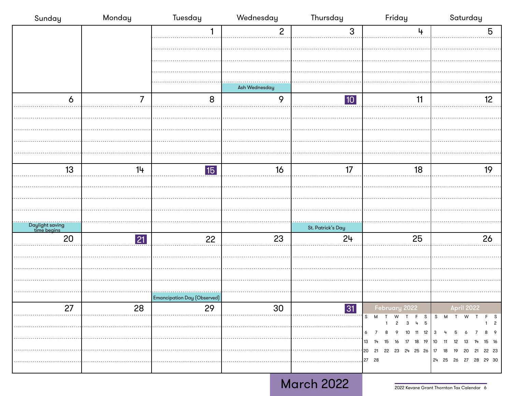| Sunday                         | Monday         | Tuesday                            | Wednesday      | Thursday          | Friday                                                                                      | Saturday                                        |
|--------------------------------|----------------|------------------------------------|----------------|-------------------|---------------------------------------------------------------------------------------------|-------------------------------------------------|
|                                |                | 1                                  | $\overline{c}$ | $\mathfrak{S}$    | 4                                                                                           | $\overline{5}$                                  |
|                                |                |                                    |                |                   |                                                                                             |                                                 |
|                                |                |                                    | Ash Wednesday  |                   |                                                                                             |                                                 |
| 6                              | $\overline{7}$ | 8                                  | 9              | 10 <sub>1</sub>   | 11                                                                                          | 12 <sup>2</sup>                                 |
|                                |                |                                    |                |                   |                                                                                             |                                                 |
| 13                             | 14             | 15                                 | 16             | 17                | 18                                                                                          | 19                                              |
| Daylight saving<br>time begins |                |                                    |                | St. Patrick's Day |                                                                                             |                                                 |
| 20                             | 21             | 22                                 | 23             | 24                | 25                                                                                          | 26                                              |
|                                |                |                                    |                |                   |                                                                                             |                                                 |
|                                |                | <b>Emancipation Day (Observed)</b> |                |                   |                                                                                             |                                                 |
| 27                             | 28             | 29                                 | 30             | 31                | February 2022<br>S M<br>W<br>S.<br>$\top$                                                   | April 2022<br>S M T<br>W<br>F S                 |
|                                |                |                                    |                |                   | 5                                                                                           |                                                 |
|                                |                |                                    |                |                   | 6<br>$\overline{7}$<br>10<br>11<br>12<br>8<br>9<br>17<br>18<br>19<br>13<br>15<br>16<br>- 14 | 3<br>5<br>89<br>10<br>12<br>-13<br>15 16<br>-11 |
|                                |                |                                    |                |                   | 20 21 22 23 24 25 26 17 18 19                                                               | 20<br>22 23<br>-21                              |
|                                |                |                                    |                |                   | $27$ 28                                                                                     | 24 25 26 27 28<br>29 30                         |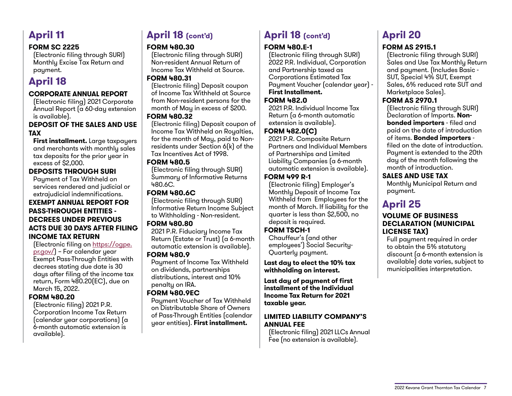### **April 11**

#### **FORM SC 2225**

(Electronic filing through SURI) Monthly Excise Tax Return and payment.

### **April 18**

#### **CORPORATE ANNUAL REPORT**

(Electronic filing) 2021 Corporate Annual Report (a 60-day extension is available).

#### **DEPOSIT OF THE SALES AND USE TAX**

**First installment.** Large taxpayers and merchants with monthly sales tax deposits for the prior year in excess of \$2,000.

#### **DEPOSITS THROUGH SURI**

Payment of Tax Withheld on services rendered and judicial or extrajudicial indemnifications. **EXEMPT ANNUAL REPORT FOR PASS-THROUGH ENTITIES - DECREES UNDER PREVIOUS ACTS DUE 30 DAYS AFTER FILING** 

#### **INCOME TAX RETURN**

(Electronic filing on https://ogpe. pr.gov/) – For calendar year Exempt Pass-Through Entities with decrees stating due date is 30 days after filing of the income tax return, Form 480.20(EC), due on March 15, 2022.

#### **FORM 480.20**

(Electronic filing) 2021 P.R. Corporation Income Tax Return (calendar year corporations) (a 6-month automatic extension is available).

### **April 18 (cont'd)**

#### **FORM 480.30**

(Electronic filing through SURI) Non-resident Annual Return of Income Tax Withheld at Source.

#### **FORM 480.31**

(Electronic filing) Deposit coupon of Income Tax Withheld at Source from Non-resident persons for the month of May in excess of \$200.

#### **FORM 480.32**

(Electronic filing) Deposit coupon of Income Tax Withheld on Royalties, for the month of May, paid to Nonresidents under Section 6(k) of the Tax Incentives Act of 1998.

#### **FORM 480.5**

(Electronic filing through SURI) Summary of Informative Returns 480.6C.

#### **FORM 480.6C**

(Electronic filing through SURI) Informative Return Income Subject to Withholding - Non-resident.

#### **FORM 480.80**

2021 P.R. Fiduciary Income Tax Return (Estate or Trust) (a 6-month automatic extension is available).

#### **FORM 480.9**

Payment of Income Tax Withheld on dividends, partnerships distributions, interest and 10% penalty on IRA.

#### **FORM 480.9EC**

Payment Voucher of Tax Withheld on Distributable Share of Owners of Pass-Through Entities (calendar year entities). **First installment.**

### **April 18 (cont'd)**

#### **FORM 480.E-1**

(Electronic filing through SURI) 2022 P.R. Individual, Corporation and Partnership taxed as Corporations Estimated Tax Payment Voucher (calendar year) - **First Installment.**

#### **FORM 482.0**

2021 P.R. Individual Income Tax Return (a 6-month automatic extension is available).

#### **FORM 482.0(C)**

2021 P.R. Composite Return Partners and Individual Members of Partnerships and Limited Liability Companies (a 6-month automatic extension is available).

#### **FORM 499 R-1**

(Electronic filing) Employer's Monthly Deposit of Income Tax Withheld from Employees for the month of March. If liability for the quarter is less than \$2,500, no deposit is required.

#### **FORM TSCH-1**

Chauffeur's (and other employees') Social Security-Quarterly payment.

**Last day to elect the 10% tax withholding on interest.** 

**Last day of payment of first installment of the Individual Income Tax Return for 2021 taxable year.**

#### **LIMITED LIABILITY COMPANY'S ANNUAL FEE**

(Electronic filing) 2021 LLCs Annual Fee (no extension is available).

### **April 20**

#### **FORM AS 2915.1**

(Electronic filing through SURI) Sales and Use Tax Monthly Return and payment. (Includes Basic - SUT, Special 4% SUT, Exempt Sales, 6% reduced rate SUT and Marketplace Sales).

#### **FORM AS 2970.1**

(Electronic filing through SURI) Declaration of Imports. **Nonbonded importers** - filed and paid on the date of introduction of items. **Bonded importers** filed on the date of introduction. Payment is extended to the 20th day of the month following the month of introduction.

#### **SALES AND USE TAX**

Monthly Municipal Return and payment.

### **April 25**

#### **VOLUME OF BUSINESS DECLARATION (MUNICIPAL LICENSE TAX)**

Full payment required in order to obtain the 5% statutory discount (a 6-month extension is available) date varies, subject to municipalities interpretation.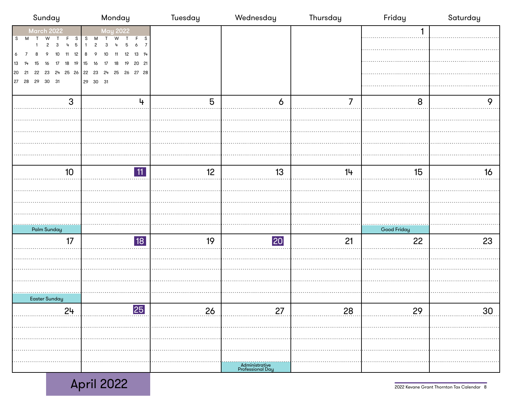| Sunday                                                          | Monday                                                                                                  | Tuesday        | Wednesday                          | Thursday       | Friday      | Saturday |
|-----------------------------------------------------------------|---------------------------------------------------------------------------------------------------------|----------------|------------------------------------|----------------|-------------|----------|
| March 2022                                                      | <b>May 2022</b>                                                                                         |                |                                    |                |             |          |
| S<br>м<br>W<br>F.<br>S<br>3<br>$\mathbf 5$<br>$\mathbf{2}$<br>4 | M<br>F.<br>S<br>W<br>$\mathsf{T}$<br>S<br>$\top$<br>$\overline{c}$<br>5<br>3<br>6<br>$\mathbf{1}$<br>-7 |                |                                    |                |             |          |
| 12<br>10<br>11<br>6                                             | 8<br>9<br>10<br>12<br>13<br>11<br>- 14                                                                  |                |                                    |                |             |          |
| 18 19 15<br>15<br>16<br>17<br>13                                | 17<br>18<br>19<br>20 21<br>16                                                                           |                |                                    |                |             |          |
| 21<br>20                                                        | 22 23 24 25 26 22 23 24 25 26 27 28                                                                     |                |                                    |                |             |          |
| 27  28  29  30  31                                              | 29 30 31                                                                                                |                |                                    |                |             |          |
| $\mathfrak{S}$                                                  | 4                                                                                                       | $\overline{5}$ | 6                                  | $\overline{7}$ | 8           | 9        |
|                                                                 |                                                                                                         |                |                                    |                |             |          |
|                                                                 |                                                                                                         |                |                                    |                |             |          |
| 10                                                              | 11                                                                                                      | 12             | 13                                 | 14             | 15          | 16       |
|                                                                 |                                                                                                         |                |                                    |                |             |          |
|                                                                 |                                                                                                         |                |                                    |                |             |          |
| Palm Sunday                                                     |                                                                                                         |                |                                    |                | Good Friday |          |
| 17                                                              | 18                                                                                                      | 19             | 20                                 | 21             | 22          | 23       |
|                                                                 |                                                                                                         |                |                                    |                |             |          |
|                                                                 |                                                                                                         |                |                                    |                |             |          |
| <b>Easter Sunday</b>                                            |                                                                                                         |                |                                    |                |             |          |
| 24                                                              | 25                                                                                                      | 26             | 27                                 | 28             | 29          | 30       |
|                                                                 |                                                                                                         |                |                                    |                |             |          |
|                                                                 |                                                                                                         |                |                                    |                |             |          |
|                                                                 |                                                                                                         |                | Administrative<br>Professional Day |                |             |          |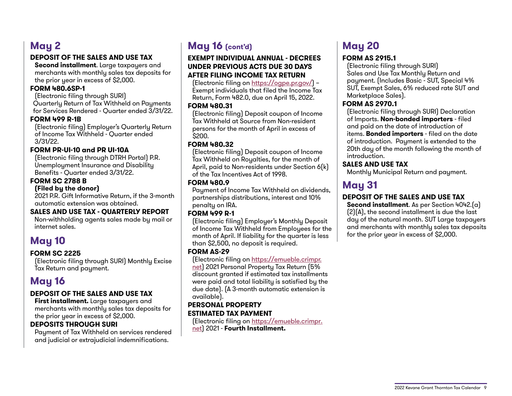### **May 2**

#### **DEPOSIT OF THE SALES AND USE TAX**

**Second installment**. Large taxpayers and merchants with monthly sales tax deposits for the prior year in excess of \$2,000.

#### **FORM 480.6SP-1**

(Electronic filing through SURI) Quarterly Return of Tax Withheld on Payments for Services Rendered - Quarter ended 3/31/22.

#### **FORM 499 R-1B**

(Electronic filing) Employer's Quarterly Return of Income Tax Withheld - Quarter ended 3/31/22.

#### **FORM PR-UI-10 and PR UI-10A**

(Electronic filing through DTRH Portal) P.R. Unemployment Insurance and Disability Benefits - Quarter ended 3/31/22.

#### **FORM SC 2788 B**

#### **(Filed by the donor)**

2021 P.R. Gift Informative Return, if the 3-month automatic extension was obtained.

#### **SALES AND USE TAX - QUARTERLY REPORT**

Non-withholding agents sales made by mail or internet sales.

### **May 10**

#### **FORM SC 2225**

(Electronic filing through SURI) Monthly Excise Tax Return and payment.

### **May 16**

#### **DEPOSIT OF THE SALES AND USE TAX**

**First installment.** Large taxpayers and merchants with monthly sales tax deposits for the prior year in excess of \$2,000.

#### **DEPOSITS THROUGH SURI**

Payment of Tax Withheld on services rendered and judicial or extrajudicial indemnifications.

### **May 16 (cont'd)**

#### **EXEMPT INDIVIDUAL ANNUAL - DECREES UNDER PREVIOUS ACTS DUE 30 DAYS AFTER FILING INCOME TAX RETURN**

(Electronic filing on https://ogpe.pr.gov/) – Exempt individuals that filed the Income Tax Return, Form 482.0, due on April 15, 2022.

#### **FORM 480.31**

(Electronic filing) Deposit coupon of Income Tax Withheld at Source from Non-resident persons for the month of April in excess of \$200.

#### **FORM 480.32**

(Electronic filing) Deposit coupon of Income Tax Withheld on Royalties, for the month of April, paid to Non-residents under Section 6(k) of the Tax Incentives Act of 1998.

#### **FORM 480.9**

Payment of Income Tax Withheld on dividends, partnerships distributions, interest and 10% penalty on IRA.

#### **FORM 499 R-1**

(Electronic filing) Employer's Monthly Deposit of Income Tax Withheld from Employees for the month of April. If liability for the quarter is less than \$2,500, no deposit is required.

#### **FORM AS-29**

(Electronic filing on https://emueble.crimpr. net) 2021 Personal Property Tax Return (5% discount granted if estimated tax installments were paid and total liability is satisfied by the due date). (A 3-month automatic extension is available).

#### **PERSONAL PROPERTY ESTIMATED TAX PAYMENT**

(Electronic filing on https://emueble.crimpr. net) 2021 - **Fourth Installment.**

### **May 20**

#### **FORM AS 2915.1**

(Electronic filing through SURI) Sales and Use Tax Monthly Return and payment. (Includes Basic - SUT, Special 4% SUT, Exempt Sales, 6% reduced rate SUT and Marketplace Sales).

#### **FORM AS 2970.1**

(Electronic filing through SURI) Declaration of Imports. **Non-bonded importers** - filed and paid on the date of introduction of items. **Bonded importers** - filed on the date of introduction. Payment is extended to the 20th day of the month following the month of introduction.

#### **SALES AND USE TAX**

Monthly Municipal Return and payment.

### **May 31**

#### **DEPOSIT OF THE SALES AND USE TAX**

**Second installment**. As per Section 4042.(a) (2)(A), the second installment is due the last day of the natural month. SUT Large taxpayers and merchants with monthly sales tax deposits for the prior year in excess of \$2,000.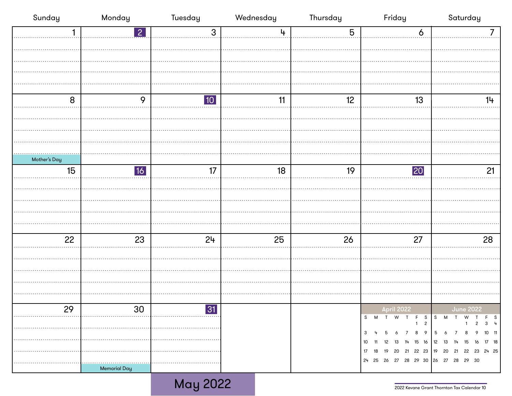| Sunday             | Monday              | Tuesday         | Wednesday | Thursday | Friday                                                                  | Saturday                                 |
|--------------------|---------------------|-----------------|-----------|----------|-------------------------------------------------------------------------|------------------------------------------|
|                    | $\vert$ 2           | 3               | 4         | 5        | $\ddot{\mathbf{6}}$                                                     | 7 <sup>7</sup>                           |
|                    |                     |                 |           |          |                                                                         |                                          |
|                    |                     |                 |           |          |                                                                         |                                          |
|                    |                     |                 |           |          |                                                                         |                                          |
|                    |                     |                 |           |          |                                                                         |                                          |
| 8                  | 9                   | 10 <sub>1</sub> | 11        | 12       | 13                                                                      | 14                                       |
|                    |                     |                 |           |          |                                                                         |                                          |
|                    |                     |                 |           |          |                                                                         |                                          |
|                    |                     |                 |           |          |                                                                         |                                          |
| Mother's Day<br>15 | 16                  | 17              | 18        | 19       | 20                                                                      | 21                                       |
|                    |                     |                 |           |          |                                                                         |                                          |
|                    |                     |                 |           |          |                                                                         |                                          |
|                    |                     |                 |           |          |                                                                         |                                          |
|                    |                     |                 |           |          |                                                                         |                                          |
| 22                 | 23                  | 24              | 25        | 26       | 27                                                                      | 28                                       |
|                    |                     |                 |           |          |                                                                         |                                          |
|                    |                     |                 |           |          |                                                                         |                                          |
|                    |                     |                 |           |          |                                                                         |                                          |
|                    |                     |                 |           |          |                                                                         |                                          |
| 29                 | 30                  | 31              |           |          | <b>April 2022</b><br>S M T W T F S S M T W                              | <b>June 2022</b><br>F S                  |
|                    |                     |                 |           |          | $1 \quad 2$<br>5 6 7 8 9 5 6<br>$3 +$                                   | 34<br>$\overline{7}$<br>8<br>10 11<br>-9 |
|                    |                     |                 |           |          | 10 11 12 13 14 15 16 12 13<br>17 18 19 20 21 22 23 19 20 21 22 23 24 25 | 17 18<br>- 14<br>15<br>16                |
|                    |                     |                 |           |          | 24 25 26 27 28 29 30 26 27 28 29 30                                     |                                          |
|                    | <b>Memorial Day</b> |                 |           |          |                                                                         |                                          |

May 2022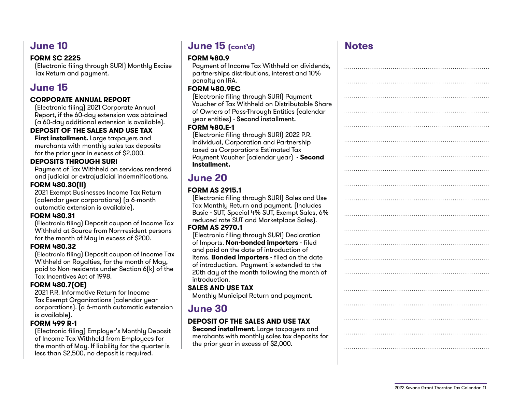### **June 10**

#### **FORM SC 2225**

(Electronic filing through SURI) Monthly Excise Tax Return and payment.

### **June 15**

#### **CORPORATE ANNUAL REPORT**

(Electronic filing) 2021 Corporate Annual Report, if the 60-day extension was obtained (a 60-day additional extension is available).

#### **DEPOSIT OF THE SALES AND USE TAX**

**First installment.** Large taxpayers and merchants with monthly sales tax deposits for the prior year in excess of \$2,000.

#### **DEPOSITS THROUGH SURI**

Payment of Tax Withheld on services rendered and judicial or extrajudicial indemnifications.

#### **FORM 480.30(II)**

2021 Exempt Businesses Income Tax Return (calendar year corporations) (a 6-month automatic extension is available).

#### **FORM 480.31**

(Electronic filing) Deposit coupon of Income Tax Withheld at Source from Non-resident persons for the month of May in excess of \$200.

#### **FORM 480.32**

(Electronic filing) Deposit coupon of Income Tax Withheld on Royalties, for the month of May, paid to Non-residents under Section 6(k) of the Tax Incentives Act of 1998.

#### **FORM 480.7(OE)**

2021 P.R. Informative Return for Income Tax Exempt Organizations (calendar year corporations). (a 6-month automatic extension is available).

#### **FORM 499 R-1**

(Electronic filing) Employer's Monthly Deposit of Income Tax Withheld from Employees for the month of May. If liability for the quarter is less than \$2,500, no deposit is required.

### **June 15 (cont'd)**

#### **FORM 480.9**

Payment of Income Tax Withheld on dividends, partnerships distributions, interest and 10% penalty on IRA.

#### **FORM 480.9EC**

(Electronic filing through SURI) Payment Voucher of Tax Withheld on Distributable Share of Owners of Pass-Through Entities (calendar year entities) - Second installment.

#### **FORM 480.E-1**

(Electronic filing through SURI) 2022 P.R. Individual, Corporation and Partnership taxed as Corporations Estimated Tax Payment Voucher (calendar year) - **Second Installment.**

### **June 20**

#### **FORM AS 2915.1**

(Electronic filing through SURI) Sales and Use Tax Monthly Return and payment. (Includes Basic - SUT, Special 4% SUT, Exempt Sales, 6% reduced rate SUT and Marketplace Sales).

#### **FORM AS 2970.1**

(Electronic filing through SURI) Declaration of Imports. **Non-bonded importers** - filed and paid on the date of introduction of items. **Bonded importers** - filed on the date of introduction. Payment is extended to the 20th day of the month following the month of introduction.

#### **SALES AND USE TAX**

Monthly Municipal Return and payment.

### **June 30**

#### **DEPOSIT OF THE SALES AND USE TAX**

**Second installment**. Large taxpayers and merchants with monthly sales tax deposits for the prior year in excess of \$2,000.

### **Notes**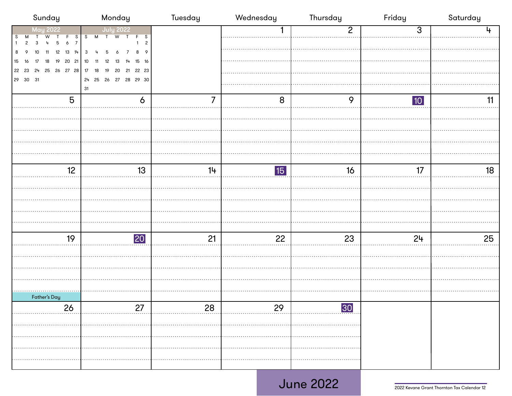| Sunday                                                                                                                                                                                               | Monday                                                                                                                                                                                                         | Tuesday        | Wednesday | Thursday       | Friday          | Saturday |
|------------------------------------------------------------------------------------------------------------------------------------------------------------------------------------------------------|----------------------------------------------------------------------------------------------------------------------------------------------------------------------------------------------------------------|----------------|-----------|----------------|-----------------|----------|
| May 2022<br>$\overline{\text{s}}$<br>W<br>M<br>F.<br>-S<br>$\overline{7}$<br>6<br>3<br>5<br>12<br>13<br>14<br>11<br>8<br>19 20 21<br>18<br>17<br>15<br>-16<br>24 25 26 27 28 17<br>22 23<br>29 30 31 | <b>July 2022</b><br>$S$ M<br>$\overline{w}$<br>T<br>F.<br>S<br>$\overline{c}$<br>3<br>8<br>- 9<br>$\vert$ 10<br>12<br>- 11<br>13<br>15 16<br>14<br>20<br>21<br>22 23<br>18<br>19<br>24  25  26  27  28  29  30 |                |           | $\overline{2}$ | $\overline{3}$  | 4        |
|                                                                                                                                                                                                      | 31                                                                                                                                                                                                             |                |           |                |                 |          |
| $\overline{5}$                                                                                                                                                                                       | 6                                                                                                                                                                                                              | $\overline{7}$ | 8         | 9              | 10 <sup>°</sup> | 11       |
|                                                                                                                                                                                                      |                                                                                                                                                                                                                |                |           |                |                 |          |
| 12                                                                                                                                                                                                   | 13                                                                                                                                                                                                             | 14             | <b>15</b> | 16             | 17              | 18       |
|                                                                                                                                                                                                      |                                                                                                                                                                                                                |                |           |                |                 |          |
| 19                                                                                                                                                                                                   | 20                                                                                                                                                                                                             | 21             | 22        | 23             | 24              | 25       |
|                                                                                                                                                                                                      |                                                                                                                                                                                                                |                |           |                |                 |          |
| <b>Father's Day</b>                                                                                                                                                                                  |                                                                                                                                                                                                                |                |           |                |                 |          |
| 26                                                                                                                                                                                                   | 27                                                                                                                                                                                                             | 28             | 29        | 30             |                 |          |
|                                                                                                                                                                                                      |                                                                                                                                                                                                                |                |           |                |                 |          |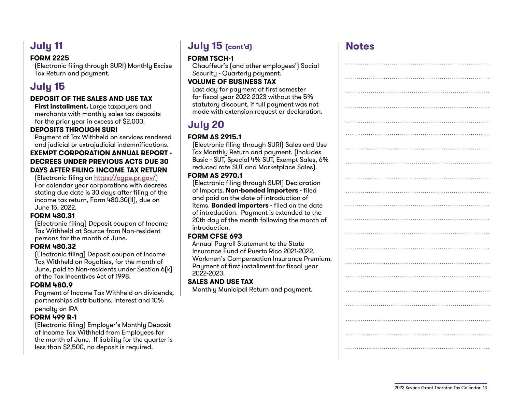#### **FORM 2225**

(Electronic filing through SURI) Monthly Excise Tax Return and payment.

### **July 15**

#### **DEPOSIT OF THE SALES AND USE TAX**

**First installment.** Large taxpayers and merchants with monthly sales tax deposits for the prior year in excess of \$2,000.

#### **DEPOSITS THROUGH SURI**

Payment of Tax Withheld on services rendered and judicial or extrajudicial indemnifications.

#### **EXEMPT CORPORATION ANNUAL REPORT - DECREES UNDER PREVIOUS ACTS DUE 30 DAYS AFTER FILING INCOME TAX RETURN**

(Electronic filing on https://ogpe.pr.gov/) For calendar year corporations with decrees stating due date is 30 days after filing of the income tax return, Form 480.30(II), due on June 15, 2022.

#### **FORM 480.31**

(Electronic filing) Deposit coupon of Income Tax Withheld at Source from Non-resident persons for the month of June.

#### **FORM 480.32**

(Electronic filing) Deposit coupon of Income Tax Withheld on Royalties, for the month of June, paid to Non-residents under Section 6(k) of the Tax Incentives Act of 1998.

#### **FORM 480.9**

Payment of Income Tax Withheld on dividends, partnerships distributions, interest and 10% penalty on IRA

#### **FORM 499 R-1**

(Electronic filing) Employer's Monthly Deposit of Income Tax Withheld from Employees for the month of June. If liability for the quarter is less than \$2,500, no deposit is required.

### **July 11 Notes July 15 (cont'd)**

#### **FORM TSCH-1**

Chauffeur's (and other employees') Social Security - Quarterly payment.

#### **VOLUME OF BUSINESS TAX**

Last day for payment of first semester for fiscal year 2022-2023 without the 5% statutory discount, if full payment was not made with extension request or declaration.

### **July 20**

#### **FORM AS 2915.1**

(Electronic filing through SURI) Sales and Use Tax Monthly Return and payment. (Includes Basic - SUT, Special 4% SUT, Exempt Sales, 6% reduced rate SUT and Marketplace Sales).

#### **FORM AS 2970.1**

(Electronic filing through SURI) Declaration of Imports. **Non-bonded importers** - filed and paid on the date of introduction of items. **Bonded importers** - filed on the date of introduction. Payment is extended to the 20th day of the month following the month of introduction.

#### **FORM CFSE 693**

Annual Payroll Statement to the State Insurance Fund of Puerto Rico 2021-2022. Workmen's Compensation Insurance Premium. Payment of first installment for fiscal year 2022-2023.

#### **SALES AND USE TAX**

Monthly Municipal Return and payment.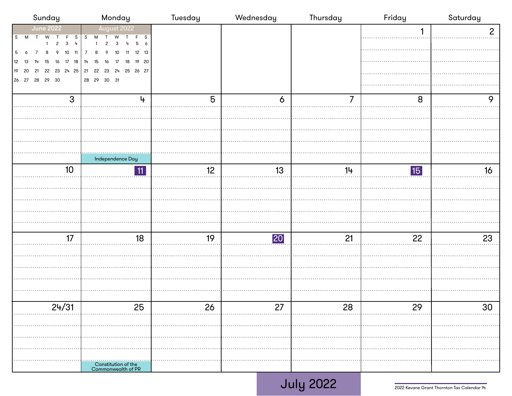| Sunday                                                                                                                  | Monday                                                                                                  | Tuesday        | Wednesday | Thursday       | Friday    | Saturday    |
|-------------------------------------------------------------------------------------------------------------------------|---------------------------------------------------------------------------------------------------------|----------------|-----------|----------------|-----------|-------------|
| <b>June 2022</b><br>S<br>M<br>T<br>W<br>S<br>3<br>$\overline{c}$<br>4<br>10<br>11<br>$\circ$<br>17 18<br>15<br>16<br>12 | August 2022<br>M<br>F S<br>S<br>W<br>3<br>5<br>-6<br>2<br>12 13<br>14<br>19 20<br>15<br>18<br>-16<br>17 |                |           |                |           | $2^{\circ}$ |
| 22 23 24 25 21 22 23<br>21<br>- 20<br>19<br>26 27 28 29 30                                                              | 24 25 26 27<br>28  29  30  31                                                                           |                |           |                |           |             |
| 3                                                                                                                       | 4                                                                                                       | $\overline{5}$ | 6         | $\overline{7}$ | 8         | 9           |
|                                                                                                                         | Independence Day                                                                                        |                |           |                |           |             |
| 10                                                                                                                      | 11                                                                                                      | 12             | 13        | 14             | <b>15</b> | 16          |
| 17                                                                                                                      | 18                                                                                                      | 19             | 20        | 21             | 22        | 23          |
| 24/31                                                                                                                   | 25                                                                                                      | 26             | 27        | 28             | 29        | 30          |
|                                                                                                                         | Constitution of the<br>Commonwealth of PR                                                               |                |           |                |           |             |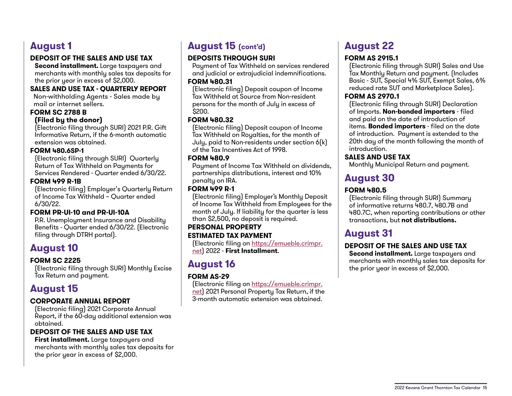### **August 1**

#### **DEPOSIT OF THE SALES AND USE TAX**

**Second installment.** Large taxpayers and merchants with monthly sales tax deposits for the prior year in excess of \$2,000.

#### **SALES AND USE TAX - QUARTERLY REPORT**

Non-withholding Agents - Sales made by mail or internet sellers.

#### **FORM SC 2788 B**

#### **(Filed by the donor)**

(Electronic filing through SURI) 2021 P.R. Gift Informative Return, if the 6-month automatic extension was obtained.

#### **FORM 480.6SP-1**

(Electronic filing through SURI) Quarterly Return of Tax Withheld on Payments for Services Rendered - Quarter ended 6/30/22.

#### **FORM 499 R-1B**

(Electronic filing) Employer's Quarterly Return of Income Tax Withheld – Quarter ended 6/30/22.

#### **FORM PR-UI-10 and PR-UI-10A**

P.R. Unemployment Insurance and Disability Benefits - Quarter ended 6/30/22. (Electronic filing through DTRH portal).

### **August 10**

#### **FORM SC 2225**

(Electronic filing through SURI) Monthly Excise Tax Return and payment.

### **August 15**

#### **CORPORATE ANNUAL REPORT**

(Electronic filing) 2021 Corporate Annual Report, if the 60-day additional extension was obtained.

#### **DEPOSIT OF THE SALES AND USE TAX**

**First installment.** Large taxpayers and merchants with monthly sales tax deposits for the prior year in excess of \$2,000.

### **August 15 (cont'd)**

#### **DEPOSITS THROUGH SURI**

Payment of Tax Withheld on services rendered and judicial or extrajudicial indemnifications.

#### **FORM 480.31**

(Electronic filing) Deposit coupon of Income Tax Withheld at Source from Non-resident persons for the month of July in excess of \$200.

#### **FORM 480.32**

(Electronic filing) Deposit coupon of Income Tax Withheld on Royalties, for the month of July, paid to Non-residents under section 6(k) of the Tax Incentives Act of 1998.

#### **FORM 480.9**

Payment of Income Tax Withheld on dividends, partnerships distributions, interest and 10% penalty on IRA.

#### **FORM 499 R-1**

(Electronic filing) Employer's Monthly Deposit of Income Tax Withheld from Employees for the month of July. If liability for the quarter is less than \$2,500, no deposit is required.

#### **PERSONAL PROPERTY ESTIMATED TAX PAYMENT**

(Electronic filing on https://emueble.crimpr. net) 2022 - **First Installment**.

### **August 16**

#### **FORM AS-29**

(Electronic filing on https://emueble.crimpr. net) 2021 Personal Property Tax Return, if the 3-month automatic extension was obtained.

### **August 22**

#### **FORM AS 2915.1**

(Electronic filing through SURI) Sales and Use Tax Monthly Return and payment. (Includes Basic - SUT, Special 4% SUT, Exempt Sales, 6% reduced rate SUT and Marketplace Sales).

#### **FORM AS 2970.1**

(Electronic filing through SURI) Declaration of Imports. **Non-bonded importers** - filed and paid on the date of introduction of items. **Bonded importers** - filed on the date of introduction. Payment is extended to the 20th day of the month following the month of introduction.

#### **SALES AND USE TAX**

Monthly Municipal Return and payment.

### **August 30**

#### **FORM 480.5**

(Electronic filing through SURI) Summary of informative returns 480.7, 480.7B and 480.7C, when reporting contributions or other transactions, but **not distributions.**

### **August 31**

#### **DEPOSIT OF THE SALES AND USE TAX**

**Second installment.** Large taxpayers and merchants with monthly sales tax deposits for the prior year in excess of \$2,000.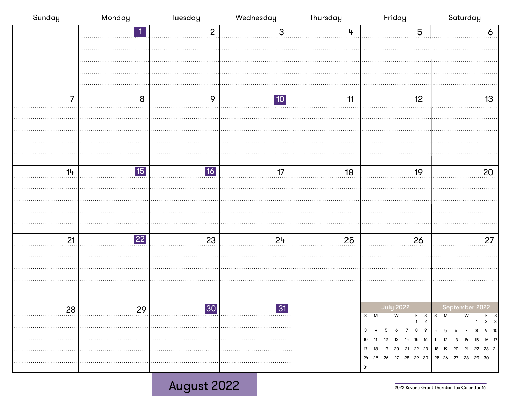| Sunday         | Monday         | Tuesday        | Wednesday    | Thursday | Friday                                                                              | Saturday                                      |
|----------------|----------------|----------------|--------------|----------|-------------------------------------------------------------------------------------|-----------------------------------------------|
|                | $\overline{1}$ | $\overline{c}$ | $\mathbf{3}$ | 4        | $\overline{5}$                                                                      | 6                                             |
|                |                |                |              |          |                                                                                     |                                               |
|                |                |                |              |          |                                                                                     |                                               |
|                |                |                |              |          |                                                                                     |                                               |
| $\overline{7}$ | 8              | 9              | 10           | 11       | 12 <sup>°</sup>                                                                     | 13                                            |
|                |                |                |              |          |                                                                                     |                                               |
|                |                |                |              |          |                                                                                     |                                               |
|                |                |                |              |          |                                                                                     |                                               |
|                |                |                |              |          |                                                                                     |                                               |
| 14             | 15             | 16             | 17           | 18       | 19                                                                                  | 20                                            |
|                |                |                |              |          |                                                                                     |                                               |
|                |                |                |              |          |                                                                                     |                                               |
|                |                |                |              |          |                                                                                     |                                               |
| 21             | 22             | 23             | 24           | 25       | 26                                                                                  | 27                                            |
|                |                |                |              |          |                                                                                     |                                               |
|                |                |                |              |          |                                                                                     |                                               |
|                |                |                |              |          |                                                                                     |                                               |
|                |                |                |              |          |                                                                                     |                                               |
| 28             | 29             | 30             | $31$         |          | <b>July 2022</b>                                                                    | September 2022<br>S M T W T F S S M T W T F S |
|                |                |                |              |          | $1 \quad 2$<br>7 8 9<br>5<br>6<br>3<br>- 4                                          | 5<br>$\frac{1}{2}$<br>6<br>7<br>9 10<br>8     |
|                |                |                |              |          | 10                                                                                  | 11 12 13 14 15 16 11 12 13 14 15 16 17        |
|                |                |                |              |          | 17 18 19 20 21 22 23 18 19 20 21 22 23 24<br>24 25 26 27 28 29 30 25 26 27 28 29 30 |                                               |
|                |                |                |              |          | 31                                                                                  |                                               |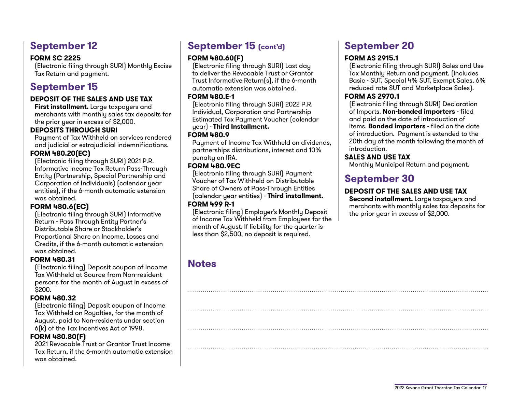### **September 12**

#### **FORM SC 2225**

(Electronic filing through SURI) Monthly Excise Tax Return and payment.

### **September 15**

#### **DEPOSIT OF THE SALES AND USE TAX**

**First installment.** Large taxpayers and merchants with monthly sales tax deposits for the prior year in excess of \$2,000.

#### **DEPOSITS THROUGH SURI**

Payment of Tax Withheld on services rendered and judicial or extrajudicial indemnifications.

#### **FORM 480.20(EC)**

(Electronic filing through SURI) 2021 P.R. Informative Income Tax Return Pass-Through Entity (Partnership, Special Partnership and Corporation of Individuals) (calendar year entities), if the 6-month automatic extension was obtained.

#### **FORM 480.6(EC)**

(Electronic filing through SURI) Informative Return - Pass Through Entity Partner's Distributable Share or Stockholder's Proportional Share on Income, Losses and Credits, if the 6-month automatic extension was obtained.

#### **FORM 480.31**

(Electronic filing) Deposit coupon of Income Tax Withheld at Source from Non-resident persons for the month of August in excess of \$200.

#### **FORM 480.32**

(Electronic filing) Deposit coupon of Income Tax Withheld on Royalties, for the month of August, paid to Non-residents under section 6(k) of the Tax Incentives Act of 1998.

#### **FORM 480.80(F)**

2021 Revocable Trust or Grantor Trust Income Tax Return, if the 6-month automatic extension was obtained.

### **September 15 (cont'd)**

#### **FORM 480.60(F)**

(Electronic filing through SURI) Last day to deliver the Revocable Trust or Grantor Trust Informative Return(s), if the 6-month automatic extension was obtained.

#### **FORM 480.E-1**

(Electronic filing through SURI) 2022 P.R. Individual, Corporation and Partnership Estimated Tax Payment Voucher (calendar year) - **Third Installment.**

#### **FORM 480.9**

Payment of Income Tax Withheld on dividends, partnerships distributions, interest and 10% penalty on IRA.

#### **FORM 480.9EC**

(Electronic filing through SURI) Payment Voucher of Tax Withheld on Distributable Share of Owners of Pass-Through Entities (calendar year entities) - **Third installment.**

#### **FORM 499 R-1**

(Electronic filing) Employer's Monthly Deposit of Income Tax Withheld from Employees for the month of August. If liability for the quarter is less than \$2,500, no deposit is required.

### **Notes**

### **September 20**

#### **FORM AS 2915.1**

(Electronic filing through SURI) Sales and Use Tax Monthly Return and payment. (Includes Basic - SUT, Special 4% SUT, Exempt Sales, 6% reduced rate SUT and Marketplace Sales).

#### **FORM AS 2970.1**

(Electronic filing through SURI) Declaration of Imports. **Non-bonded importers** - filed and paid on the date of introduction of items. **Bonded importers** - filed on the date of introduction. Payment is extended to the 20th day of the month following the month of introduction.

#### **SALES AND USE TAX**

Monthly Municipal Return and payment.

### **September 30**

#### **DEPOSIT OF THE SALES AND USE TAX**

**Second installment.** Large taxpayers and merchants with monthly sales tax deposits for the prior year in excess of \$2,000.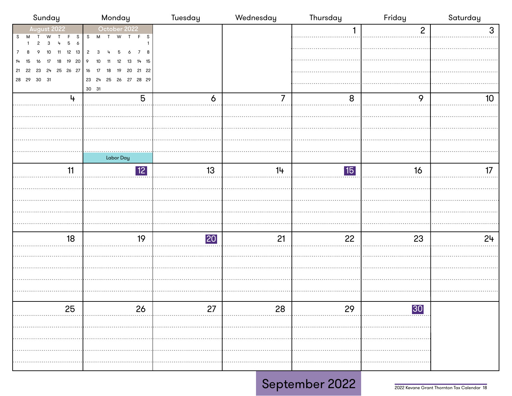| Sunday                                                                    | Monday                          | Tuesday | Wednesday      | Thursday | Friday         | Saturday |
|---------------------------------------------------------------------------|---------------------------------|---------|----------------|----------|----------------|----------|
| August 2022                                                               | October 2022                    |         |                |          | $\overline{2}$ | 3        |
| W<br>$F-S$<br>S M T<br>$\mathsf{T}$<br>5<br>6<br>$\overline{c}$<br>3<br>4 | S M T W T<br>F.<br>S            |         |                |          |                |          |
| 10<br>11<br>12<br>13<br>9<br>7                                            | $\overline{c}$<br>3<br>6<br>7 8 |         |                |          |                |          |
| $18$ $19$ $20$ $9$<br>16<br>17<br>14<br>15                                | 10<br>13<br>12<br>14 15<br>-11  |         |                |          |                |          |
| 23 24 25 26 27 16<br>21 22                                                | 19  20  21  22<br>18<br>- 17    |         |                |          |                |          |
| 28  29  30  31                                                            | 23 24 25 26 27 28 29            |         |                |          |                |          |
|                                                                           | 30 31                           |         |                |          |                |          |
| 4                                                                         | 5                               | 6       | $\overline{7}$ | 8        | 9              | 10       |
|                                                                           |                                 |         |                |          |                |          |
|                                                                           |                                 |         |                |          |                |          |
|                                                                           |                                 |         |                |          |                |          |
|                                                                           |                                 |         |                |          |                |          |
|                                                                           | Labor Day                       |         |                |          |                |          |
| 11                                                                        | 12                              | 13      | 14             | 15       | 16             | 17       |
|                                                                           |                                 |         |                |          |                |          |
|                                                                           |                                 |         |                |          |                |          |
|                                                                           |                                 |         |                |          |                |          |
|                                                                           |                                 |         |                |          |                |          |
|                                                                           |                                 |         |                |          |                |          |
|                                                                           |                                 |         |                |          |                |          |
| 18                                                                        | 19                              | 20      | 21             | 22       | 23             | 24       |
|                                                                           |                                 |         |                |          |                |          |
|                                                                           |                                 |         |                |          |                |          |
|                                                                           |                                 |         |                |          |                |          |
|                                                                           |                                 |         |                |          |                |          |
|                                                                           |                                 |         |                |          |                |          |
|                                                                           |                                 |         |                |          |                |          |
| 25                                                                        | 26                              | 27      | 28             | 29       | 30             |          |
|                                                                           |                                 |         |                |          |                |          |
|                                                                           |                                 |         |                |          |                |          |
|                                                                           |                                 |         |                |          |                |          |
|                                                                           |                                 |         |                |          |                |          |
|                                                                           |                                 |         |                |          |                |          |

### September 2022 2022 Kevane Grant Thornton Tax Calendar 18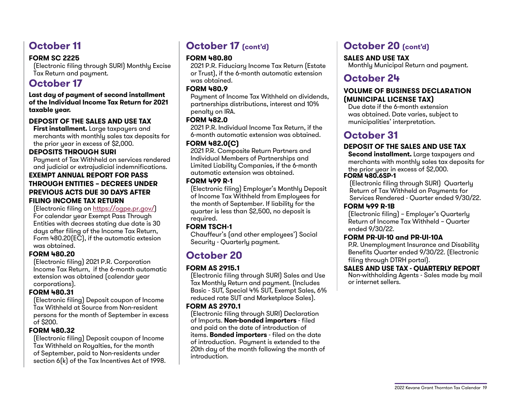### **October 11**

#### **FORM SC 2225**

(Electronic filing through SURI) Monthly Excise Tax Return and payment.

### **October 17**

**Last day of payment of second installment of the Individual Income Tax Return for 2021 taxable year.**

#### **DEPOSIT OF THE SALES AND USE TAX**

**First installment.** Large taxpayers and merchants with monthly sales tax deposits for the prior year in excess of \$2,000.

#### **DEPOSITS THROUGH SURI**

Payment of Tax Withheld on services rendered and judicial or extrajudicial indemnifications.

#### **EXEMPT ANNUAL REPORT FOR PASS THROUGH ENTITIES – DECREES UNDER PREVIOUS ACTS DUE 30 DAYS AFTER FILING INCOME TAX RETURN**

(Electronic filing on https://ogpe.pr.gov/) For calendar year Exempt Pass Through Entities with decrees stating due date is 30 days after filing of the Income Tax Return, Form 480.20(EC), if the automatic extesion was obtained.

#### **FORM 480.20**

(Electronic filing) 2021 P.R. Corporation Income Tax Return, if the 6-month automatic extension was obtained (calendar year corporations).

#### **FORM 480.31**

(Electronic filing) Deposit coupon of Income Tax Withheld at Source from Non-resident persons for the month of September in excess of \$200.

#### **FORM 480.32**

(Electronic filing) Deposit coupon of Income Tax Withheld on Royalties, for the month of September, paid to Non-residents under section 6(k) of the Tax Incentives Act of 1998.

### **October 17 (cont'd)**

#### **FORM 480.80**

2021 P.R. Fiduciary Income Tax Return (Estate or Trust), if the 6-month automatic extension was obtained.

#### **FORM 480.9**

Payment of Income Tax Withheld on dividends, partnerships distributions, interest and 10% penalty on IRA.

#### **FORM 482.0**

2021 P.R. Individual Income Tax Return, if the 6-month automatic extension was obtained.

#### **FORM 482.0(C)**

2021 P.R. Composite Return Partners and Individual Members of Partnerships and Limited Liability Companies, if the 6-month automatic extension was obtained.

#### **FORM 499 R-1**

(Electronic filing) Employer's Monthly Deposit of Income Tax Withheld from Employees for the month of September. If liability for the quarter is less than \$2,500, no deposit is required.

#### **FORM TSCH-1**

Chauffeur's (and other employees') Social Security - Quarterly payment.

### **October 20**

#### **FORM AS 2915.1**

(Electronic filing through SURI) Sales and Use Tax Monthly Return and payment. (Includes Basic - SUT, Special 4% SUT, Exempt Sales, 6% reduced rate SUT and Marketplace Sales).

#### **FORM AS 2970.1**

(Electronic filing through SURI) Declaration of Imports. **Non-bonded importers** - filed and paid on the date of introduction of items. **Bonded importers** - filed on the date of introduction. Payment is extended to the 20th day of the month following the month of introduction.

### **October 20 (cont'd)**

#### **SALES AND USE TAX**

Monthly Municipal Return and payment.

### **October 24**

#### **VOLUME OF BUSINESS DECLARATION (MUNICIPAL LICENSE TAX)**

Due date if the 6-month extension was obtained. Date varies, subject to municipalities' interpretation.

### **October 31**

#### **DEPOSIT OF THE SALES AND USE TAX**

**Second installment.** Large taxpayers and merchants with monthly sales tax deposits for the prior year in excess of \$2,000.

#### **FORM 480.6SP-1**

(Electronic filing through SURI) Quarterly Return of Tax Withheld on Payments for Services Rendered - Quarter ended 9/30/22.

#### **FORM 499 R-1B**

(Electronic filing) – Employer's Quarterly Return of Income Tax Withheld – Quarter ended 9/30/22.

#### **FORM PR-UI-10 and PR-UI-10A**

P.R. Unemployment Insurance and Disability Benefits Quarter ended 9/30/22. (Electronic filing through DTRH portal).

#### **SALES AND USE TAX - QUARTERLY REPORT**

Non-withholding Agents - Sales made by mail or internet sellers.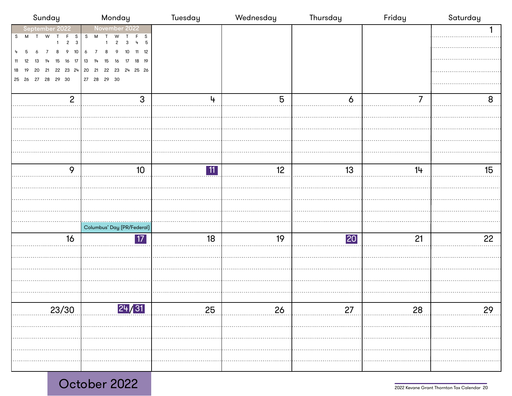| Sunday                                                                                                                                        | Monday                                                                                                                                                                               | Tuesday | Wednesday      | Thursday | Friday         | Saturday |
|-----------------------------------------------------------------------------------------------------------------------------------------------|--------------------------------------------------------------------------------------------------------------------------------------------------------------------------------------|---------|----------------|----------|----------------|----------|
| September 2022<br>S M T W<br>S<br>$\mathsf{T}$<br>F.<br>$\mathbf{3}$<br>$\overline{c}$<br>10<br>8<br>9<br>7<br>4<br>- 5<br>14 15<br>13<br>-12 | November 2022<br>S M T<br>$F$ S<br>W<br>$\mathsf{T}$<br>$\overline{c}$<br>5<br>3<br>4<br>6 <sup>6</sup><br>10<br>7<br>8<br>9<br>$11 \quad 12$<br>16 17 13 14 15<br>16<br>18 19<br>17 |         |                |          |                |          |
| 11<br>-19<br>18<br>25  26  27  28  29  30                                                                                                     | 20 21 22 23 24 20 21 22 23 24 25 26<br>27 28 29 30                                                                                                                                   |         |                |          |                |          |
| $\overline{c}$                                                                                                                                | $\mathbf{3}$                                                                                                                                                                         | 4       | $5\phantom{1}$ | 6        | $\overline{7}$ | 8        |
| 9                                                                                                                                             | 10                                                                                                                                                                                   | 11      | 12             | 13       | 14             | 15       |
| 16                                                                                                                                            | Columbus' Day (PR/Federal)<br>17 <sup>2</sup>                                                                                                                                        | 18      | 19             | 20       | 21             | 22       |
|                                                                                                                                               |                                                                                                                                                                                      |         |                |          |                |          |
| 23/30                                                                                                                                         | 24/31                                                                                                                                                                                | 25      | 26             | 27       | 28             | 29       |
|                                                                                                                                               |                                                                                                                                                                                      |         |                |          |                |          |

### October 2022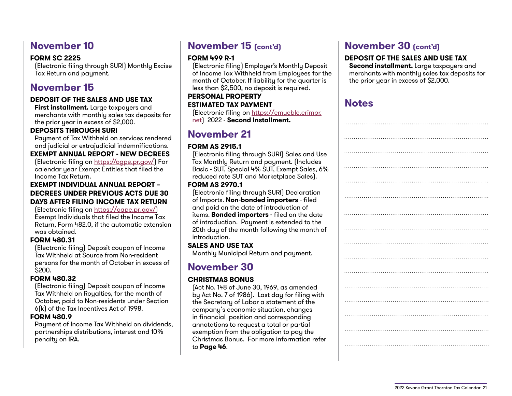### **November 10**

#### **FORM SC 2225**

(Electronic filing through SURI) Monthly Excise Tax Return and payment.

### **November 15**

#### **DEPOSIT OF THE SALES AND USE TAX**

**First installment.** Large taxpayers and merchants with monthly sales tax deposits for the prior year in excess of \$2,000.

#### **DEPOSITS THROUGH SURI**

Payment of Tax Withheld on services rendered and judicial or extrajudicial indemnifications.

#### **EXEMPT ANNUAL REPORT - NEW DECREES**

(Electronic filing on https://ogpe.pr.gov/) For calendar year Exempt Entities that filed the Income Tax Return.

#### **EXEMPT INDIVIDUAL ANNUAL REPORT – DECREES UNDER PREVIOUS ACTS DUE 30 DAYS AFTER FILING INCOME TAX RETURN**

(Electronic filing on https://ogpe.pr.gov/) Exempt Individuals that filed the Income Tax Return, Form 482.0, if the automatic extension was obtained.

#### **FORM 480.31**

(Electronic filing) Deposit coupon of Income Tax Withheld at Source from Non-resident persons for the month of October in excess of \$200.

#### **FORM 480.32**

(Electronic filing) Deposit coupon of Income Tax Withheld on Royalties, for the month of October, paid to Non-residents under Section 6(k) of the Tax Incentives Act of 1998.

#### **FORM 480.9**

Payment of Income Tax Withheld on dividends, partnerships distributions, interest and 10% penalty on IRA.

### **November 15 (cont'd)**

#### **FORM 499 R-1**

(Electronic filing) Employer's Monthly Deposit of Income Tax Withheld from Employees for the month of October. If liability for the quarter is less than \$2,500, no deposit is required.

### **PERSONAL PROPERTY**

#### **ESTIMATED TAX PAYMENT**

(Electronic filing on https://emueble.crimpr. net) 2022 - **Second Installment.**

### **November 21**

#### **FORM AS 2915.1**

(Electronic filing through SURI) Sales and Use Tax Monthly Return and payment. (Includes Basic - SUT, Special 4% SUT, Exempt Sales, 6% reduced rate SUT and Marketplace Sales).

#### **FORM AS 2970.1**

(Electronic filing through SURI) Declaration of Imports. **Non-bonded importers** - filed and paid on the date of introduction of items. **Bonded importers** - filed on the date of introduction. Payment is extended to the 20th day of the month following the month of introduction.

#### **SALES AND USE TAX**

Monthly Municipal Return and payment.

### **November 30**

#### **CHRISTMAS BONUS**

(Act No. 148 of June 30, 1969, as amended by Act No. 7 of 1986). Last day for filing with the Secretary of Labor a statement of the company's economic situation, changes in financial position and corresponding annotations to request a total or partial exemption from the obligation to pay the Christmas Bonus. For more information refer to **Page 46**.

### **November 30 (cont'd)**

#### **DEPOSIT OF THE SALES AND USE TAX**

**Second installment.** Large taxpayers and merchants with monthly sales tax deposits for the prior year in excess of \$2,000.

### **Notes**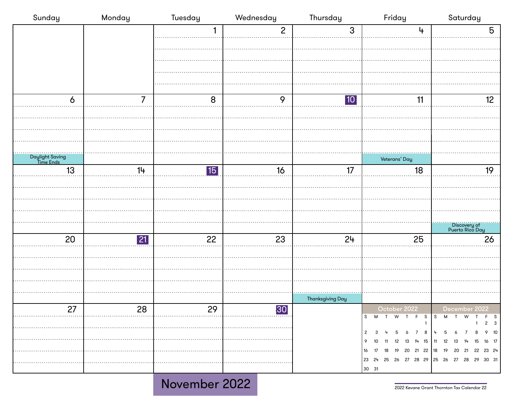| Sunday                       | Monday         | Tuesday | Wednesday      | Thursday                | Friday                                                                       | Saturday                                  |
|------------------------------|----------------|---------|----------------|-------------------------|------------------------------------------------------------------------------|-------------------------------------------|
|                              |                |         | $\overline{2}$ | 3                       | 4                                                                            | $\overline{5}$                            |
|                              |                |         |                |                         |                                                                              |                                           |
|                              |                |         |                |                         |                                                                              |                                           |
| 6                            | $\overline{7}$ | 8       | 9              | 10                      | 11                                                                           | 12 <sup>2</sup>                           |
|                              |                |         |                |                         |                                                                              |                                           |
| Daylight Saving<br>Time Ends |                |         |                |                         | Veterans' Day                                                                |                                           |
| 13                           | 14             | 15      | 16             | 17                      | 18                                                                           | 19                                        |
|                              |                |         |                |                         |                                                                              | Discovery of<br>Puerto Rico Day           |
| 20                           | 21             | 22      | 23             | 24                      | 25                                                                           | 26                                        |
|                              |                |         |                |                         |                                                                              |                                           |
|                              |                |         |                | <b>Thanksgiving Day</b> |                                                                              |                                           |
| 27                           | 28             | 29      | 30             |                         | October 2022<br>SMTWTFSSM                                                    | December 2022<br>W<br>$\mathsf{T}$<br>F S |
|                              |                |         |                |                         | 1.<br>$\mathbf{3}$<br>5<br>6 7 8 4<br>$^{2}$<br>- 4                          | - 5<br>9 10<br>6                          |
|                              |                |         |                |                         | 11 12<br>13 14 15 11<br>9<br>10<br>16 17 18 19 20 21 22 18 19 20 21 22 23 24 | 12<br>13<br>16 17<br>$-14$<br>15          |
|                              |                |         |                |                         | 23 24 25 26 27 28 29 25 26 27 28 29 30 31<br>30 31                           |                                           |
|                              |                |         |                |                         |                                                                              |                                           |

### November 2022 2022 2023 Kevane Grant Thornton Tax Calendar 22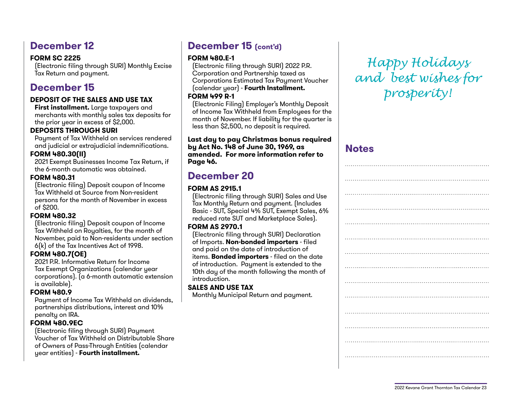### **December 12**

#### **FORM SC 2225**

(Electronic filing through SURI) Monthly Excise Tax Return and payment.

### **December 15**

#### **DEPOSIT OF THE SALES AND USE TAX**

**First installment.** Large taxpayers and merchants with monthly sales tax deposits for the prior year in excess of \$2,000.

#### **DEPOSITS THROUGH SURI**

Payment of Tax Withheld on services rendered and judicial or extrajudicial indemnifications.

#### **FORM 480.30(II)**

2021 Exempt Businesses Income Tax Return, if the 6-month automatic was obtained.

#### **FORM 480.31**

(Electronic filing) Deposit coupon of Income Tax Withheld at Source from Non-resident persons for the month of November in excess of \$200.

#### **FORM 480.32**

(Electronic filing) Deposit coupon of Income Tax Withheld on Royalties, for the month of November, paid to Non-residents under section 6(k) of the Tax Incentives Act of 1998.

#### **FORM 480.7(OE)**

2021 P.R. Informative Return for Income Tax Exempt Organizations (calendar year corporations). (a 6-month automatic extension is available).

#### **FORM 480.9**

Payment of Income Tax Withheld on dividends, partnerships distributions, interest and 10% penalty on IRA.

#### **FORM 480.9EC**

(Electronic filing through SURI) Payment Voucher of Tax Withheld on Distributable Share of Owners of Pass-Through Entities (calendar year entities) - **Fourth installment.**

### **December 15 (cont'd)**

#### **FORM 480.E-1**

(Electronic filing through SURI) 2022 P.R. Corporation and Partnership taxed as Corporations Estimated Tax Payment Voucher (calendar year) - **Fourth Installment.**

#### **FORM 499 R-1**

(Electronic Filing) Employer's Monthly Deposit of Income Tax Withheld from Employees for the month of November. If liability for the quarter is less than \$2,500, no deposit is required.

**Last day to pay Christmas bonus required by Act No. 148 of June 30, 1969, as amended. For more information refer to Page 46.**

### **December 20**

#### **FORM AS 2915.1**

(Electronic filing through SURI) Sales and Use Tax Monthly Return and payment. (Includes Basic - SUT, Special 4% SUT, Exempt Sales, 6% reduced rate SUT and Marketplace Sales).

#### **FORM AS 2970.1**

(Electronic filing through SURI) Declaration of Imports. **Non-bonded importers** - filed and paid on the date of introduction of items. **Bonded importers** - filed on the date of introduction. Payment is extended to the 10th day of the month following the month of introduction.

#### **SALES AND USE TAX**

Monthly Municipal Return and payment.

### *Happy Holidays and best wishes for prosperity!*

### **Notes**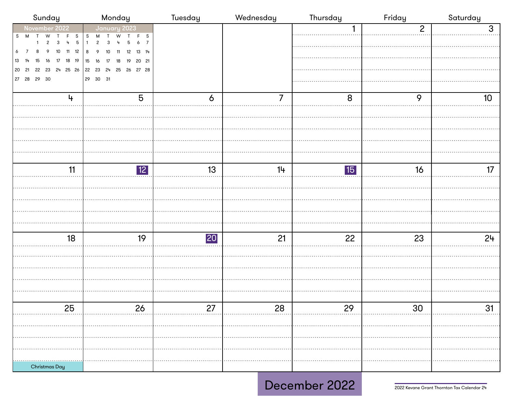| Sunday                                                      | Monday                                                                  | Tuesday  | Wednesday      | Thursday | Friday         | Saturday        |
|-------------------------------------------------------------|-------------------------------------------------------------------------|----------|----------------|----------|----------------|-----------------|
| November 2022                                               | January 2023                                                            |          |                |          | $\overline{2}$ | 3               |
| S M T W T F<br>S<br>$\overline{c}$<br>$5^{\circ}$<br>3<br>4 | S<br>M T<br>W<br>F S<br>$\mathsf{T}$<br>$\overline{c}$<br>5<br>3<br>6 7 |          |                |          |                |                 |
| $11 \t12$<br>10<br>8<br>9<br>6<br>- 7                       | 8<br>$\overline{9}$<br>10<br>12<br>11<br>13 14                          |          |                |          |                |                 |
| 17 18 19 15 16<br>15<br>16<br>13 14                         | 18<br>19 20 21<br>17                                                    |          |                |          |                |                 |
| 20 21 22 23 24 25 26 22 23 24 25 26 27 28                   |                                                                         |          |                |          |                |                 |
| 27 28 29 30                                                 | 29 30 31                                                                |          |                |          |                |                 |
|                                                             |                                                                         |          |                |          |                |                 |
| 4                                                           | $5\overline{)}$                                                         | $\delta$ | $\overline{7}$ | 8        | 9              | 10 <sup>1</sup> |
|                                                             |                                                                         |          |                |          |                |                 |
|                                                             |                                                                         |          |                |          |                |                 |
|                                                             |                                                                         |          |                |          |                |                 |
|                                                             |                                                                         |          |                |          |                |                 |
|                                                             |                                                                         |          |                |          |                |                 |
| 11                                                          | 12                                                                      | 13       | 14             | 15       | 16             | 17              |
|                                                             |                                                                         |          |                |          |                |                 |
|                                                             |                                                                         |          |                |          |                |                 |
|                                                             |                                                                         |          |                |          |                |                 |
|                                                             |                                                                         |          |                |          |                |                 |
|                                                             |                                                                         |          |                |          |                |                 |
|                                                             |                                                                         |          |                |          |                |                 |
| 18                                                          | 19                                                                      | 20       | 21             | 22       | 23             | 24              |
|                                                             |                                                                         |          |                |          |                |                 |
|                                                             |                                                                         |          |                |          |                |                 |
|                                                             |                                                                         |          |                |          |                |                 |
|                                                             |                                                                         |          |                |          |                |                 |
|                                                             |                                                                         |          |                |          |                |                 |
|                                                             |                                                                         |          |                |          |                |                 |
| 25                                                          | 26                                                                      | 27       | 28             | 29       | 30             | 31              |
|                                                             |                                                                         |          |                |          |                |                 |
|                                                             |                                                                         |          |                |          |                |                 |
|                                                             |                                                                         |          |                |          |                |                 |
|                                                             |                                                                         |          |                |          |                |                 |
|                                                             |                                                                         |          |                |          |                |                 |
| <b>Christmas Day</b>                                        |                                                                         |          |                |          |                |                 |

### December 2022 2022 Kevane Grant Thornton Tax Calendar 24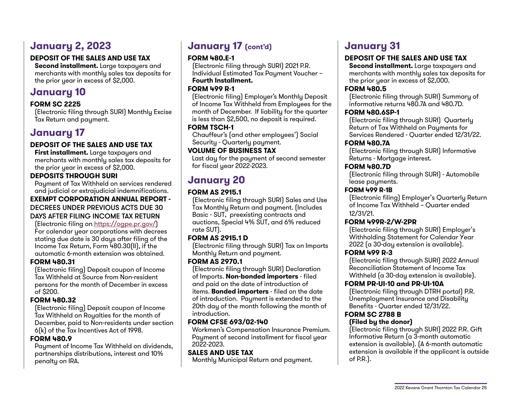### **January 2, 2023**

#### **DEPOSIT OF THE SALES AND USE TAX**

**Second installment.** Large taxpayers and merchants with monthly sales tax deposits for the prior year in excess of \$2,000.

### **January 10**

#### **FORM SC 2225**

(Electronic filing through SURI) Monthly Excise Tax Return and payment.

### **January 17**

#### **DEPOSIT OF THE SALES AND USE TAX**

**First installment.** Large taxpayers and merchants with monthly sales tax deposits for the prior year in excess of \$2,000.

#### **DEPOSITS THROUGH SURI**

Payment of Tax Withheld on services rendered and judicial or extrajudicial indemnifications.

#### **EXEMPT CORPORATION ANNUAL REPORT -** DECREES UNDER PREVIOUS ACTS DUE 30 DAYS AFTER FILING INCOME TAX RETURN

(Electronic filing on https://ogpe.pr.gov/) For calendar year corporations with decrees stating due date is 30 days after filing of the Income Tax Return, Form 480.30(II), if the automatic 6-month extension was obtained.

#### **FORM 480.31**

(Electronic filing) Deposit coupon of Income Tax Withheld at Source from Non-resident persons for the month of December in excess of \$200.

#### **FORM 480.32**

(Electronic filing) Deposit coupon of Income Tax Withheld on Royalties for the month of December, paid to Non-residents under section 6(k) of the Tax Incentives Act of 1998.

#### **FORM 480.9**

Payment of Income Tax Withheld on dividends, partnerships distributions, interest and 10% penalty on IRA.

### **January 17 (cont'd)**

#### **FORM 480.E-1**

(Electronic filing through SURI) 2021 P.R. Individual Estimated Tax Payment Voucher – **Fourth Installment.**

#### **FORM 499 R-1**

(Electronic filing) Employer's Monthly Deposit of Income Tax Withheld from Employees for the month of December. If liability for the quarter is less than \$2,500, no deposit is required.

#### **FORM TSCH-1**

Chauffeur's (and other employees') Social Security - Quarterly payment.

#### **VOLUME OF BUSINESS TAX**

Last day for the payment of second semester for fiscal year 2022-2023.

### **January 20**

#### **FORM AS 2915.1**

(Electronic filing through SURI) Sales and Use Tax Monthly Return and payment. (Includes Basic - SUT, preexisting contracts and auctions, Special 4% SUT, and 6% reduced rate SUT).

#### **FORM AS 2915.1 D**

(Electronic filing through SURI) Tax on Imports Monthly Return and payment.

#### **FORM AS 2970.1**

(Electronic filing through SURI) Declaration of Imports. **Non-bonded importers** - filed and paid on the date of introduction of items. **Bonded importers** - filed on the date of introduction. Payment is extended to the 20th day of the month following the month of introduction.

#### **FORM CFSE 693/02-140**

Workmen's Compensation Insurance Premium. Payment of second installment for fiscal year 2022-2023.

#### **SALES AND USE TAX**

Monthly Municipal Return and payment.

### **January 31**

#### **DEPOSIT OF THE SALES AND USE TAX**

**Second installment.** Large taxpayers and merchants with monthly sales tax deposits for the prior year in excess of \$2,000.

#### **FORM 480.5**

(Electronic filing through SURI) Summary of informative returns 480.7A and 480.7D.

#### **FORM 480.6SP-1**

(Electronic filing through SURI) Quarterly Return of Tax Withheld on Payments for Services Rendered - Quarter ended 12/31/22.

#### **FORM 480.7A**

(Electronic filing through SURI) Informative Returns - Mortgage interest.

#### **FORM 480.7D**

(Electronic filing through SURI) - Automobile lease payments.

#### **FORM 499 R-1B**

(Electronic filing) Employer's Quarterly Return of Income Tax Withheld – Quarter ended 12/31/21.

#### **FORM 499R-2/W-2PR**

(Electronic filing through SURI) Employer's Withholding Statement for Calendar Year 2022 (a 30-day extension is available).

#### **FORM 499 R-3**

(Electronic filing through SURI) 2022 Annual Reconciliation Statement of Income Tax Withheld (a 30-day extension is available).

#### **FORM PR-UI-10 and PR-UI-10A**

(Electronic filing through DTRH portal) P.R. Unemployment Insurance and Disability Benefits - Quarter ended 12/31/22.

#### **FORM SC 2788 B (Filed by the donor)**

(Electronic filing through SURI) 2022 P.R. Gift Informative Return (a 3-month automatic extension is available). (A 6-month automatic extension is available if the applicant is outside of P.R.).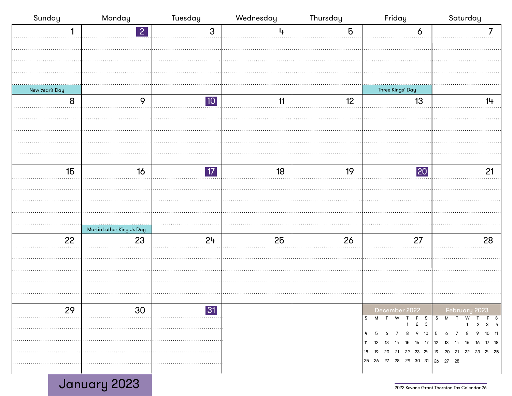| Sunday         | Monday                     | Tuesday         | Wednesday | Thursday | Friday                                                                      | Saturday       |
|----------------|----------------------------|-----------------|-----------|----------|-----------------------------------------------------------------------------|----------------|
| 1              | $\boxed{2}$                | $\mathfrak{S}$  | 4         | 5        | 6                                                                           | $\overline{7}$ |
|                |                            |                 |           |          |                                                                             |                |
|                |                            |                 |           |          |                                                                             |                |
| New Year's Day |                            |                 |           |          | Three Kings' Day                                                            |                |
| 8              | 9                          | 10 <sup>°</sup> | 11        | 12       | 13                                                                          | 14             |
|                |                            |                 |           |          |                                                                             |                |
|                |                            |                 |           |          |                                                                             |                |
| 15             | 16                         | 17              | 18        | 19       | 20                                                                          | 21             |
|                |                            |                 |           |          |                                                                             |                |
|                |                            |                 |           |          |                                                                             |                |
|                | Martin Luther King Jr. Day |                 |           |          |                                                                             |                |
| 22             | 23                         | 24              | 25        | 26       | 27                                                                          | 28             |
|                |                            |                 |           |          |                                                                             |                |
|                |                            |                 |           |          |                                                                             |                |
| 29             | 30                         | 31              |           |          | December 2022                                                               | February 2023  |
|                |                            |                 |           |          | S M T W T F S S M T W<br>$2 \quad 3$                                        | F S<br>3       |
|                |                            |                 |           |          | 4 5 6 7 8 9 10 5 6 7 8 9 10 11<br>11 12 13 14 15 16 17 12 13 14 15 16 17 18 |                |
|                |                            |                 |           |          | 18 19 20 21 22 23 24 19 20 21 22 23 24 25                                   |                |
|                |                            |                 |           |          | 25 26 27 28 29 30 31 26 27 28                                               |                |

January 2023  $\frac{1}{2022}$  Kevane Grant Thornton Tax Calendar 26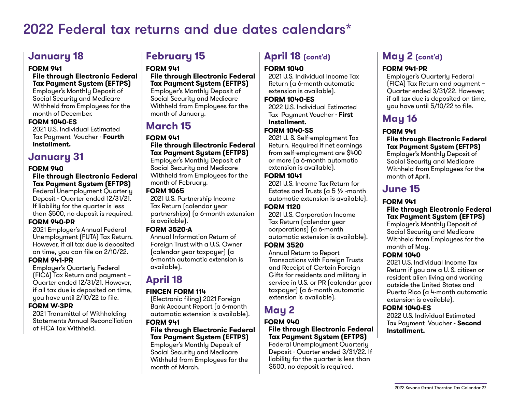### 2022 Federal tax returns and due dates calendars\*

### **January 18**

#### **FORM 941**

#### **File through Electronic Federal Tax Payment System (EFTPS)**

Employer's Monthly Deposit of Social Security and Medicare Withheld from Employees for the month of December.

#### **FORM 1040-ES**

2021 U.S. Individual Estimated Tax Payment Voucher - **Fourth Installment.** 

### **January 31**

#### **FORM 940**

**File through Electronic Federal Tax Payment System (EFTPS)** Federal Unemployment Quarterly

Deposit - Quarter ended 12/31/21. If liability for the quarter is less than \$500, no deposit is required.

#### **FORM 940-PR**

2021 Employer's Annual Federal Unemployment (FUTA) Tax Return. However, if all tax due is deposited on time, you can file on 2/10/22.

#### **FORM 941-PR**

Employer's Quarterly Federal (FICA) Tax Return and payment – Quarter ended 12/31/21. However, if all tax due is deposited on time, you have until 2/10/22 to file.

#### **FORM W-3PR**

2021 Transmittal of Withholding Statements Annual Reconciliation of FICA Tax Withheld.

### **February 15**

#### **FORM 941 File through Electronic Federal Tax Payment System (EFTPS)**

Employer's Monthly Deposit of Social Security and Medicare Withheld from Employees for the month of January.

### **March 15**

**FORM 941** 

#### **File through Electronic Federal Tax Payment System (EFTPS)**

Employer's Monthly Deposit of Social Security and Medicare Withheld from Employees for the month of February.

#### **FORM 1065**

2021 U.S. Partnership Income Tax Return (calendar year partnerships) (a 6-month extension is available).

#### **FORM 3520-A**

Annual Information Return of Foreign Trust with a U.S. Owner (calendar year taxpayer) (a 6-month automatic extension is available).

### **April 18**

#### **FINCEN FORM 114**

(Electronic filing) 2021 Foreign Bank Account Report (a 6-month automatic extension is available).

**FORM 941** 

#### **File through Electronic Federal Tax Payment System (EFTPS)**

Employer's Monthly Deposit of Social Security and Medicare Withheld from Employees for the month of March.

### **April 18 (cont'd)**

#### **FORM 1040**

2021 U.S. Individual Income Tax Return (a 6-month automatic extension is available).

#### **FORM 1040-ES**

2022 U.S. Individual Estimated Tax Payment Voucher - **First Installment.**

#### **FORM 1040-SS**

2021 U. S. Self-employment Tax Return. Required if net earnings from self-employment are \$400 or more (a 6-month automatic extension is available).

#### **FORM 1041**

2021 U.S. Income Tax Return for Estates and Trusts (a 5 ½ -month automatic extension is available).

#### **FORM 1120**

2021 U.S. Corporation Income Tax Return (calendar year corporations) (a 6-month automatic extension is available).

#### **FORM 3520**

Annual Return to Report Transactions with Foreign Trusts and Receipt of Certain Foreign Gifts for residents and military in service in U.S. or PR (calendar year taxpayer) (a 6-month automatic extension is available).

### **May 2**

**FORM 940**

#### **File through Electronic Federal Tax Payment System (EFTPS)**

Federal Unemployment Quarterly Deposit - Quarter ended 3/31/22. If liability for the quarter is less than \$500, no deposit is required.

### **May 2 (cont'd)**

#### **FORM 941-PR**

Employer's Quarterly Federal (FICA) Tax Return and payment – Quarter ended 3/31/22. However, if all tax due is deposited on time, you have until 5/10/22 to file.

### **May 16**

#### **FORM 941**

**File through Electronic Federal Tax Payment System (EFTPS)** Employer's Monthly Deposit of Social Security and Medicare Withheld from Employees for the month of April.

### **June 15**

#### **FORM 941**

#### **File through Electronic Federal Tax Payment System (EFTPS)**

Employer's Monthly Deposit of Social Security and Medicare Withheld from Employees for the month of May.

#### **FORM 1040**

2021 U.S. Individual Income Tax Return if you are a U. S. citizen or resident alien living and working outside the United States and Puerto Rico (a 4-month automatic extension is available).

#### **FORM 1040-ES**

2022 U.S. Individual Estimated Tax Payment Voucher - **Second Installment.**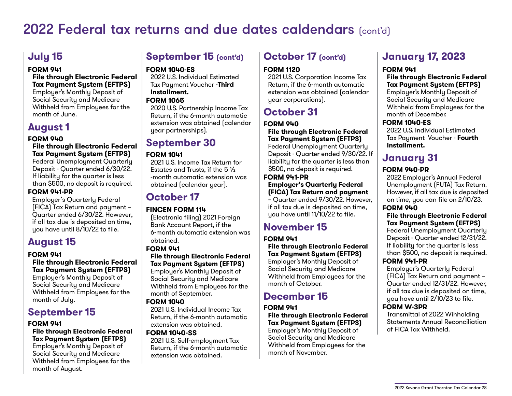### 2022 Federal tax returns and due dates caldendars (cont'd)

### **July 15**

#### **FORM 941**

#### **File through Electronic Federal Tax Payment System (EFTPS)**

Employer's Monthly Deposit of Social Security and Medicare Withheld from Employees for the month of June.

### **August 1**

#### **FORM 940**

#### **File through Electronic Federal Tax Payment System (EFTPS)** Federal Unemployment Quarterly Deposit - Quarter ended 6/30/22. If liability for the quarter is less than \$500, no deposit is required.

#### **FORM 941-PR**

Employer's Quarterly Federal (FICA) Tax Return and payment – Quarter ended 6/30/22. However, if all tax due is deposited on time, you have until 8/10/22 to file.

### **August 15**

#### **FORM 941**

#### **File through Electronic Federal Tax Payment System (EFTPS)**

Employer's Monthly Deposit of Social Security and Medicare Withheld from Employees for the month of July.

### **September 15**

#### **FORM 941**

**File through Electronic Federal Tax Payment System (EFTPS)**

Employer's Monthly Deposit of Social Security and Medicare Withheld from Employees for the month of August.

### **September 15 (cont'd)**

#### **FORM 1040-ES**

2022 U.S. Individual Estimated Tax Payment Voucher -**Third Installment.**

#### **FORM 1065**

2020 U.S. Partnership Income Tax Return, if the 6-month automatic extension was obtained (calendar year partnerships).

### **September 30**

#### **FORM 1041**

2021 U.S. Income Tax Return for Estates and Trusts, if the 5 ½ -month automatic extension was obtained (calendar year).

### **October 17**

#### **FINCEN FORM 114**

(Electronic filing) 2021 Foreign Bank Account Report, if the 6-month automatic extension was obtained.

#### **FORM 941 File through Electronic Federal**

### **Tax Payment System (EFTPS)**

Employer's Monthly Deposit of Social Security and Medicare Withheld from Employees for the month of September.

#### **FORM 1040**

2021 U.S. Individual Income Tax Return, if the 6-month automatic extension was obtained.

#### **FORM 1040-SS**

2021 U.S. Self-employment Tax Return, if the 6-month automatic extension was obtained.

#### **October 17 (cont'd)**

#### **FORM 1120**

2021 U.S. Corporation Income Tax Return, if the 6-month automatic extension was obtained (calendar year corporations).

### **October 31**

#### **FORM 940**

**File through Electronic Federal Tax Payment System (EFTPS)**

Federal Unemployment Quarterly Deposit - Quarter ended 9/30/22. If liability for the quarter is less than \$500, no deposit is required.

#### **FORM 941-PR**

#### **Employer's Quarterly Federal (FICA) Tax Return and payment**

– Quarter ended 9/30/22. However, if all tax due is deposited on time, you have until 11/10/22 to file.

### **November 15**

#### **FORM 941**

**File through Electronic Federal Tax Payment System (EFTPS)** Employer's Monthly Deposit of Social Security and Medicare Withheld from Employees for the month of October.

### **December 15**

#### **FORM 941**

#### **File through Electronic Federal Tax Payment System (EFTPS)**

Employer's Monthly Deposit of Social Security and Medicare Withheld from Employees for the month of November.

### **January 17, 2023**

#### **FORM 941**

#### **File through Electronic Federal Tax Payment System (EFTPS)**

Employer's Monthly Deposit of Social Security and Medicare Withheld from Employees for the month of December.

#### **FORM 1040-ES**

2022 U.S. Individual Estimated Tax Payment Voucher - **Fourth Installment.**

### **January 31**

#### **FORM 940-PR**

2022 Employer's Annual Federal Unemployment (FUTA) Tax Return. However, if all tax due is deposited on time, you can file on 2/10/23.

#### **FORM 940**

#### **File through Electronic Federal Tax Payment System (EFTPS)**

Federal Unemployment Quarterly Deposit - Quarter ended 12/31/22. If liability for the quarter is less than \$500, no deposit is required.

#### **FORM 941-PR**

Employer's Quarterly Federal (FICA) Tax Return and payment – Quarter ended 12/31/22. However, if all tax due is deposited on time, you have until 2/10/23 to file.

#### **FORM W-3PR**

Transmittal of 2022 Wihholding Statements Annual Reconciliation of FICA Tax Withheld.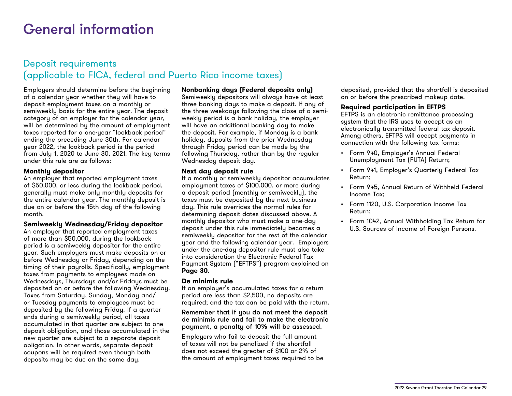### General information

### Deposit requirements (applicable to FICA, federal and Puerto Rico income taxes)

Employers should determine before the beginning of a calendar year whether they will have to deposit employment taxes on a monthly or semiweekly basis for the entire year. The deposit category of an employer for the calendar year, will be determined by the amount of employment taxes reported for a one-year "lookback period" ending the preceding June 30th. For calendar year 2022, the lookback period is the period from July 1, 2020 to June 30, 2021. The key terms under this rule are as follows:

#### **Monthly depositor**

An employer that reported employment taxes of \$50,000, or less during the lookback period, generally must make only monthly deposits for the entire calendar year. The monthly deposit is due on or before the 15th day of the following month.

#### **Semiweekly Wednesday/Friday depositor**

An employer that reported employment taxes of more than \$50,000, during the lookback period is a semiweekly depositor for the entire year. Such employers must make deposits on or before Wednesday or Friday, depending on the timing of their payrolls. Specifically, employment taxes from payments to employees made on Wednesdays, Thursdays and/or Fridays must be deposited on or before the following Wednesday. Taxes from Saturday, Sunday, Monday and/ or Tuesday payments to employees must be deposited by the following Friday. If a quarter ends during a semiweekly period, all taxes accumulated in that quarter are subject to one deposit obligation, and those accumulated in the new quarter are subject to a separate deposit obligation. In other words, separate deposit coupons will be required even though both deposits may be due on the same day.

#### **Nonbanking days (Federal deposits only)**

Semiweekly depositors will always have at least three banking days to make a deposit. If any of the three weekdays following the close of a semiweekly period is a bank holiday, the employer will have an additional banking day to make the deposit. For example, if Monday is a bank holiday, deposits from the prior Wednesday through Friday period can be made by the following Thursday, rather than by the regular Wednesday deposit day.

#### **Next day deposit rule**

If a monthly or semiweekly depositor accumulates employment taxes of \$100,000, or more during a deposit period (monthly or semiweekly), the taxes must be deposited by the next business day. This rule overrides the normal rules for determining deposit dates discussed above. A monthly depositor who must make a one-day deposit under this rule immediately becomes a semiweekly depositor for the rest of the calendar year and the following calendar year. Employers under the one-day depositor rule must also take into consideration the Electronic Federal Tax Payment System ("EFTPS") program explained on **Page 30**.

#### **De minimis rule**

If an employer's accumulated taxes for a return period are less than \$2,500, no deposits are required; and the tax can be paid with the return.

Remember that if you do not meet the deposit de minimis rule and fail to make the electronic payment, a penalty of 10% will be assessed.

Employers who fail to deposit the full amount of taxes will not be penalized if the shortfall does not exceed the greater of \$100 or 2% of the amount of employment taxes required to be deposited, provided that the shortfall is deposited on or before the prescribed makeup date.

#### **Required participation in EFTPS**

EFTPS is an electronic remittance processing system that the IRS uses to accept as an electronically transmitted federal tax deposit. Among others, EFTPS will accept payments in connection with the following tax forms:

- Form 940, Employer's Annual Federal Unemployment Tax (FUTA) Return;
- Form 941, Employer's Quarterly Federal Tax Return;
- Form 945, Annual Return of Withheld Federal Income Tax;
- Form 1120, U.S. Corporation Income Tax Return;
- Form 1042, Annual Withholding Tax Return for U.S. Sources of Income of Foreign Persons.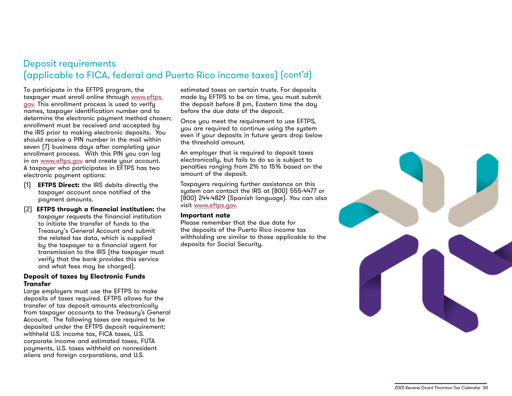### Deposit requirements (applicable to FICA, federal and Puerto Rico income taxes) (cont'd)

To participate in the EFTPS program, the taxpayer must enroll online through www.eftps. gov. This enrollment process is used to verify names, taxpayer identification number and to determine the electronic payment method chosen; enrollment must be received and accepted by the IRS prior to making electronic deposits. You should receive a PIN number in the mail within seven (7) business days after completing your enrollment process. With this PIN you can log in on www.eftps.gov and create your account. A taxpayer who participates in EFTPS has two electronic payment options:

- (1) **EFTPS Direct:** the IRS debits directly the taxpayer account once notified of the payment amounts.
- (2) **EFTPS through a financial institution:** the taxpayer requests the financial institution to initiate the transfer of funds to the Treasury's General Account and submit the related tax data, which is supplied by the taxpayer to a financial agent for transmission to the IRS (the taxpayer must verify that the bank provides this service and what fees may be charged).

#### **Deposit of taxes by Electronic Funds Transfer**

Large employers must use the EFTPS to make deposits of taxes required. EFTPS allows for the transfer of tax deposit amounts electronically from taxpayer accounts to the Treasury's General Account. The following taxes are required to be deposited under the EFTPS deposit requirement: withheld U.S. income tax, FICA taxes, U.S. corporate income and estimated taxes, FUTA payments, U.S. taxes withheld on nonresident aliens and foreign corporations, and U.S.

estimated taxes on certain trusts. For deposits made by EFTPS to be on time, you must submit the deposit before 8 pm, Eastern time the day before the due date of the deposit.

Once you meet the requirement to use EFTPS, you are required to continue using the system even if your deposits in future years drop below the threshold amount.

An employer that is required to deposit taxes electronically, but fails to do so is subject to penalties ranging from 2% to 15% based on the amount of the deposit.

Taxpayers requiring further assistance on this system can contact the IRS at (800) 555-4477 or (800) 244-4829 (Spanish language). You can also visit www.eftps.gov.

#### **Important note**

Please remember that the due date for the deposits of the Puerto Rico income tax withholding are similar to those applicable to the deposits for Social Security.

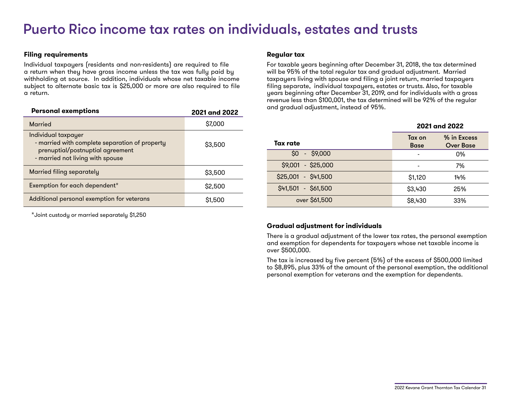### Puerto Rico income tax rates on individuals, estates and trusts

#### **Filing requirements**

Individual taxpayers (residents and non-residents) are required to file a return when they have gross income unless the tax was fully paid by withholding at source. In addition, individuals whose net taxable income subject to alternate basic tax is \$25,000 or more are also required to file a return.

| <b>Personal exemptions</b>                                                                                                                    | 2021 and 2022 |
|-----------------------------------------------------------------------------------------------------------------------------------------------|---------------|
| Married                                                                                                                                       | \$7,000       |
| Individual taxpayer<br>- married with complete separation of property<br>prenuptial/postnuptial agreement<br>- married not living with spouse | \$3,500       |
| Married filing separately                                                                                                                     | \$3,500       |
| Exemption for each dependent*                                                                                                                 | \$2,500       |
| Additional personal exemption for veterans                                                                                                    | \$1,500       |

\*Joint custody or married separately \$1,250

#### **Regular tax**

For taxable years beginning after December 31, 2018, the tax determined will be 95% of the total regular tax and gradual adjustment. Married taxpayers living with spouse and filing a joint return, married taxpayers filing separate, individual taxpayers, estates or trusts. Also, for taxable years beginning after December 31, 2019, and for individuals with a gross revenue less than \$100,001, the tax determined will be 92% of the regular and gradual adjustment, instead of 95%.

|                     | 2021 and 2022         |                                 |  |
|---------------------|-----------------------|---------------------------------|--|
| Tax rate            | Tax on<br><b>Base</b> | % in Excess<br><b>Over Base</b> |  |
| \$9,000<br>\$O<br>- | ۰                     | 0%                              |  |
| $$9,001 - $25,000$  | -                     | 7%                              |  |
| \$25,001 - \$41,500 | \$1,120               | 14%                             |  |
| \$41,501 - \$61,500 | \$3,430               | 25%                             |  |
| over \$61,500       | \$8,430               | 33%                             |  |

#### **Gradual adjustment for individuals**

There is a gradual adjustment of the lower tax rates, the personal exemption and exemption for dependents for taxpayers whose net taxable income is over \$500,000.

The tax is increased by five percent (5%) of the excess of \$500,000 limited to \$8,895, plus 33% of the amount of the personal exemption, the additional personal exemption for veterans and the exemption for dependents.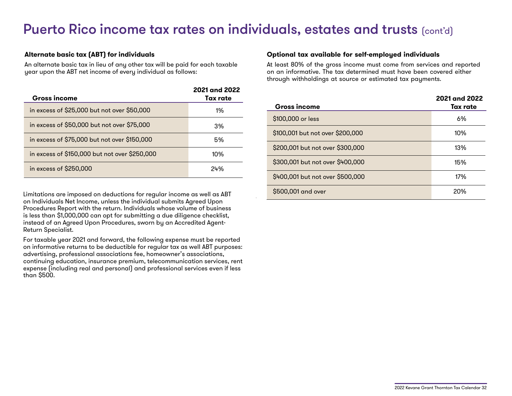### Puerto Rico income tax rates on individuals, estates and trusts (cont'd)

#### **Alternate basic tax (ABT) for individuals**

An alternate basic tax in lieu of any other tax will be paid for each taxable year upon the ABT net income of every individual as follows:

| <b>Gross income</b>                           | 2021 and 2022<br>Tax rate |
|-----------------------------------------------|---------------------------|
| in excess of \$25,000 but not over \$50,000   | $1\%$                     |
| in excess of \$50,000 but not over \$75,000   | 3%                        |
| in excess of \$75,000 but not over \$150,000  | 5%                        |
| in excess of \$150,000 but not over \$250,000 | 10%                       |
| in excess of \$250,000                        | 24%                       |

Limitations are imposed on deductions for regular income as well as ABT on Individuals Net Income, unless the individual submits Agreed Upon Procedures Report with the return. Individuals whose volume of business is less than \$1,000,000 can opt for submitting a due diligence checklist, instead of an Agreed Upon Procedures, sworn by an Accredited Agent-Return Specialist.

For taxable year 2021 and forward, the following expense must be reported on informative returns to be deductible for regular tax as well ABT purposes: advertising, professional associations fee, homeowner's associations, continuing education, insurance premium, telecommunication services, rent expense (including real and personal) and professional services even if less than \$500.

#### **Optional tax available for self-employed individuals**

At least 80% of the gross income must come from services and reported on an informative. The tax determined must have been covered either through withholdings at source or estimated tax payments.

| <b>Gross income</b>              | 2021 and 2022<br>Tax rate |
|----------------------------------|---------------------------|
| \$100,000 or less                | 6%                        |
| \$100,001 but not over \$200,000 | 10%                       |
| \$200,001 but not over \$300,000 | 13%                       |
| \$300,001 but not over \$400,000 | 15%                       |
| \$400,001 but not over \$500,000 | 17%                       |
| \$500,001 and over               | 20%                       |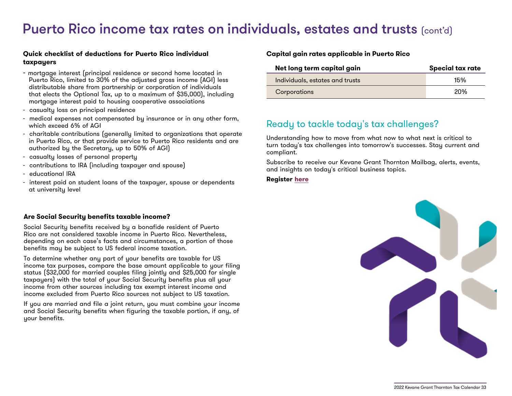### Puerto Rico income tax rates on individuals, estates and trusts (cont'd)

#### **Quick checklist of deductions for Puerto Rico individual taxpayers**

- mortgage interest (principal residence or second home located in Puerto Rico, limited to 30% of the adjusted gross income (AGI) less distributable share from partnership or corporation of individuals that elects the Optional Tax, up to a maximum of \$35,000), including mortgage interest paid to housing cooperative associations
- casualty loss on principal residence
- medical expenses not compensated by insurance or in any other form, which exceed 6% of AGI
- charitable contributions (generally limited to organizations that operate in Puerto Rico, or that provide service to Puerto Rico residents and are authorized by the Secretary, up to 50% of AGI)
- casualty losses of personal property
- contributions to IRA (including taxpayer and spouse)
- educational IRA
- interest paid on student loans of the taxpayer, spouse or dependents at university level

#### **Are Social Security benefits taxable income?**

Social Security benefits received by a bonafide resident of Puerto Rico are not considered taxable income in Puerto Rico. Nevertheless, depending on each case's facts and circumstances, a portion of those benefits may be subject to US federal income taxation.

To determine whether any part of your benefits are taxable for US income tax purposes, compare the base amount applicable to your filing status (\$32,000 for married couples filing jointly and \$25,000 for single taxpayers) with the total of your Social Security benefits plus all your income from other sources including tax exempt interest income and income excluded from Puerto Rico sources not subject to US taxation.

If you are married and file a joint return, you must combine your income and Social Security benefits when figuring the taxable portion, if any, of your benefits.

#### **Capital gain rates applicable in Puerto Rico**

| Net long term capital gain      | <b>Special tax rate</b> |
|---------------------------------|-------------------------|
| Individuals, estates and trusts | 15%                     |
| Corporations                    | <b>20%</b>              |

### Ready to tackle today's tax challenges?

Understanding how to move from what now to what next is critical to turn today's tax challenges into tomorrow's successes. Stay current and compliant.

Subscribe to receive our Kevane Grant Thornton Mailbag, alerts, events, and insights on today's critical business topics.

#### **Register [here](https://www.grantthornton.pr/Contact/)**

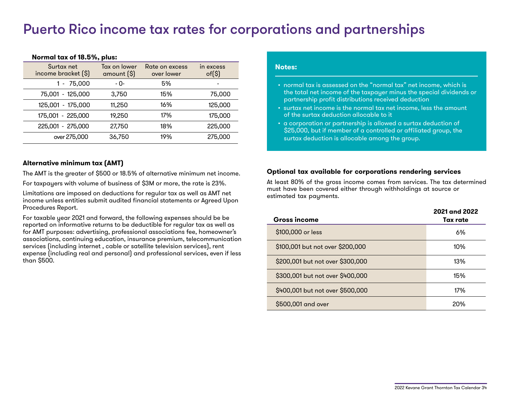### Puerto Rico income tax rates for corporations and partnerships

#### **Normal tax of 18.5%, plus:**

| Surtax net<br>income bracket (\$) | Tax on lower<br>amount (\$) | Rate on excess<br>over lower | in excess<br>of (5) |
|-----------------------------------|-----------------------------|------------------------------|---------------------|
| $-75,000$                         | - 0-                        | 5%                           | -                   |
| $-125,000$<br>75,001              | 3.750                       | 15%                          | 75,000              |
| 125,001 - 175,000                 | 11.250                      | 16%                          | 125,000             |
| 175,001 - 225,000                 | 19.250                      | 17%                          | 175,000             |
| $-275,000$<br>225,001             | 27,750                      | 18%                          | 225,000             |
| over 275,000                      | 36,750                      | 19%                          | 275,000             |

#### **Alternative minimum tax (AMT)**

The AMT is the greater of \$500 or 18.5% of alternative minimum net income.

For taxpayers with volume of business of \$3M or more, the rate is 23%.

Limitations are imposed on deductions for regular tax as well as AMT net income unless entities submit audited financial statements or Agreed Upon Procedures Report.

For taxable year 2021 and forward, the following expenses should be be reported on informative returns to be deductible for regular tax as well as for AMT purposes: advertising, professional associations fee, homeowner's associations, continuing education, insurance premium, telecommunication services (including internet , cable or satellite television services), rent expense (including real and personal) and professional services, even if less than \$500.

#### **Notes:**

- normal tax is assessed on the "normal tax" net income, which is the total net income of the taxpayer minus the special dividends or partnership profit distributions received deduction
- surtax net income is the normal tax net income, less the amount of the surtax deduction allocable to it
- a corporation or partnership is allowed a surtax deduction of \$25,000, but if member of a controlled or affiliated group, the surtax deduction is allocable among the group.

#### **Optional tax available for corporations rendering services**

At least 80% of the gross income comes from services. The tax determined must have been covered either through withholdings at source or estimated tax payments.

| <b>Gross income</b>              | 2021 and 2022<br>Tax rate |
|----------------------------------|---------------------------|
| \$100,000 or less                | 6%                        |
| \$100,001 but not over \$200,000 | 10%                       |
| \$200,001 but not over \$300,000 | 13%                       |
| \$300,001 but not over \$400,000 | 15%                       |
| \$400,001 but not over \$500,000 | 17%                       |
| \$500,001 and over               | 2በ%                       |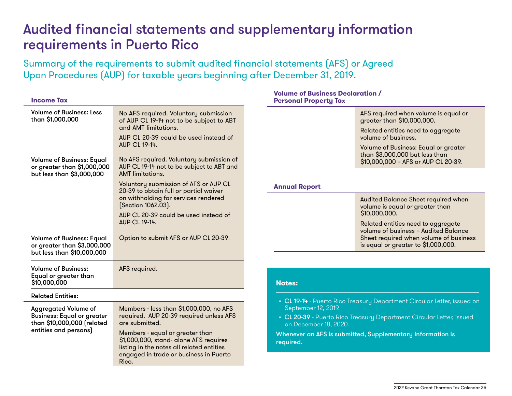### Audited financial statements and supplementary information requirements in Puerto Rico

Summary of the requirements to submit audited financial statements (AFS) or Agreed Upon Procedures (AUP) for taxable years beginning after December 31, 2019.

| <b>Income Tax</b>                                                                                                       |                                                                                                                                                                                                                                | <b>Personal Property Tax</b>                                                                                                                                                                    |  |
|-------------------------------------------------------------------------------------------------------------------------|--------------------------------------------------------------------------------------------------------------------------------------------------------------------------------------------------------------------------------|-------------------------------------------------------------------------------------------------------------------------------------------------------------------------------------------------|--|
| <b>Volume of Business: Less</b><br>than \$1,000,000                                                                     | No AFS required. Voluntary submission<br>of AUP CL 19-14 not to be subject to ABT<br>and AMT limitations.<br>AUP CL 20-39 could be used instead of<br>AUP CL 19-14.                                                            | AFS required when volume is equal or<br>greater than \$10,000,000.<br>Related entities need to aggregate<br>volume of business.<br>Volume of Business: Equal or greater                         |  |
| <b>Volume of Business: Equal</b><br>or greater than \$1,000,000<br>but less than \$3,000,000                            | No AFS required. Voluntary submission of<br>AUP CL 19-14 not to be subject to ABT and<br><b>AMT</b> limitations.                                                                                                               | than \$3,000,000 but less than<br>\$10,000,000 - AFS or AUP CL 20-39.                                                                                                                           |  |
|                                                                                                                         | Voluntary submission of AFS or AUP CL                                                                                                                                                                                          | <b>Annual Report</b>                                                                                                                                                                            |  |
|                                                                                                                         | 20-39 to obtain full or partial waiver<br>on withholding for services rendered<br>[Section 1062.03].<br>AUP CL 20-39 could be used instead of<br>AUP CL 19-14.                                                                 | Audited Balance Sheet required when<br>volume is equal or greater than<br>\$10,000,000.<br>Related entities need to aggregate                                                                   |  |
| <b>Volume of Business: Equal</b><br>or greater than \$3,000,000<br>but less than \$10,000,000                           | Option to submit AFS or AUP CL 20-39.                                                                                                                                                                                          | volume of business - Audited Balance<br>Sheet required when volume of business<br>is equal or greater to \$1,000,000.                                                                           |  |
| <b>Volume of Business:</b><br>Equal or greater than<br>\$10,000,000                                                     | AFS required.                                                                                                                                                                                                                  | <b>Notes:</b>                                                                                                                                                                                   |  |
| <b>Related Entities:</b>                                                                                                |                                                                                                                                                                                                                                | • CL 19-14 - Puerto Rico Treasury Department Circular Letter, issued on                                                                                                                         |  |
| <b>Aggregated Volume of</b><br><b>Business: Equal or greater</b><br>than \$10,000,000 [related<br>entities and persons) | Members - less than \$1,000,000, no AFS<br>required. AUP 20-39 required unless AFS<br>are submitted.<br>Members - equal or greater than<br>\$1,000,000, stand- alone AFS requires<br>listing in the notes all related entities | September 12, 2019.<br>• CL 20-39 - Puerto Rico Treasury Department Circular Letter, issued<br>on December 18, 2020.<br>Whenever an AFS is submitted, Supplementary Information is<br>required. |  |
|                                                                                                                         | engaged in trade or business in Puerto<br>Rico.                                                                                                                                                                                |                                                                                                                                                                                                 |  |

**Volume of Business Declaration /**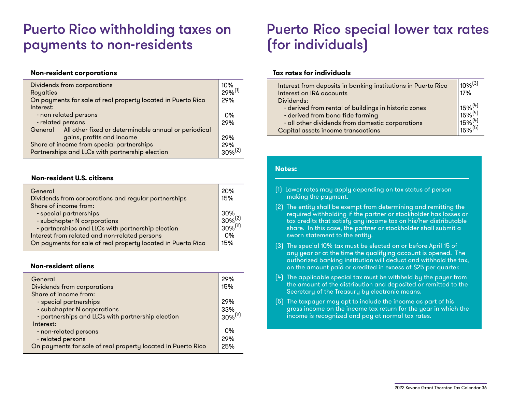### Puerto Rico withholding taxes on payments to non-residents

#### **Non-resident corporations**

| Dividends from corporations<br>Royalties<br>On payments for sale of real property located in Puerto Rico<br>Interest:     | 10%<br>29% <sup>(1)</sup><br>29% |
|---------------------------------------------------------------------------------------------------------------------------|----------------------------------|
| - non related persons<br>- related persons<br>All other fixed or determinable annual or periodical<br>General             | 0%<br><b>29%</b>                 |
| gains, profits and income<br>Share of income from special partnerships<br>Partnerships and LLCs with partnership election | 29%<br>29%<br>$30\%^{(2)}$       |

#### **Non-resident U.S. citizens**

| 20%<br>15%                                      |
|-------------------------------------------------|
|                                                 |
|                                                 |
| 30%<br>30% <sup>(2)</sup><br>30% <sup>(2)</sup> |
|                                                 |
| 0%                                              |
| 15%                                             |
|                                                 |

#### **Non-resident aliens**

| General                                                      | 29%          |
|--------------------------------------------------------------|--------------|
| <b>Dividends from corporations</b>                           | 15%          |
| Share of income from:                                        |              |
| - special partnerships                                       | <b>29%</b>   |
| - subchapter N corporations                                  | 33%          |
| - partnerships and LLCs with partnership election            | $30\%^{(2)}$ |
| Interest:                                                    |              |
| - non-related persons                                        | 0%           |
| - related persons                                            | <b>29%</b>   |
| On payments for sale of real property located in Puerto Rico | 25%          |
|                                                              |              |

### Puerto Rico special lower tax rates (for individuals)

#### **Tax rates for individuals**

| Interest from deposits in banking institutions in Puerto Rico                                                                                                                                    | $10\%^{(3)}$                                                                   |
|--------------------------------------------------------------------------------------------------------------------------------------------------------------------------------------------------|--------------------------------------------------------------------------------|
| Interest on IRA accounts                                                                                                                                                                         | 17%                                                                            |
| Dividends:<br>- derived from rental of buildings in historic zones<br>- derived from bona fide farming<br>- all other dividends from domestic corporations<br>Capital assets income transactions | $15\%^{(4)}_{(4)}$<br>$15\%^{(4)}_{(5)}$<br>$15\%^{(4)}_{(5)}$<br>$15\%^{(5)}$ |

#### **Notes:**

#### (1) Lower rates may apply depending on tax status of person making the payment.

- (2) The entity shall be exempt from determining and remitting the required withholding if the partner or stockholder has losses or tax credits that satisfy any income tax on his/her distributable share. In this case, the partner or stockholder shall submit a sworn statement to the entity.
- (3) The special 10% tax must be elected on or before April 15 of any year or at the time the qualifying account is opened. The authorized banking institution will deduct and withhold the tax, on the amount paid or credited in excess of \$25 per quarter.
- Secretary of the Treasury by electronic means. (4) The applicable special tax must be withheld by the payer from the amount of the distribution and deposited or remitted to the
- (5) The taxpayer may opt to include the income as part of his gross income on the income tax return for the year in which the income is recognized and pay at normal tax rates.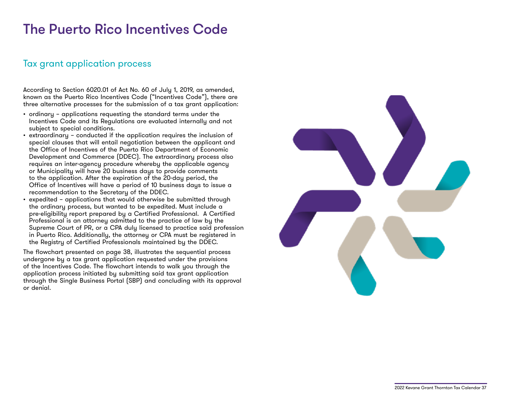### The Puerto Rico Incentives Code

### Tax grant application process

According to Section 6020.01 of Act No. 60 of July 1, 2019, as amended, known as the Puerto Rico Incentives Code ("Incentives Code"), there are three alternative processes for the submission of a tax grant application:

- ordinary applications requesting the standard terms under the Incentives Code and its Regulations are evaluated internally and not subject to special conditions.
- extraordinary conducted if the application requires the inclusion of special clauses that will entail negotiation between the applicant and the Office of Incentives of the Puerto Rico Department of Economic Development and Commerce (DDEC). The extraordinary process also requires an inter-agency procedure whereby the applicable agency or Municipality will have 20 business days to provide comments to the application. After the expiration of the 20-day period, the Office of Incentives will have a period of 10 business days to issue a recommendation to the Secretary of the DDEC.
- expedited applications that would otherwise be submitted through the ordinary process, but wanted to be expedited. Must include a pre-eligibility report prepared by a Certified Professional. A Certified Professional is an attorney admitted to the practice of law by the Supreme Court of PR, or a CPA duly licensed to practice said profession in Puerto Rico. Additionally, the attorney or CPA must be registered in the Registry of Certified Professionals maintained by the DDEC.

The flowchart presented on page 38, illustrates the sequential process undergone by a tax grant application requested under the provisions of the Incentives Code. The flowchart intends to walk you through the application process initiated by submitting said tax grant application through the Single Business Portal (SBP) and concluding with its approval or denial.

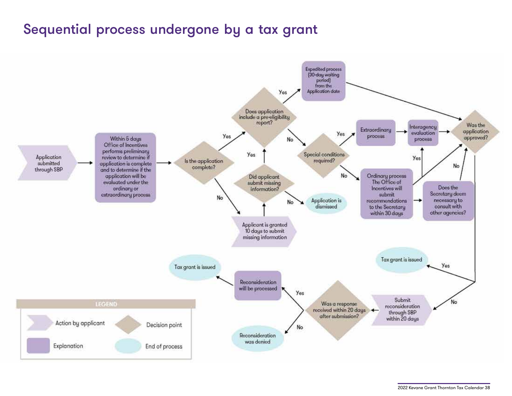### Sequential process undergone by a tax grant

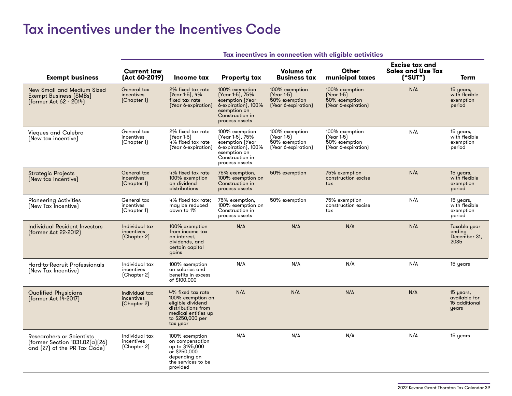### Tax incentives under the Incentives Code

#### **Tax incentives in connection with eligible activities**

| <b>Exempt business</b>                                                                                                      | <b>Current law</b><br>(Act 60-2019)         | Income tax                                                                                                                               | <b>Property tax</b>                                                                                                              | <b>Volume of</b><br><b>Business tax</b>                              | <b>Other</b><br>municipal taxes                                      | <b>Excise tax and</b><br><b>Sales and Use Tax</b><br>("SUT") | <b>Term</b>                                          |
|-----------------------------------------------------------------------------------------------------------------------------|---------------------------------------------|------------------------------------------------------------------------------------------------------------------------------------------|----------------------------------------------------------------------------------------------------------------------------------|----------------------------------------------------------------------|----------------------------------------------------------------------|--------------------------------------------------------------|------------------------------------------------------|
| <b>New Small and Medium Sized</b><br>Exempt Business (SMBs)<br>(former Act 62 - 2014)                                       | General tax<br>incentives<br>(Chapter 1)    | 2% fixed tax rate<br>(Year 1-5), 4%<br>fixed tax rate<br>(Year 6-expiration)                                                             | 100% exemption<br>(Year 1-5), 75%<br>exemption (Year<br>6-expiration), 100%<br>exemption on<br>Construction in<br>process assets | 100% exemption<br>(Year 1-5)<br>50% exemption<br>[Year 6-expiration] | 100% exemption<br>(Year 1-5)<br>50% exemption<br>(Year 6-expiration) | N/A                                                          | 15 years,<br>with flexible<br>exemption<br>period    |
| Vieques and Culebra<br>(New tax incentive)                                                                                  | General tax<br>incentives<br>[Chapter 1]    | 2% fixed tax rate<br>(Year 1-5)<br>4% fixed tax rate<br>[Year 6-expiration]                                                              | 100% exemption<br>(Year 1-5), 75%<br>exemption (Year<br>6-expiration), 100%<br>exemption on<br>Construction in<br>process assets | 100% exemption<br>(Year 1-5)<br>50% exemption<br>[Year 6-expiration] | 100% exemption<br>(Year 1-5)<br>50% exemption<br>(Year 6-expiration) | N/A                                                          | 15 years,<br>with flexible<br>exemption<br>period    |
| <b>Strategic Projects</b><br>(New tax incentive)                                                                            | General tax<br>incentives<br>(Chapter 1)    | 4% fixed tax rate<br>100% exemption<br>on dividend<br>distributions                                                                      | 75% exemption,<br>100% exemption on<br>Construction in<br>process assets                                                         | 50% exemption                                                        | 75% exemption<br>construction excise<br>tax                          | N/A                                                          | 15 years,<br>with flexible<br>exemption<br>period    |
| <b>Pioneering Activities</b><br>(New Tax Incentive)                                                                         | General tax<br>incentives<br>(Chapter 1)    | 4% fixed tax rate:<br>may be reduced<br>down to 1%                                                                                       | 75% exemption,<br>100% exemption on<br>Construction in<br>process assets                                                         | 50% exemption                                                        | 75% exemption<br>construction excise<br>tax                          | N/A                                                          | 15 years,<br>with flexible<br>exemption<br>period    |
| Individual Resident Investors<br><b>former Act 22-2012</b>                                                                  | Individual tax<br>incentives<br>(Chapter 2) | 100% exemption<br>from income tax<br>on interest.<br>dividends, and<br>certain capital<br>gains                                          | N/A                                                                                                                              | N/A                                                                  | N/A                                                                  | N/A                                                          | Taxable year<br>ending<br>December 31,<br>2035       |
| Hard-to-Recruit Professionals<br>(New Tax Incentive)                                                                        | Individual tax<br>incentives<br>[Chapter 2] | 100% exemption<br>on salaries and<br>benefits in excess<br>of \$100,000                                                                  | N/A                                                                                                                              | N/A                                                                  | N/A                                                                  | N/A                                                          | 15 years                                             |
| <b>Qualified Physicians</b><br>(former Act 14-2017)                                                                         | Individual tax<br>incentives<br>(Chapter 2) | 4% fixed tax rate<br>100% exemption on<br>eligible dividend<br>distributions from<br>medical entities up<br>to \$250,000 per<br>tax year | N/A                                                                                                                              | N/A                                                                  | N/A                                                                  | N/A                                                          | 15 years,<br>available for<br>15 additional<br>years |
| <b>Researchers or Scientists</b><br>$\frac{1}{26}$ (former Section 1031.02 $\frac{1}{26}$ )<br>and (27) of the PR Tax Code) | Individual tax<br>incentives<br>(Chapter 2) | 100% exemption<br>on compensation<br>up to \$195,000<br>or \$250,000<br>depending on<br>the services to be<br>provided                   | N/A                                                                                                                              | N/A                                                                  | N/A                                                                  | N/A                                                          | 15 years                                             |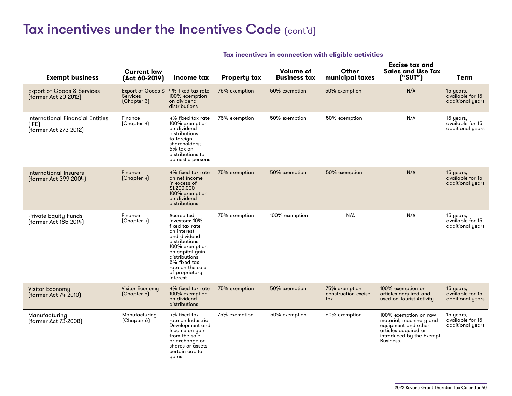### Tax incentives under the Incentives Code [cont'd]

| <b>Exempt business</b>                                                    | <b>Current law</b><br>(Act 60-2019)                 | Income tax                                                                                                                                                                                                             | <b>Property tax</b> | <b>Volume of</b><br><b>Business tax</b> | Other<br>municipal taxes                    | <b>Excise tax and</b><br><b>Sales and Use Tax</b><br>("SUT")                                                                             | Term                                              |
|---------------------------------------------------------------------------|-----------------------------------------------------|------------------------------------------------------------------------------------------------------------------------------------------------------------------------------------------------------------------------|---------------------|-----------------------------------------|---------------------------------------------|------------------------------------------------------------------------------------------------------------------------------------------|---------------------------------------------------|
| <b>Export of Goods &amp; Services</b><br>(former Act 20-2012)             | Export of Goods &<br><b>Services</b><br>(Chapter 3) | 4% fixed tax rate<br>100% exemption<br>on dividend<br>distributions                                                                                                                                                    | 75% exemption       | 50% exemption                           | 50% exemption                               | N/A                                                                                                                                      | 15 years,<br>available for 15<br>additional years |
| <b>International Financial Entities</b><br>(IFE)<br>(former Act 273-2012) | Finance<br>(Chapter 4)                              | 4% fixed tax rate<br>100% exemption<br>on dividend<br>distributions<br>to foreign<br>shareholders;<br>6% tax on<br>distributions to<br>domestic persons                                                                | 75% exemption       | 50% exemption                           | 50% exemption                               | N/A                                                                                                                                      | 15 years,<br>available for 15<br>additional years |
| International Insurers<br>[former Act 399-2004]                           | <b>Finance</b><br>(Chapter 4)                       | 4% fixed tax rate<br>on net income<br>in excess of<br>\$1,200,000<br>100% exemption<br>on dividend<br>distributions                                                                                                    | 75% exemption       | 50% exemption                           | 50% exemption                               | N/A                                                                                                                                      | 15 years,<br>available for 15<br>additional years |
| <b>Private Equity Funds</b><br>(former Act 185-2014)                      | Finance<br>(Chapter 4)                              | Accredited<br>investors: 10%<br>fixed tax rate<br>on interest<br>and dividend<br>distributions<br>100% exemption<br>on capital gain<br>distributions<br>5% fixed tax<br>rate on the sale<br>of proprietary<br>interest | 75% exemption       | 100% exemption                          | N/A                                         | N/A                                                                                                                                      | 15 years,<br>available for 15<br>additional years |
| Visitor Economy<br>(former Act 74-2010)                                   | <b>Visitor Economy</b><br>(Chapter 5)               | 4% fixed tax rate<br>100% exemption<br>on dividend<br>distributions                                                                                                                                                    | 75% exemption       | 50% exemption                           | 75% exemption<br>construction excise<br>tax | 100% exemption on<br>articles acquired and<br>used on Tourist Activity                                                                   | 15 years,<br>available for 15<br>additional years |
| Manufacturing<br>former Act 73-2008)                                      | Manufacturing<br>[Chapter 6]                        | 4% fixed tax<br>rate on Industrial<br>Development and<br>Income on gain<br>from the sale<br>or exchange or<br>shares or assets<br>certain capital<br>gains                                                             | 75% exemption       | 50% exemption                           | 50% exemption                               | 100% exemption on raw<br>material, machinery and<br>equipment and other<br>articles acquired or<br>introduced by the Exempt<br>Business. | 15 years,<br>available for 15<br>additional years |

#### **Tax incentives in connection with eligible activities**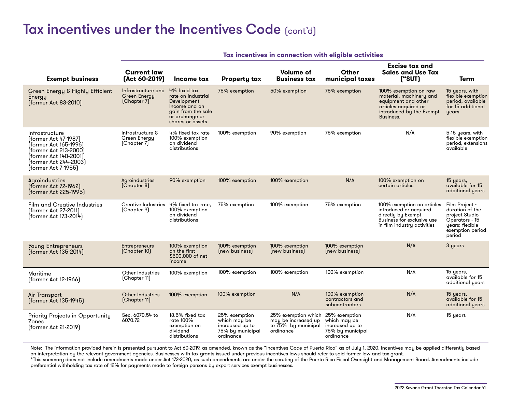### Tax incentives under the Incentives Code [cont'd]

| <b>Exempt business</b>                                                                                                                                         | <b>Current law</b><br>(Act 60-2019)                      | Income tax                                                                                                                     | <b>Property tax</b>                                                               | <b>Volume of</b><br><b>Business tax</b>                                        | Other<br>municipal taxes                                                          | <b>Excise tax and</b><br><b>Sales and Use Tax</b><br>("SUT)                                                                              | <b>Term</b>                                                                                                            |
|----------------------------------------------------------------------------------------------------------------------------------------------------------------|----------------------------------------------------------|--------------------------------------------------------------------------------------------------------------------------------|-----------------------------------------------------------------------------------|--------------------------------------------------------------------------------|-----------------------------------------------------------------------------------|------------------------------------------------------------------------------------------------------------------------------------------|------------------------------------------------------------------------------------------------------------------------|
| Green Energy & Highly Efficient<br>Energy<br>(former Act 83-2010)                                                                                              | Infrastructure and<br><b>Green Energy</b><br>[Chapter 7] | 4% fixed tax<br>rate on Industrial<br>Development<br>Income and on<br>gain from the sale<br>or exchange or<br>shares or assets | 75% exemption                                                                     | 50% exemption                                                                  | 75% exemption                                                                     | 100% exemption on raw<br>material, machinery and<br>equipment and other<br>articles acquired or<br>introduced by the Exempt<br>Business. | 15 years, with<br>flexible exemption<br>period, available<br>for 15 additional<br>years                                |
| Infrastructure<br>former Act 47-1987)<br>fformer Act 165-1996)<br>(former Act 213-2000)<br>fformer Act 140-2001)<br>former Act 244-2003)<br>former Act 7-1955) | Infrastructure &<br>Green Energy<br>(Chapter 7)          | 4% fixed tax rate<br>100% exemption<br>on dividend<br>distributions                                                            | 100% exemption                                                                    | 90% exemption                                                                  | 75% exemption                                                                     | N/A                                                                                                                                      | 5-15 years, with<br>flexible exemption<br>period, extensions<br>available                                              |
| Agroindustries<br>(former Act 72-1962)<br>former Act 225-1995)                                                                                                 | Agroindustries<br>(Chapter 8)                            | 90% exemption                                                                                                                  | 100% exemption                                                                    | 100% exemption                                                                 | N/A                                                                               | 100% exemption on<br>certain articles                                                                                                    | 15 years,<br>available for 15<br>additional years                                                                      |
| <b>Film and Creative Industries</b><br>former Act 27-2011)<br>former Act 173-2014                                                                              | <b>Creative Industries</b><br>(Chapter 9)                | 4% fixed tax rate,<br>100% exemption<br>on dividend<br>distributions                                                           | 75% exemption                                                                     | 100% exemption                                                                 | 75% exemption                                                                     | 100% exemption on articles<br>introduced or acquired<br>directly by Exempt<br>Business for exclusive use<br>in film industry activities  | Film Project -<br>duration of the<br>project Studio<br>Operators - 15<br>years; flexible<br>exemption period<br>period |
| <b>Young Entrepreneurs</b><br>former Act 135-2014                                                                                                              | <b>Entrepreneurs</b><br>(Chapter 10)                     | 100% exemption<br>on the first<br>\$500,000 of net<br>income                                                                   | 100% exemption<br>(new business)                                                  | 100% exemption<br>(new business)                                               | 100% exemption<br>(new business)                                                  | N/A                                                                                                                                      | 3 years                                                                                                                |
| Maritime<br>[former Act 12-1966]                                                                                                                               | Other Industries<br>(Chapter 11)                         | 100% exemption                                                                                                                 | 100% exemption                                                                    | 100% exemption                                                                 | 100% exemption                                                                    | N/A                                                                                                                                      | 15 years,<br>available for 15<br>additional years                                                                      |
| Air Transport<br>(former Act 135-1945)                                                                                                                         | Other Industries<br>[Chapter 11]                         | 100% exemption                                                                                                                 | 100% exemption                                                                    | N/A                                                                            | 100% exemption<br>contractors and<br>subcontractors                               | N/A                                                                                                                                      | 15 years,<br>available for 15<br>additional years                                                                      |
| Priority Projects in Opportunity<br>Zones<br>(former Act 21-2019)                                                                                              | Sec. 6070.54 to<br>6070.72                               | 18.5% fixed tax<br>rate 100%<br>exemption on<br>dividend<br>distributions                                                      | 25% exemption<br>which may be<br>increased up to<br>75% by municipal<br>ordinance | 25% exemption which<br>may be increased up<br>to 75% by municipal<br>ordinance | 25% exemption<br>which may be<br>increased up to<br>75% by municipal<br>ordinance | N/A                                                                                                                                      | 15 years                                                                                                               |

**Tax incentives in connection with eligible activities**

Note: The information provided herein is presented pursuant to Act 60-2019, as amended, known as the "Incentives Code of Puerto Rico" as of July 1, 2020. Incentives may be applied differently based on interpretation by the relevant government agencies. Businesses with tax grants issued under previous incentives laws should refer to said former law and tax grant. \*This summary does not include amendments made under Act 172-2020, as such amendments are under the scrutiny of the Puerto Rico Fiscal Oversight and Management Board. Amendments include

preferential withholding tax rate of 12% for payments made to foreign persons by export services exempt businesses.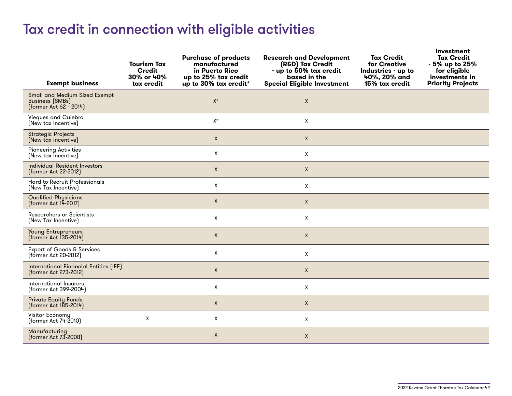### Tax credit in connection with eligible activities

| <b>Exempt business</b>                                                                   | <b>Tourism Tax</b><br><b>Credit</b><br>30% or 40%<br>tax credit | <b>Purchase of products</b><br>manufactured<br>in Puerto Rico<br>up to 25% tax credit<br>up to 30% tax credit* | <b>Research and Development</b><br>(R&D) Tax Credit<br>- up to 50% tax credit<br>based in the<br><b>Special Eligible Investment</b> | <b>Tax Credit</b><br>for Creative<br>Industries - up to<br>40%, 20% and<br>15% tax credit | Investment<br><b>Tax Credit</b><br>- 5% up to 25%<br>for eligible<br>investments in<br><b>Priority Projects</b> |
|------------------------------------------------------------------------------------------|-----------------------------------------------------------------|----------------------------------------------------------------------------------------------------------------|-------------------------------------------------------------------------------------------------------------------------------------|-------------------------------------------------------------------------------------------|-----------------------------------------------------------------------------------------------------------------|
| <b>Small and Medium Sized Exempt</b><br><b>Business (SMBs)</b><br>(former Act 62 - 2014) |                                                                 | $X^*$                                                                                                          | $\mathsf{X}$                                                                                                                        |                                                                                           |                                                                                                                 |
| Vieques and Culebra<br>(New tax incentive)                                               |                                                                 | $\mathsf{X}^\star$                                                                                             | X                                                                                                                                   |                                                                                           |                                                                                                                 |
| <b>Strategic Projects</b><br>(New tax incentive)                                         |                                                                 | $\mathsf{X}$                                                                                                   | $\mathsf{X}$                                                                                                                        |                                                                                           |                                                                                                                 |
| <b>Pioneering Activities</b><br>(New tax incentive)                                      |                                                                 | X                                                                                                              | X                                                                                                                                   |                                                                                           |                                                                                                                 |
| <b>Individual Resident Investors</b><br>(former Act 22-2012)                             |                                                                 | X                                                                                                              | $\mathsf{X}$                                                                                                                        |                                                                                           |                                                                                                                 |
| <b>Hard-to-Recruit Professionals</b><br>(New Tax Incentive)                              |                                                                 | X                                                                                                              | X                                                                                                                                   |                                                                                           |                                                                                                                 |
| <b>Qualified Physicians</b><br>(former Act 14-2017)                                      |                                                                 | X                                                                                                              | $\mathsf{X}$                                                                                                                        |                                                                                           |                                                                                                                 |
| Researchers or Scientists<br>(New Tax Incentive)                                         |                                                                 | X                                                                                                              | X                                                                                                                                   |                                                                                           |                                                                                                                 |
| <b>Young Entrepreneurs</b><br>(former Act 135-2014)                                      |                                                                 | X                                                                                                              | $\pmb{\mathsf{X}}$                                                                                                                  |                                                                                           |                                                                                                                 |
| Export of Goods & Services<br>(former Act 20-2012)                                       |                                                                 | X                                                                                                              | X                                                                                                                                   |                                                                                           |                                                                                                                 |
| <b>International Financial Entities (IFE)</b><br>[former Act 273-2012]                   |                                                                 | X                                                                                                              | $\mathsf{X}$                                                                                                                        |                                                                                           |                                                                                                                 |
| International Insurers<br>(former Act 399-2004)                                          |                                                                 | X                                                                                                              | X                                                                                                                                   |                                                                                           |                                                                                                                 |
| <b>Private Equity Funds</b><br>(former Act 185-2014)                                     |                                                                 | X                                                                                                              | $\mathsf{X}$                                                                                                                        |                                                                                           |                                                                                                                 |
| Visitor Economy<br>(former Act 74-2010)                                                  | X                                                               | X                                                                                                              | X                                                                                                                                   |                                                                                           |                                                                                                                 |
| Manufacturing<br>[former Act 73-2008]                                                    |                                                                 | X                                                                                                              | $\mathsf{X}$                                                                                                                        |                                                                                           |                                                                                                                 |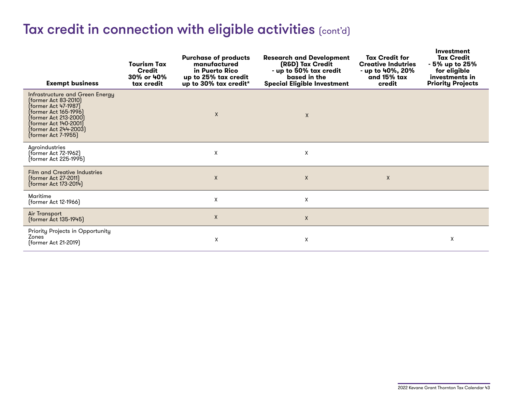### Tax credit in connection with eligible activities (cont'd)

| <b>Exempt business</b>                                                                                                                                                                                     | <b>Tourism Tax</b><br><b>Credit</b><br>30% or 40%<br>tax credit | <b>Purchase of products</b><br>manufactured<br>in Puerto Rico<br>up to 25% tax credit<br>up to 30% tax credit* | <b>Research and Development</b><br>(R&D) Tax Credit<br>- up to 50% tax credit<br>based in the<br><b>Special Eligible Investment</b> | <b>Tax Credit for</b><br><b>Creative Indutries</b><br>- up to 40%, 20%<br>and 15% tax<br>credit | Investment<br><b>Tax Credit</b><br>- 5% up to 25%<br>for eligible<br>investments in<br><b>Priority Projects</b> |
|------------------------------------------------------------------------------------------------------------------------------------------------------------------------------------------------------------|-----------------------------------------------------------------|----------------------------------------------------------------------------------------------------------------|-------------------------------------------------------------------------------------------------------------------------------------|-------------------------------------------------------------------------------------------------|-----------------------------------------------------------------------------------------------------------------|
| Infrastructure and Green Energy<br>(former Act 83-2010)<br>(former Act 47-1987)<br>fformer Act 165-1996]<br>fformer Act 213-2000)<br>(former Act 140-2001)<br>(former Act 244-2003)<br>(former Act 7-1955) |                                                                 | X                                                                                                              | $\mathsf{X}$                                                                                                                        |                                                                                                 |                                                                                                                 |
| Agroindustries<br>(former Act 72-1962)<br>(former Act 225-1995)                                                                                                                                            |                                                                 | X                                                                                                              | X                                                                                                                                   |                                                                                                 |                                                                                                                 |
| <b>Film and Creative Industries</b><br>(former Act 27-2011)<br>(former Act 173-2014)                                                                                                                       |                                                                 | $\mathsf{X}$                                                                                                   | $\mathsf{X}$                                                                                                                        | X                                                                                               |                                                                                                                 |
| Maritime<br>(former Act 12-1966)                                                                                                                                                                           |                                                                 | X                                                                                                              | X                                                                                                                                   |                                                                                                 |                                                                                                                 |
| Air Transport<br>(former Act 135-1945)                                                                                                                                                                     |                                                                 | X                                                                                                              | $\mathsf{X}$                                                                                                                        |                                                                                                 |                                                                                                                 |
| Priority Projects in Opportunity<br>Zones<br>[former Act 21-2019]                                                                                                                                          |                                                                 | Χ                                                                                                              | X                                                                                                                                   |                                                                                                 | Χ                                                                                                               |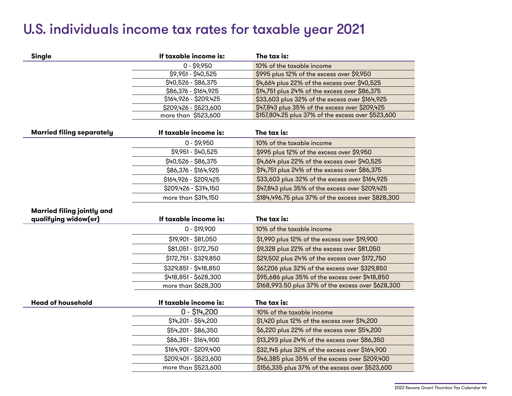### U.S. individuals income tax rates for taxable year 2021

| <b>Single</b>                     | If taxable income is: | The tax is:                                        |
|-----------------------------------|-----------------------|----------------------------------------------------|
|                                   | $0 - $9,950$          | 10% of the taxable income                          |
|                                   | \$9,951 - \$40,525    | \$995 plus 12% of the excess over \$9,950          |
|                                   | \$40,526 - \$86,375   | \$4,664 plus 22% of the excess over \$40,525       |
|                                   | \$86,376 - \$164,925  | \$14,751 plus 24% of the excess over \$86,375      |
|                                   | \$164,926 - \$209,425 | \$33,603 plus 32% of the excess over \$164,925     |
|                                   | \$209,426 - \$523,600 | \$47,843 plus 35% of the excess over \$209,425     |
|                                   | more than \$523,600   | \$157,804.25 plus 37% of the excess over \$523,600 |
| <b>Married filing separately</b>  | If taxable income is: | The tax is:                                        |
|                                   | $0 - $9,950$          | 10% of the taxable income                          |
|                                   | \$9,951 - \$40,525    | \$995 plus 12% of the excess over \$9,950          |
|                                   | \$40,526 - \$86,375   | \$4,664 plus 22% of the excess over \$40,525       |
|                                   | \$86,376 - \$164,925  | \$14,751 plus 24% of the excess over \$86,375      |
|                                   | \$164,926 - \$209,425 | \$33,603 plus 32% of the excess over \$164,925     |
|                                   | \$209,426 - \$314,150 | \$47,843 plus 35% of the excess over \$209,425     |
|                                   | more than \$314,150   | \$184,496.75 plus 37% of the excess over \$828,300 |
|                                   |                       |                                                    |
|                                   |                       |                                                    |
| <b>Married filing jointly and</b> | If taxable income is: | The tax is:                                        |
| qualifying widow(er)              | 0 - \$19,900          | 10% of the taxable income                          |
|                                   | \$19,901 - \$81,050   | \$1,990 plus 12% of the excess over \$19,900       |
|                                   | \$81,051 - \$172,750  | \$9,328 plus 22% of the excess over \$81,050       |
|                                   | \$172,751 - \$329,850 | \$29,502 plus 24% of the excess over \$172,750     |
|                                   | \$329,851 - \$418,850 | \$67,206 plus 32% of the excess over \$329,850     |
|                                   | \$418,851 - \$628,300 | \$95,686 plus 35% of the excess over \$418,850     |
|                                   | more than \$628,300   | \$168,993.50 plus 37% of the excess over \$628,300 |
|                                   |                       |                                                    |
| <b>Head of household</b>          | If taxable income is: | The tax is:                                        |
|                                   | $0 - $14,200$         | 10% of the taxable income                          |
|                                   | \$14,201 - \$54,200   | \$1,420 plus 12% of the excess over \$14,200       |
|                                   | \$54,201 - \$86,350   | \$6,220 plus 22% of the excess over \$54,200       |
|                                   | \$86,351 - \$164,900  | \$13,293 plus 24% of the excess over \$86,350      |
|                                   | \$164,901 - \$209,400 | \$32,145 plus 32% of the excess over \$164,900     |
|                                   | \$209,401 - \$523,600 | \$46,385 plus 35% of the excess over \$209,400     |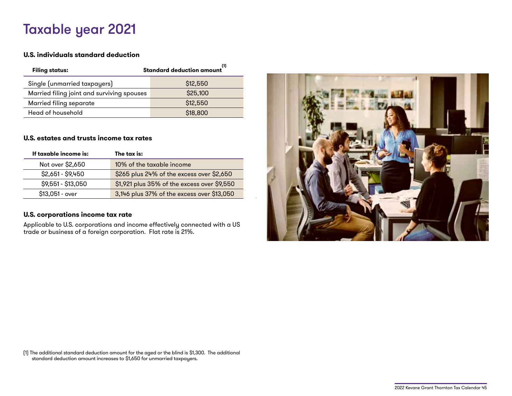### Taxable year 2021

#### **U.S. individuals standard deduction**

| <b>Filing status:</b>                      | Standard deduction amount |
|--------------------------------------------|---------------------------|
| Single (unmarried taxpayers)               | \$12,550                  |
| Married filing joint and surviving spouses | \$25,100                  |
| <b>Married filing separate</b>             | \$12,550                  |
| Head of household                          | \$18,800                  |

#### **U.S. estates and trusts income tax rates**

| If taxable income is: | The tax is:                                 |
|-----------------------|---------------------------------------------|
| Not over \$2,650      | 10% of the taxable income                   |
| $$2,651 - $9,450$     | \$265 plus 24% of the excess over \$2,650   |
| \$9,551 - \$13,050    | \$1,921 plus 35% of the excess over \$9,550 |
| \$13,051 - over       | 3,146 plus 37% of the excess over \$13,050  |

#### **U.S. corporations income tax rate**

Applicable to U.S. corporations and income effectively connected with a US trade or business of a foreign corporation. Flat rate is 21%.



(1) The additional standard deduction amount for the aged or the blind is \$1,300. The additional standard deduction amount increases to \$1,650 for unmarried taxpayers.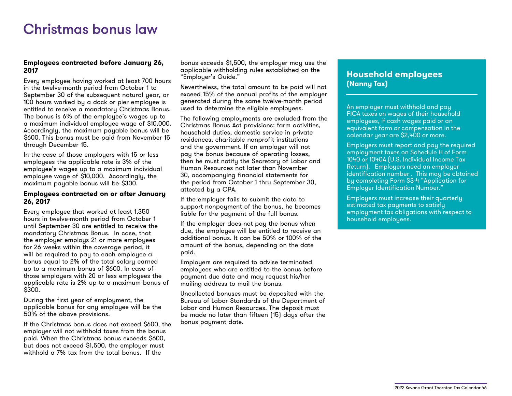### Christmas bonus law

#### **Employees contracted before January 26, 2017**

Every employee having worked at least 700 hours in the twelve-month period from October 1 to September 30 of the subsequent natural year, or 100 hours worked by a dock or pier employee is entitled to receive a mandatory Christmas Bonus. The bonus is 6% of the employee's wages up to a maximum individual employee wage of \$10,000. Accordingly, the maximum payable bonus will be \$600. This bonus must be paid from November 15 through December 15.

In the case of those employers with 15 or less employees the applicable rate is 3% of the employee's wages up to a maximum individual employee wage of \$10,000. Accordingly, the maximum payable bonus will be \$300.

#### **Employees contracted on or after January 26, 2017**

Every employee that worked at least 1,350 hours in twelve-month period from October 1 until September 30 are entitled to receive the mandatory Christmas Bonus. In case, that the employer employs 21 or more employees for 26 weeks within the coverage period, it will be required to pay to each employee a bonus equal to 2% of the total salary earned up to a maximum bonus of \$600. In case of those employers with 20 or less employees the applicable rate is 2% up to a maximum bonus of \$300.

During the first year of employment, the applicable bonus for any employee will be the 50% of the above provisions.

If the Christmas bonus does not exceed \$600, the employer will not withhold taxes from the bonus paid. When the Christmas bonus exceeds \$600, but does not exceed \$1,500, the employer must withhold a 7% tax from the total bonus. If the

bonus exceeds \$1,500, the employer may use the applicable withholding rules established on the "Employer's Guide."

Nevertheless, the total amount to be paid will not exceed 15% of the annual profits of the employer generated during the same twelve-month period used to determine the eligible employees.

The following employments are excluded from the Christmas Bonus Act provisions: farm activities, household duties, domestic service in private residences, charitable nonprofit institutions and the government. If an employer will not pay the bonus because of operating losses, then he must notify the Secretary of Labor and Human Resources not later than November 30, accompanying financial statements for the period from October 1 thru September 30, attested by a CPA.

If the employer fails to submit the data to support nonpayment of the bonus, he becomes liable for the payment of the full bonus.

If the employer does not pay the bonus when due, the employee will be entitled to receive an additional bonus. It can be 50% or 100% of the amount of the bonus, depending on the date paid.

Employers are required to advise terminated employees who are entitled to the bonus before payment due date and may request his/her mailing address to mail the bonus.

Uncollected bonuses must be deposited with the Bureau of Labor Standards of the Department of Labor and Human Resources. The deposit must be made no later than fifteen (15) days after the bonus payment date.

#### **Household employees (Nanny Tax)**

 An employer must withhold and pay FICA taxes on wages of their household employees, if cash wages paid or an equivalent form or compensation in the calendar year are \$2,400 or more.

Employers must report and pay the required employment taxes on Schedule H of Form 1040 or 1040A (U.S. Individual Income Tax Return). Employers need an employer identification number . This may be obtained by completing Form SS-4 "Application for Employer Identification Number."

Employers must increase their quarterly estimated tax payments to satisfy employment tax obligations with respect to household employees.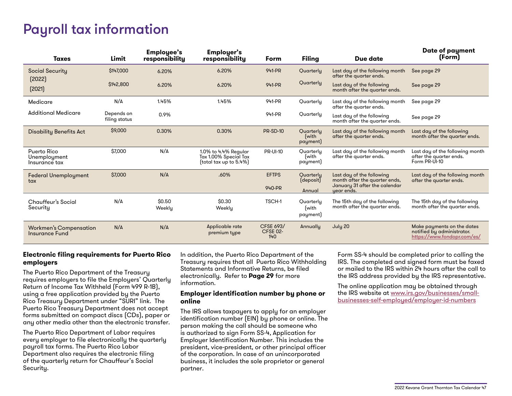### Payroll tax information

| <b>Taxes</b>                                    | Limit                       | Employee's<br>responsibility | Employer's<br>responsibility                                                  | Form                         | <b>Filing</b>                  | Due date                                                                                    | <b>Date of payment</b><br>(Form)                                                        |
|-------------------------------------------------|-----------------------------|------------------------------|-------------------------------------------------------------------------------|------------------------------|--------------------------------|---------------------------------------------------------------------------------------------|-----------------------------------------------------------------------------------------|
| <b>Social Security</b><br>(2022)                | \$147,000                   | 6.20%                        | 6.20%                                                                         | 941-PR                       | Quarterly                      | Last day of the following month<br>after the quarter ends.                                  | See page 29                                                                             |
| (2021)                                          | \$142,800                   | 6.20%                        | 6.20%                                                                         | 941-PR                       | Quarterly                      | Last day of the following<br>month after the quarter ends.                                  | See page 29                                                                             |
| Medicare                                        | N/A                         | 1.45%                        | 1.45%                                                                         | 941-PR                       | Quarterly                      | Last day of the following month<br>after the quarter ends.                                  | See page 29                                                                             |
| <b>Additional Medicare</b>                      | Depends on<br>filing status | 0.9%                         |                                                                               | 941-PR                       | Quarterly                      | Last day of the following<br>month after the quarter ends.                                  | See page 29                                                                             |
| <b>Disability Benefits Act</b>                  | \$9,000                     | 0.30%                        | 0.30%                                                                         | <b>PR-SD-10</b>              | Quarterly<br>[with<br>payment) | Last day of the following month<br>after the quarter ends.                                  | Last day of the following<br>month after the quarter ends.                              |
| Puerto Rico<br>Unemployment<br>Insurance tax    | \$7,000                     | N/A                          | 1.0% to 4.4% Regular<br>Tax 1.00% Special Tax<br>$[$ total tax up to $5.4\%]$ | <b>PR-UI-10</b>              | Quarterly<br>[with<br>payment) | Last day of the following month<br>after the quarter ends.                                  | Last day of the following month<br>after the quarter ends.<br>Form PR-UI-10             |
| Federal Unemployment<br>tax                     | \$7,000                     | N/A                          | .60%                                                                          | <b>EFTPS</b><br>940-PR       | Quarterly<br>[deposit]         | Last day of the following<br>month after the quarter ends,<br>January 31 after the calendar | Last day of the following month<br>after the quarter ends.                              |
|                                                 |                             |                              |                                                                               |                              | Annual                         | year ends.                                                                                  |                                                                                         |
| <b>Chauffeur's Social</b><br>Security           | N/A                         | \$0.50<br>Weekly             | \$0.30<br>Weekly                                                              | TSCH-1                       | Quarterly<br>(with<br>payment) | The 15th day of the following<br>month after the quarter ends.                              | The 15th day of the following<br>month after the quarter ends.                          |
| Workmen's Compensation<br><b>Insurance Fund</b> | N/A                         | N/A                          | Applicable rate<br>premium type                                               | CFSE 693/<br>CFSE 02-<br>140 | Annually                       | July 20                                                                                     | Make payments on the dates<br>notified by administrator.<br>https://www.fondopr.com/es/ |

#### **Electronic filing requirements for Puerto Rico employers**

The Puerto Rico Department of the Treasury requires employers to file the Employers' Quarterly Return of Income Tax Withheld (Form 499 R-1B), using a free application provided by the Puerto Rico Treasury Department under "SURI" link. The Puerto Rico Treasury Department does not accept forms submitted on compact discs (CDs), paper or any other media other than the electronic transfer.

The Puerto Rico Department of Labor requires every employer to file electronically the quarterly payroll tax forms. The Puerto Rico Labor Department also requires the electronic filing of the quarterly return for Chauffeur's Social Security.

In addition, the Puerto Rico Department of the Treasury requires that all Puerto Rico Withholding Statements and Informative Returns, be filed electronically. Refer to **Page 29** for more information.

#### **Employer identification number by phone or online**

The IRS allows taxpayers to apply for an employer identification number (EIN) by phone or online. The person making the call should be someone who is authorized to sign Form SS-4, Application for Employer Identification Number. This includes the president, vice-president, or other principal officer of the corporation. In case of an unincorporated business, it includes the sole proprietor or general partner.

Form SS-4 should be completed prior to calling the IRS. The completed and signed form must be faxed or mailed to the IRS within 24 hours after the call to the IRS address provided by the IRS representative.

The online application may be obtained through the IRS website at www.irs.gov/businesses/smallbusinesses-self-employed/employer-id-numbers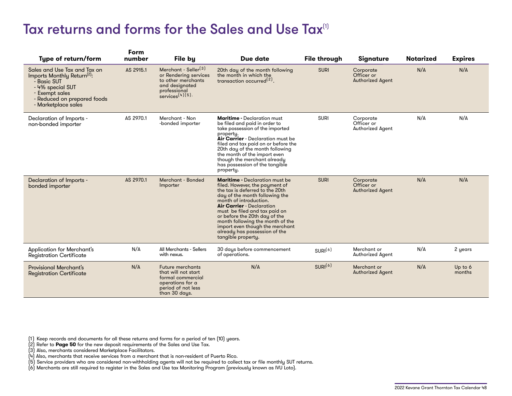### Tax returns and forms for the Sales and Use Tax<sup>(1)</sup>

| Type of return/form                                                                                                                                                                | Form<br>number | File by                                                                                                                                     | Due date                                                                                                                                                                                                                                                                                                                                                                                                   | <b>File through</b> | <b>Signature</b>                                   | <b>Notarized</b> | <b>Expires</b>    |
|------------------------------------------------------------------------------------------------------------------------------------------------------------------------------------|----------------|---------------------------------------------------------------------------------------------------------------------------------------------|------------------------------------------------------------------------------------------------------------------------------------------------------------------------------------------------------------------------------------------------------------------------------------------------------------------------------------------------------------------------------------------------------------|---------------------|----------------------------------------------------|------------------|-------------------|
| Sales and Use Tax and Tax on<br>Imports Monthly Return <sup>[2]</sup> :<br>- Basic SUT<br>- 4% special SUT<br>- Exempt sales<br>- Reduced on prepared foods<br>- Marketplace sales | AS 2915.1      | Merchant - Seller <sup>[3]</sup><br>or Rendering services<br>to other merchants<br>and designated<br>professional<br>$s$ ervices $(4)(5)$ . | 20th day of the month following<br>the month in which the<br>transaction occurred <sup>[2]</sup> .                                                                                                                                                                                                                                                                                                         | <b>SURI</b>         | Corporate<br>Officer or<br><b>Authorized Agent</b> | N/A              | N/A               |
| Declaration of Imports -<br>non-bonded importer                                                                                                                                    | AS 2970.1      | Merchant - Non<br>-bonded importer                                                                                                          | <b>Maritime - Declaration must</b><br>be filed and paid in order to<br>take possession of the imported<br>property.<br>Air Carrier - Declaration must be<br>filed and tax paid on or before the<br>20th day of the month following<br>the month of the import even<br>though the merchant already<br>has possession of the tangible<br>property.                                                           | <b>SURI</b>         | Corporate<br>Officer or<br><b>Authorized Agent</b> | N/A              | N/A               |
| Declaration of Imports -<br>bonded importer                                                                                                                                        | AS 2970.1      | Merchant - Bonded<br>Importer                                                                                                               | <b>Maritime - Declaration must be</b><br>filed. However, the payment of<br>the tax is deferred to the 20th<br>day of the month following the<br>month of introduction.<br><b>Air Carrier</b> - Declaration<br>must be filed and tax paid on<br>or before the 20th day of the<br>month following the month of the<br>import even though the merchant<br>already has possession of the<br>tangible property. | <b>SURI</b>         | Corporate<br>Officer or<br><b>Authorized Agent</b> | N/A              | N/A               |
| Application for Merchant's<br><b>Registration Certificate</b>                                                                                                                      | N/A            | All Merchants - Sellers<br>with nexus.                                                                                                      | 30 days before commencement<br>of operations.                                                                                                                                                                                                                                                                                                                                                              | SURI <sup>(6)</sup> | Merchant or<br>Authorized Agent                    | N/A              | 2 years           |
| <b>Provisional Merchant's</b><br><b>Registration Certificate</b>                                                                                                                   | N/A            | <b>Future merchants</b><br>that will not start<br>formal commercial<br>operations for a<br>period of not less<br>than 30 days.              | N/A                                                                                                                                                                                                                                                                                                                                                                                                        | SURI <sup>(6)</sup> | Merchant or<br><b>Authorized Agent</b>             | N/A              | Up to 6<br>months |

(1) Keep records and documents for all these returns and forms for a period of ten (10) years.

(2) Refer to **Page 50** for the new deposit requirements of the Sales and Use Tax.

(3) Also, merchants considered Marketplace Facilitators.

(4) Also, merchants that receive services from a merchant that is non-resident of Puerto Rico.

(5) Service providers who are considered non-withholding agents will not be required to collect tax or file monthly SUT returns.

(6) Merchants are still required to register in the Sales and Use tax Monitoring Program (previously known as IVU Loto).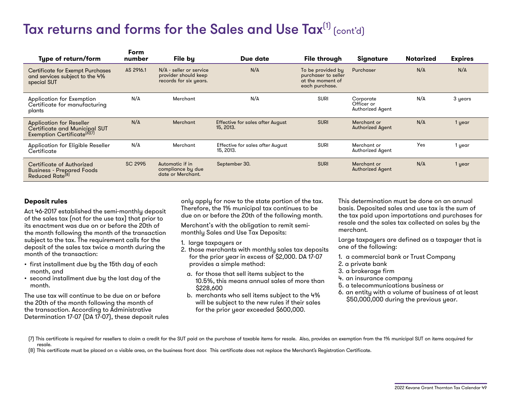### Tax returns and forms for the Sales and Use Tax $^{[1]}$   $_{\rm (cont'd)}$

| Type of return/form                                                                                                | Form<br>number | File by                                                                     | Due date                                             | <b>File through</b>                                                            | <b>Signature</b>                                   | <b>Notarized</b> | <b>Expires</b> |
|--------------------------------------------------------------------------------------------------------------------|----------------|-----------------------------------------------------------------------------|------------------------------------------------------|--------------------------------------------------------------------------------|----------------------------------------------------|------------------|----------------|
| <b>Certificate for Exempt Purchases</b><br>and services subject to the 4%<br>special SUT                           | AS 2916.1      | $N/A$ - seller or service<br>provider should keep<br>records for six years. | N/A                                                  | To be provided by<br>purchaser to seller<br>at the moment of<br>each purchase. | Purchaser                                          | N/A              | N/A            |
| Application for Exemption<br>Certificate for manufacturing<br>plants                                               | N/A            | Merchant                                                                    | N/A                                                  | <b>SURI</b>                                                                    | Corporate<br>Officer or<br><b>Authorized Agent</b> | N/A              | 3 years        |
| <b>Application for Reseller</b><br><b>Certificate and Municipal SUT</b><br>Exemption Certificate <sup>[6][7]</sup> | N/A            | Merchant                                                                    | <b>Effective for sales after August</b><br>15, 2013. | <b>SURI</b>                                                                    | Merchant or<br><b>Authorized Agent</b>             | N/A              | 1 year         |
| Application for Eligible Reseller<br>Certificate                                                                   | N/A            | Merchant                                                                    | Effective for sales after August<br>15, 2013.        | <b>SURI</b>                                                                    | Merchant or<br><b>Authorized Agent</b>             | Yes              | 1 year         |
| Certificate of Authorized<br><b>Business - Prepared Foods</b><br>Reduced Rate <sup>[8]</sup>                       | SC 2995        | Automatic if in<br>compliance by due<br>date or Merchant.                   | September 30.                                        | <b>SURI</b>                                                                    | Merchant or<br><b>Authorized Agent</b>             | N/A              | 1 year         |

#### **Deposit rules**

Act 46-2017 established the semi-monthly deposit of the sales tax (not for the use tax) that prior to its enactment was due on or before the 20th of the month following the month of the transaction subject to the tax. The requirement calls for the deposit of the sales tax twice a month during the month of the transaction:

- first installment due by the 15th day of each month, and
- second installment due by the last day of the month.

The use tax will continue to be due on or before the 20th of the month following the month of the transaction. According to Administrative Determination 17-07 (DA 17-07), these deposit rules only apply for now to the state portion of the tax. Therefore, the 1% municipal tax continues to be due on or before the 20th of the following month.

Merchant's with the obligation to remit semimonthly Sales and Use Tax Deposits:

- 1. large taxpayers or
- 2. those merchants with monthly sales tax deposits for the prior year in excess of \$2,000. DA 17-07 provides a simple method:
	- a. for those that sell items subject to the 10.5%, this means annual sales of more than \$228,600
	- b. merchants who sell items subject to the 4% will be subject to the new rules if their sales for the prior year exceeded \$600,000.

This determination must be done on an annual basis. Deposited sales and use tax is the sum of the tax paid upon importations and purchases for resale and the sales tax collected on sales by the merchant.

Large taxpayers are defined as a taxpayer that is one of the following:

- 1. a commercial bank or Trust Company
- 2. a private bank
- 3. a brokerage firm
- 4. an insurance company
- 5. a telecommunications business or
- 6. an entity with a volume of business of at least \$50,000,000 during the previous year.

<sup>(7)</sup> This certificate is required for resellers to claim a credit for the SUT paid on the purchase of taxable items for resale. Also, provides an exemption from the 1% municipal SUT on items acquired for resale.

<sup>(8)</sup> This certificate must be placed on a visible area, on the business front door. This certificate does not replace the Merchant's Registration Certificate.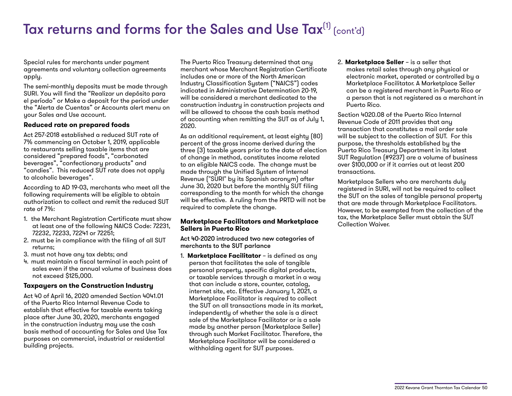### Tax returns and forms for the Sales and Use Tax $^{\text{\tiny{[1]}}}$   $_{\text{\tiny{[cont'd]}}}$

Special rules for merchants under payment agreements and voluntary collection agreements apply.

The semi-monthly deposits must be made through SURI. You will find the "Realizar un depósito para el período" or Make a deposit for the period under the "Alerta de Cuentas" or Accounts alert menu on your Sales and Use account.

#### **Reduced rate on prepared foods**

Act 257-2018 established a reduced SUT rate of 7% commencing on October 1, 2019, applicable to restaurants selling taxable items that are considered "prepared foods", "carbonated beverages", "confectionary products" and "candies". This reduced SUT rate does not apply to alcoholic beverages".

According to AD 19-03, merchants who meet all the following requirements will be eligible to obtain authorization to collect and remit the reduced SUT rate of 7%:

- 1. the Merchant Registration Certificate must show at least one of the following NAICS Code: 72231, 72232, 72233, 72241 or 72251;
- 2. must be in compliance with the filing of all SUT returns;
- 3. must not have any tax debts; and
- 4. must maintain a fiscal terminal in each point of sales even if the annual volume of business does not exceed \$125,000.

#### **Taxpayers on the Construction Industry**

Act 40 of April 16, 2020 amended Section 4041.01 of the Puerto Rico Internal Revenue Code to establish that effective for taxable events taking place after June 30, 2020, merchants engaged in the construction industry may use the cash basis method of accounting for Sales and Use Tax purposes on commercial, industrial or residential building projects.

The Puerto Rico Treasury determined that any merchant whose Merchant Registration Certificate includes one or more of the North American Industry Classification System ("NAICS") codes indicated in Administrative Determination 20-19, will be considered a merchant dedicated to the construction industry in construction projects and will be allowed to choose the cash basis method of accounting when remitting the SUT as of July 1, 2020.

As an additional requirement, at least eighty (80) percent of the gross income derived during the three (3) taxable years prior to the date of election of change in method, constitutes income related to an eligible NAICS code. The change must be made through the Unified System of Internal Revenue ("SURI" by its Spanish acronym) after June 30, 2020 but before the monthly SUT filing corresponding to the month for which the change will be effective. A ruling from the PRTD will not be required to complete the change.

#### **Marketplace Facilitators and Marketplace Sellers in Puerto Rico**

Act 40-2020 introduced two new categories of merchants to the SUT parlance

1. **Marketplace Facilitator** – is defined as any person that facilitates the sale of tangible personal property, specific digital products, or taxable services through a market in a way that can include a store, counter, catalog, internet site, etc. Effective January 1, 2021, a Marketplace Facilitator is required to collect the SUT on all transactions made in its market, independently of whether the sale is a direct sale of the Marketplace Facilitator or is a sale made by another person (Marketplace Seller) through such Market Facilitator. Therefore, the Marketplace Facilitator will be considered a withholding agent for SUT purposes.

2. **Marketplace Seller** – is a seller that makes retail sales through any physical or electronic market, operated or controlled by a Marketplace Facilitator. A Marketplace Seller can be a registered merchant in Puerto Rico or a person that is not registered as a merchant in Puerto Rico.

Section 4020.08 of the Puerto Rico Internal Revenue Code of 2011 provides that any transaction that constitutes a mail order sale will be subject to the collection of SUT. For this purpose, the thresholds established by the Puerto Rico Treasury Department in its latest SUT Regulation (#9237) are a volume of business over \$100,000 or if it carries out at least 200 transactions.

Marketplace Sellers who are merchants duly registered in SURI, will not be required to collect the SUT on the sales of tangible personal property that are made through Marketplace Facilitators. However, to be exempted from the collection of the tax, the Marketplace Seller must obtain the SUT Collection Waiver.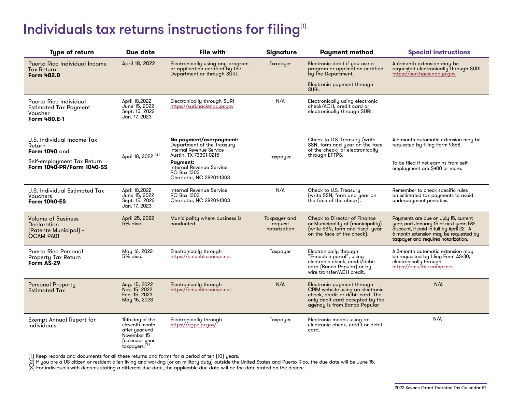### Individuals tax returns instructions for filing<sup>(1)</sup>

| <b>Type of return</b>                                                                        | Due date                                                                                                          | <b>File with</b>                                                                                           | Signature                               | <b>Payment method</b>                                                                                                                                                  | <b>Special instructions</b>                                                                                                                                                                               |
|----------------------------------------------------------------------------------------------|-------------------------------------------------------------------------------------------------------------------|------------------------------------------------------------------------------------------------------------|-----------------------------------------|------------------------------------------------------------------------------------------------------------------------------------------------------------------------|-----------------------------------------------------------------------------------------------------------------------------------------------------------------------------------------------------------|
| Puerto Rico Individual Income<br><b>Tax Return</b><br><b>Form 482.0</b>                      | April 18, 2022                                                                                                    | Electronically using any program<br>or application certified by the<br>Department or through SURI.         | Taxpayer                                | Electronic debit if you use a<br>program or application certified<br>by the Department.                                                                                | A 6-month extension may be<br>requested electronically through SURI.<br>https://suri.hacienda.pr.gov                                                                                                      |
|                                                                                              |                                                                                                                   |                                                                                                            |                                         | Electronic payment through<br>SURI.                                                                                                                                    |                                                                                                                                                                                                           |
| Puerto Rico Individual<br><b>Estimated Tax Payment</b><br>Voucher<br><b>Form 480.E-1</b>     | April 18,2022<br>June 15, 2022<br>Sept. 15, 2022<br>Jan. 17, 2023                                                 | Electronically through SURI<br>https://suri.hacienda.pr.gov                                                | N/A                                     | Electronically using electronic<br>check/ACH, credit card or<br>electronically through SURI.                                                                           |                                                                                                                                                                                                           |
| U.S. Individual Income Tax<br>Return<br>Form 1040 and                                        | April 18, 2022 <sup>(2)</sup>                                                                                     | No payment/overpayment:<br>Department of the Treasury<br>Internal Revenue Service<br>Austin, TX 73301-0215 | Taxpayer                                | Check to U.S. Treasury (write<br>SSN, form and year on the face<br>of the check) or electronically<br>through EFTPS.                                                   | A 6-month automatic extension may be<br>requested by filing Form 4868.                                                                                                                                    |
| Self-employment Tax Return<br>Form 1040-PR/Form 1040-SS                                      |                                                                                                                   | <b>Payment:</b><br>Internal Revenue Service<br>PO Box 1303<br>Charlotte, NC 28201-1303                     |                                         |                                                                                                                                                                        | To be filed if net earnins from self-<br>employment are \$400 or more.                                                                                                                                    |
| U.S. Individual Estimated Tax<br>Vouchers<br><b>Form 1040-ES</b>                             | April 18,2022<br>June 15, 2022<br>Sept. 15, 2022<br>Jan. 17, 2023                                                 | Internal Revenue Service<br>PO Box 1303<br>Charlotte, NC 28201-1303                                        | N/A                                     | Check to U.S. Treasury<br>(write SSN, form and year on<br>the face of the check).                                                                                      | Remember to check specific rules<br>on estimated tax payments to avoid<br>underpayment penalties.                                                                                                         |
| <b>Volume of Business</b><br><b>Declaration</b><br>[Patente Municipal] -<br><b>OCAM PA01</b> | April 25, 2022<br>$5%$ disc.                                                                                      | Municipality where business is<br>conducted.                                                               | Taxpayer and<br>request<br>notarization | Check to Director of Finance<br>or Municipality of (municipality)<br>(write SSN, form and fiscal year<br>on the face of the check).                                    | Payments are due on July 15, current<br>year, and January 15 of next year; 5%<br>discount, if paid in full by April 22. A<br>6-month extension may be requested by<br>taxpayer and requires notarization. |
| Puerto Rico Personal<br>Property Tax Return<br>Form AS-29                                    | May 16, 2022<br>$5%$ disc.                                                                                        | Electronically through<br>https://emueble.crimpr.net                                                       | Taxpayer                                | Electronically through<br>"E-mueble portal", using<br>electronic check, credit/debit<br>card (Banco Popular) or by<br>wire transfer/ACH credit.                        | A 3-month automatic extension may<br>be requested by filing Form AS-30,<br>electronically through<br>https://emueble.crimpr.net.                                                                          |
| <b>Personal Property</b><br><b>Estimated Tax</b>                                             | Aug. 15, 2022<br>Nov. 15, 2022<br>Feb. 15, 2023<br>May 15, 2023                                                   | Electronically through<br>https://emueble.crimpr.net                                                       | N/A                                     | Electronic payment through<br>CRIM website using an electronic<br>check, credit or debit card. The<br>only debit card accepted by the<br>agency is from Banco Popular. | N/A                                                                                                                                                                                                       |
| <b>Exempt Annual Report for</b><br>Individuals                                               | 15th day of the<br>eleventh month<br>after year-end<br>November 15<br>(calendar year<br>taxpayers. <sup>[3]</sup> | Electronically through<br>https://ogpe.pr.gov/                                                             | Taxpayer                                | Electronic means using an<br>electronic check, credit or debit<br>card.                                                                                                | N/A                                                                                                                                                                                                       |

(1) Keep records and documents for all these returns and forms for a period of ten (10) years.

(2) If you are a US citizen or resident alien living and working (or on military duty) outside the United States and Puerto Rico, the due date will be June 15.

(3) For individuals with decrees stating a different due date, the applicable due date will be the date stated on the decree.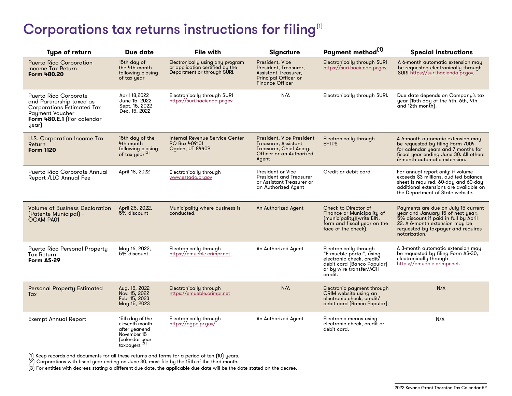### Corporations tax returns instructions for filing<sup>(1)</sup>

| Type of return                                                                                                                                          | Due date                                                                                                          | <b>File with</b>                                                                                   | <b>Signature</b>                                                                                                   | Payment method <sup>(1)</sup>                                                                                                                       | <b>Special instructions</b>                                                                                                                                                                               |
|---------------------------------------------------------------------------------------------------------------------------------------------------------|-------------------------------------------------------------------------------------------------------------------|----------------------------------------------------------------------------------------------------|--------------------------------------------------------------------------------------------------------------------|-----------------------------------------------------------------------------------------------------------------------------------------------------|-----------------------------------------------------------------------------------------------------------------------------------------------------------------------------------------------------------|
| <b>Puerto Rico Corporation</b><br>Income Tax Return<br>Form 480.20                                                                                      | 15th day of<br>the 4th month<br>following closing<br>of tax year                                                  | Electronically using any program<br>or application certified by the<br>Department or through SURI. | President, Vice<br>President, Treasurer,<br>Assistant Treasurer,<br>Principal Officer or<br><b>Finance Officer</b> | <b>Electronically through SURI</b><br>https://suri.hacienda.pr.gov                                                                                  | A 6-month automatic extension may<br>be requested electronically through<br>SURI https://suri.hacienda.pr.gov.                                                                                            |
| <b>Puerto Rico Corporate</b><br>and Partnership taxed as<br><b>Corporations Estimated Tax</b><br>Payment Voucher<br>Form 480.E.1 (For calendar<br>year) | April 18,2022<br>June 15, 2022<br>Sept. 15, 2022<br>Dec. 15, 2022                                                 | Electronically through SURI<br>https://suri.hacienda.pr.gov                                        | N/A                                                                                                                | Electronically through SURI.                                                                                                                        | Due date depends on Company's tax<br>year (15th day of the 4th, 6th, 9th<br>and 12th month).                                                                                                              |
| U.S. Corporation Income Tax<br>Return<br><b>Form 1120</b>                                                                                               | 15th day of the<br>4th month<br>following closing<br>of tax year <sup>(2)</sup>                                   | Internal Revenue Service Center<br>PO Box 409101<br>Ogden, UT 84409                                | President, Vice President<br>Treasurer, Assistant<br>Treasurer, Chief Acctg.<br>Officer or an Authorized<br>Agent  | Electronically through<br>EFTPS.                                                                                                                    | A 6-month automatic extension may<br>be requested by filing Form 7004<br>for calendar years and 7 months for<br>fiscal year ending June 30. All others<br>6-month automatic extension.                    |
| Puerto Rico Corporate Annual<br>Report /LLC Annual Fee                                                                                                  | April 18, 2022                                                                                                    | Electronically through<br>www.estado.pr.gov                                                        | President or Vice<br>President and Treasurer<br>or Assistant Treasurer or<br>an Authorized Agent                   | Credit or debit card.                                                                                                                               | For annual report only: if volume<br>exceeds \$3 millions, audited balance<br>sheet is required. 60-day and 60-day<br>additional extensions are available on<br>the Department of State website.          |
| <b>Volume of Business Declaration</b><br>[Patente Municipal] -<br><b>OCAM PA01</b>                                                                      | April 25, 2022,<br>5% discount                                                                                    | Municipality where business is<br>conducted.                                                       | An Authorized Agent                                                                                                | Check to Director of<br>Finance or Municipality of<br>(municipality)(write EIN,<br>form and fiscal year on the<br>face of the check).               | Payments are due on July 15 current<br>year and January 15 of next year;<br>5% discount if paid in full by April<br>22. A 6-month extension may be<br>requested by taxpayer and requires<br>notarization. |
| Puerto Rico Personal Property<br>Tax Return<br>Form AS-29                                                                                               | May 16, 2022,<br>5% discount                                                                                      | Electronically through<br>https://emueble.crimpr.net                                               | An Authorized Agent                                                                                                | Electronically through<br>"E-mueble portal", using<br>electronic check, credit/<br>debit card (Banco Popular)<br>or by wire transfer/ACH<br>credit. | A 3-month automatic extension may<br>be requested by filing Form AS-30,<br>electronically through<br>https://emueble.crimpr.net.                                                                          |
| <b>Personal Property Estimated</b><br>Tax                                                                                                               | Aug. 15, 2022<br>Nov. 15, 2022<br>Feb. 15, 2023<br>May 15, 2023                                                   | Electronically through<br>https://emueble.crimpr.net                                               | N/A                                                                                                                | Electronic payment through<br>CRIM website using an<br>electronic check, credit/<br>debit card (Banco Popular).                                     | N/A                                                                                                                                                                                                       |
| <b>Exempt Annual Report</b>                                                                                                                             | 15th day of the<br>eleventh month<br>after year-end<br>November 15<br>(calendar year<br>taxpayers. <sup>[3]</sup> | Electronically through<br>https://ogpe.pr.gov/                                                     | An Authorized Agent                                                                                                | Electronic means using<br>electronic check, credit or<br>debit card.                                                                                | N/A                                                                                                                                                                                                       |

(1) Keep records and documents for all these returns and forms for a period of ten (10) years.

(2) Corporations with fiscal year ending on June 30, must file by the 15th of the third month.

(3) For entities with decrees stating a different due date, the applicable due date will be the date stated on the decree.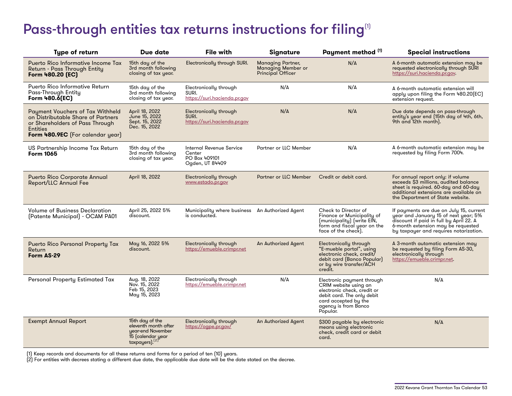### Pass-through entities tax returns instructions for filing<sup>(1)</sup>

| <b>Type of return</b>                                                                                                                                                   | Due date                                                                                                        | <b>File with</b>                                                       | <b>Signature</b>                                                           | Payment method (1)                                                                                                                                                           | <b>Special instructions</b>                                                                                                                                                                                |
|-------------------------------------------------------------------------------------------------------------------------------------------------------------------------|-----------------------------------------------------------------------------------------------------------------|------------------------------------------------------------------------|----------------------------------------------------------------------------|------------------------------------------------------------------------------------------------------------------------------------------------------------------------------|------------------------------------------------------------------------------------------------------------------------------------------------------------------------------------------------------------|
| Puerto Rico Informative Income Tax<br>Return - Pass Through Entity<br>Form 480.20 (EC)                                                                                  | 15th day of the<br>3rd month following<br>closing of tax year.                                                  | Electronically through SURI.                                           | <b>Managing Partner,</b><br><b>Managing Member or</b><br>Principal Officer | N/A                                                                                                                                                                          | A 6-month automatic extension may be<br>requested electronically through SURI<br>https://suri.hacienda.pr.gov.                                                                                             |
| Puerto Rico Informative Return<br>Pass-Through Entitu<br>Form $480.6$ (EC)                                                                                              | 15th day of the<br>3rd month following<br>closing of tax year.                                                  | Electronically through<br>SURI.<br>https://suri.hacienda.pr.gov        | N/A                                                                        | N/A                                                                                                                                                                          | A 6-month automatic extension will<br>apply upon filing the Form 480.20(EC)<br>extension request.                                                                                                          |
| <b>Payment Vouchers of Tax Withheld</b><br>on Distributable Share of Partners<br>or Shareholders of Pass Through<br><b>Entities</b><br>Form 480.9EC (For calendar year) | April 18, 2022<br>June 15, 2022<br>Sept. 15, 2022<br>Dec. 15, 2022                                              | <b>Electronically through</b><br>SURI.<br>https://suri.hacienda.pr.gov | N/A                                                                        | N/A                                                                                                                                                                          | Due date depends on pass-through<br>entity's year end (15th day of 4th, 6th,<br>9th and 12th month).                                                                                                       |
| US Partnership Income Tax Return<br><b>Form 1065</b>                                                                                                                    | 15th day of the<br>3rd month following<br>closing of tax year.                                                  | Internal Revenue Service<br>Center<br>PO Box 409101<br>Ogden, UT 84409 | Partner or LLC Member                                                      | N/A                                                                                                                                                                          | A 6-month automatic extension may be<br>requested by filing Form 7004.                                                                                                                                     |
| Puerto Rico Corporate Annual<br><b>Report/LLC Annual Fee</b>                                                                                                            | April 18, 2022                                                                                                  | Electronically through<br>www.estado.pr.gov                            | Partner or LLC Member                                                      | Credit or debit card.                                                                                                                                                        | For annual report only: if volume<br>exceeds \$3 millions, audited balance<br>sheet is required. 60-day and 60-day<br>additional extensions are available on<br>the Department of State website.           |
| <b>Volume of Business Declaration</b><br>(Patente Municipal) - OCAM PA01                                                                                                | April 25, 2022 5%<br>discount.                                                                                  | Municipality where business An Authorized Agent<br>is conducted.       |                                                                            | Check to Director of<br>Finance or Municipality of<br>(municipality) (write EIN,<br>form and fiscal year on the<br>face of the check).                                       | If payments are due on July 15, current<br>year and January 15 of next year; 5%<br>discount if paid in full by April 22. A<br>6-month extension may be requested<br>by taxpayer and requires notarization. |
| <b>Puerto Rico Personal Property Tax</b><br>Return<br>Form AS-29                                                                                                        | May 16, 2022 5%<br>discount.                                                                                    | <b>Electronically through</b><br>https://emueble.crimpr.net            | An Authorized Agent                                                        | Electronically through<br>"E-mueble portal", using<br>electronic check, credit/<br>debit card (Banco Popular)<br>or by wire transfer/ACH<br>credit.                          | A 3-month automatic extension may<br>be requested by filing Form AS-30,<br>electronically through<br>https://emueble.crimpr.net.                                                                           |
| Personal Property Estimated Tax                                                                                                                                         | Aug. 18, 2022<br>Nov. 15, 2022<br>Feb 15, 2023<br>May 15, 2023                                                  | Electronically through<br>https://emueble.crimpr.net                   | N/A                                                                        | Electronic payment through<br>CRIM website using an<br>electronic check, credit or<br>debit card. The only debit<br>card accepted by the<br>agency is from Banco<br>Popular. | N/A                                                                                                                                                                                                        |
| <b>Exempt Annual Report</b>                                                                                                                                             | 15th day of the<br>eleventh month after<br>year-end November<br>15 (calendar year<br>taxpayers). <sup>(2)</sup> | Electronically through<br>https://ogpe.pr.gov/                         | An Authorized Agent                                                        | \$300 payable by electronic<br>means using electronic<br>check, credit card or debit<br>card.                                                                                | N/A                                                                                                                                                                                                        |

(1) Keep records and documents for all these returns and forms for a period of ten (10) years.

(2) For entities with decrees stating a different due date, the applicable due date will be the date stated on the decree.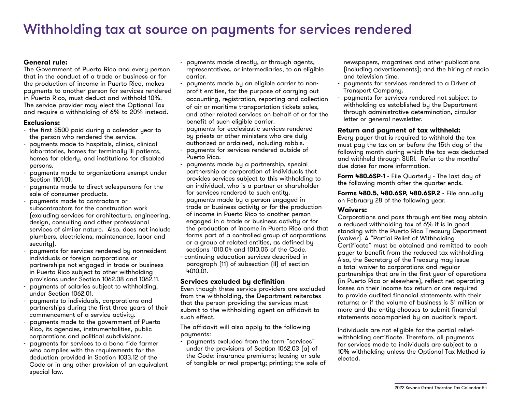### Withholding tax at source on payments for services rendered

#### **General rule:**

The Government of Puerto Rico and every person that in the conduct of a trade or business or for the production of income in Puerto Rico, makes payments to another person for services rendered in Puerto Rico, must deduct and withhold 10%. The service provider may elect the Optional Tax and require a withholding of 6% to 20% instead.

#### **Exclusions:**

- the first \$500 paid during a calendar year to the person who rendered the service.
- payments made to hospitals, clinics, clinical laboratories, homes for terminally ill patients, homes for elderly, and institutions for disabled persons.
- payments made to organizations exempt under Section 1101.01.
- payments made to direct salespersons for the sale of consumer products.
- payments made to contractors or subcontractors for the construction work (excluding services for architecture, engineering, design, consulting and other professional services of similar nature. Also, does not include plumbers, electricians, maintenance, labor and security).
- payments for services rendered by nonresident individuals or foreign corporations or partnerships not engaged in trade or business in Puerto Rico subject to other withholding provisions under Section 1062.08 and 1062.11.
- payments of salaries subject to withholding, under Section 1062.01.
- payments to individuals, corporations and partnerships during the first three years of their commencement of a service activity.
- payments made to the government of Puerto Rico, its agencies, instrumentalities, public corporations and political subdivisions.
- payments for services to a bona fide farmer who complies with the requirements for the deduction provided in Section 1033.12 of the Code or in any other provision of an equivalent special law.
- payments made directly, or through agents, representatives, or intermediaries, to an eligible carrier.
- payments made by an eligible carrier to nonprofit entities, for the purpose of carrying out accounting, registration, reporting and collection of air or maritime transportation tickets sales, and other related services on behalf of or for the benefit of such eligible carrier.
- payments for ecclesiastic services rendered by priests or other ministers who are duly authorized or ordained, including rabbis.
- payments for services rendered outside of Puerto Rico.
- payments made by a partnership, special partnership or corporation of individuals that provides services subject to this withholding to an individual, who is a partner or shareholder for services rendered to such entity.
- payments made by a person engaged in trade or business activity or for the production of income in Puerto Rico to another person engaged in a trade or business activity or for the production of income in Puerto Rico and that forms part of a controlled group of corporations or a group of related entities, as defined by sections 1010.04 and 1010.05 of the Code.
- continuing education services described in paragraph (11) of subsection (II) of section 4010.01.

#### **Services excluded by definition**

Even though these service providers are excluded from the withholding, the Department reiterates that the person providing the services must submit to the withholding agent an affidavit to such effect.

The affidavit will also apply to the following payments:

• payments excluded from the term "services" under the provisions of Section 1062.03 (a) of the Code: insurance premiums; leasing or sale of tangible or real property; printing; the sale of newspapers, magazines and other publications (including advertisements); and the hiring of radio and television time.

- payments for services rendered to a Driver of Transport Company.
- payments for services rendered not subject to withholding as established by the Department through administrative determination, circular letter or general newsletter.

#### **Return and payment of tax withheld:**

Every payor that is required to withhold the tax must pay the tax on or before the 15th day of the following month during which the tax was deducted and withheld through SURI. Refer to the months' due dates for more information.

**Form 480.6SP-1 -** File Quarterly - The last day of the following month after the quarter ends.

**Forms 480.5, 480.6SP, 480.6SP.2** - File annually on February 28 of the following year.

#### **Waivers:**

Corporations and pass through entities may obtain a reduced withholding tax of 6% if is in good standing with the Puerto Rico Treasury Department (waiver). A "Partial Relief of Withholding Certificate" must be obtained and remitted to each payer to benefit from the reduced tax withholding. Also, the Secretary of the Treasury may issue a total waiver to corporations and regular partnerships that are in the first year of operations (in Puerto Rico or elsewhere), reflect net operating losses on their income tax return or are required to provide audited financial statements with their returns; or if the volume of business is \$1 million or more and the entity chooses to submit financial statements accompanied by an auditor's report.

Individuals are not eligible for the partial reliefwithholding certificate. Therefore, all payments for services made to individuals are subject to a 10% withholding unless the Optional Tax Method is elected.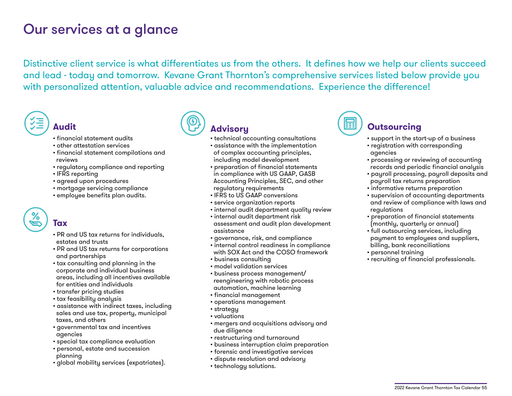### Our services at a glance

Distinctive client service is what differentiates us from the others. It defines how we help our clients succeed and lead - today and tomorrow. Kevane Grant Thornton's comprehensive services listed below provide you with personalized attention, valuable advice and recommendations. Experience the difference!

## **Audit**

- financial statement audits
- other attestation services
- financial statement compilations and reviews
- regulatory compliance and reporting • IFRS reporting
- agreed upon procedures
- mortgage servicing compliance
- employee benefits plan audits.

# 7ο

- **Tax**
- PR and US tax returns for individuals, estates and trusts
- PR and US tax returns for corporations and partnerships
- tax consulting and planning in the corporate and individual business areas, including all incentives available for entities and individuals
- transfer pricing studies
- tax feasibility analysis
- assistance with indirect taxes, including sales and use tax, property, municipal taxes, and others
- governmental tax and incentives agencies
- special tax compliance evaluation
- personal, estate and succession planning
- global mobility services (expatriates).



- technical accounting consultations
- assistance with the implementation of complex accounting principles, including model development
- preparation of financial statements in compliance with US GAAP, GASB Accounting Principles, SEC, and other regulatory requirements
- IFRS to US GAAP conversions
- service organization reports
- internal audit department quality review
- internal audit department risk assessment and audit plan development assistance
- governance, risk, and compliance
- internal control readiness in compliance with SOX Act and the COSO framework
- business consulting
- model validation services
- business process management/ reengineering with robotic process automation, machine learning
- financial management
- operations management
- strategy
- valuations
- mergers and acquisitions advisory and due diligence
- restructuring and turnaround
- business interruption claim preparation
- forensic and investigative services
- dispute resolution and advisory
- technology solutions.



### **Advisory Outsourcing**

- support in the start-up of a business
- registration with corresponding agencies
- processing or reviewing of accounting records and periodic financial analysis
- payroll processing, payroll deposits and payroll tax returns preparation
- informative returns preparation
- supervision of accounting departments and review of compliance with laws and regulations
- preparation of financial statements (monthly, quarterly or annual)
- full outsourcing services, including payment to employees and suppliers, billing, bank reconciliations
- personnel training
- recruiting of financial professionals.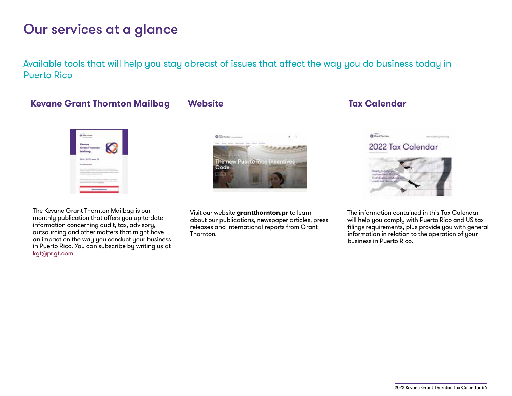### Our services at a glance

Available tools that will help you stay abreast of issues that affect the way you do business today in Puerto Rico

#### **Kevane Grant Thornton Mailbag Website <b>Tax Calendar Tax Calendar**



The Kevane Grant Thornton Mailbag is our monthly publication that offers you up-to-date information concerning audit, tax, advisory, outsourcing and other matters that might have an impact on the way you conduct your business in Puerto Rico. You can subscribe by writing us at kgt@pr.gt.com



Visit our website **grantthornton.pr** to learn about our publications, newspaper articles, press releases and international reports from Grant Thornton.



The information contained in this Tax Calendar will help you comply with Puerto Rico and US tax filings requirements, plus provide you with general information in relation to the operation of your business in Puerto Rico.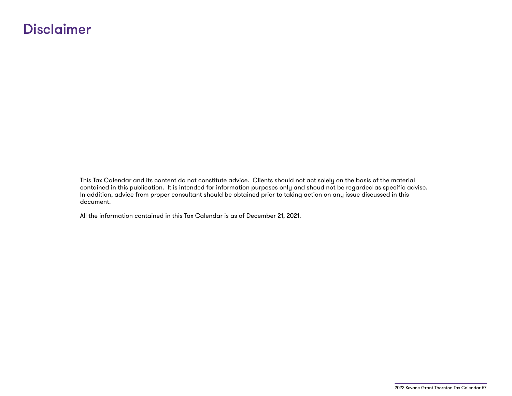### Disclaimer

This Tax Calendar and its content do not constitute advice. Clients should not act solely on the basis of the material contained in this publication. It is intended for information purposes only and shoud not be regarded as specific advise. In addition, advice from proper consultant should be obtained prior to taking action on any issue discussed in this document.

All the information contained in this Tax Calendar is as of December 21, 2021.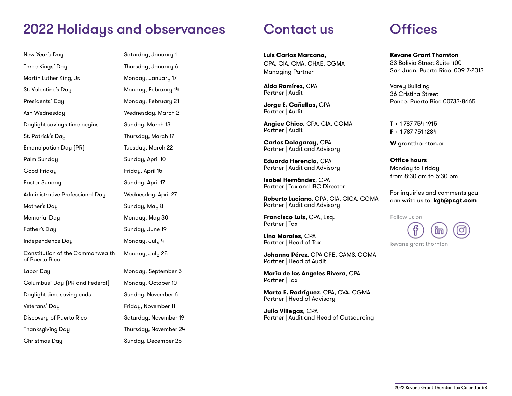### 2022 Holidays and observances

| New Year's Day                                     | Saturday, January 1   |
|----------------------------------------------------|-----------------------|
| Three Kings' Day                                   | Thursday, January 6   |
| Martin Luther King, Jr.                            | Monday, January 17    |
| St. Valentine's Day                                | Monday, February 14   |
| Presidents' Day                                    | Monday, February 21   |
| Ash Wednesday                                      | Wednesday, March 2    |
| Daylight savings time begins                       | Sunday, March 13      |
| St. Patrick's Day                                  | Thursday, March 17    |
| Emancipation Day (PR)                              | Tuesday, March 22     |
| Palm Sunday                                        | Sunday, April 10      |
| Good Friday                                        | Friday, April 15      |
| Easter Sunday                                      | Sunday, April 17      |
| Administrative Professional Day                    | Wednesday, April 27   |
| Mother's Day                                       | Sunday, May 8         |
| Memorial Day                                       | Monday, May 30        |
| Father's Day                                       | Sunday, June 19       |
| Independence Day                                   | Monday, July 4        |
| Constitution of the Commonwealth<br>of Puerto Rico | Monday, July 25       |
| Labor Day                                          | Monday, September 5   |
| Columbus' Day (PR and Federal)                     | Monday, October 10    |
| Daylight time saving ends                          | Sunday, November 6    |
| Veterans' Day                                      | Friday, November 11   |
| Discovery of Puerto Rico                           | Saturday, November 19 |
| Thanksgiving Day                                   | Thursday, November 24 |
| Christmas Day                                      | Sunday, December 25   |

### Contact us

**Luis Carlos Marcano,**  CPA, CIA, CMA, CHAE, CGMA Managing Partner

**Aida Ramírez**, CPA Partner | Audit

**Jorge E. Cañellas,** CPA Partner | Audit

**Angiee Chico**, CPA, CIA, CGMA Partner | Audit

**Carlos Dolagaray**, CPA Partner | Audit and Advisory

**Eduardo Herencia**, CPA Partner | Audit and Advisory

**Isabel Hernández**, CPA Partner | Tax and IBC Director

**Roberto Luciano**, CPA, CIA, CICA, CGMA Partner | Audit and Advisory

**Francisco Luis**, CPA, Esq. Partner | Tax

**Lina Morales**, CPA Partner | Head of Tax

**Johanna Pérez**, CPA CFE, CAMS, CGMA Partner | Head of Audit

**María de los Angeles Rivera**, CPA Partner | Tax

**Marta E. Rodríguez**, CPA, CVA, CGMA Partner | Head of Advisory

**Julio Villegas**, CPA Partner | Audit and Head of Outsourcing

### **Offices**

**Kevane Grant Thornton** 33 Bolivia Street Suite 400 San Juan, Puerto Rico 00917-2013

Varey Building 36 Cristina Street Ponce, Puerto Rico 00733-8665

**T** + 1 787 754 1915 **F** + 1 787 751 1284

**W** grantthornton.pr

**Office hours** Monday to Friday from 8:30 am to 5:30 pm

For inquiries and comments you can write us to: **kgt@pr.gt.com**